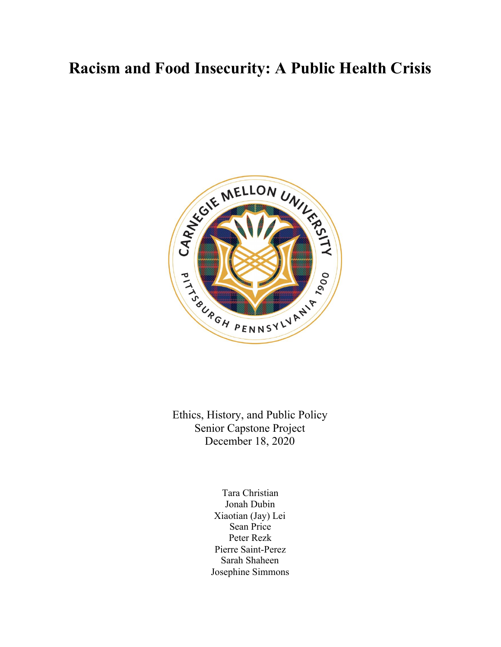# **Racism and Food Insecurity: A Public Health Crisis**



Ethics, History, and Public Policy Senior Capstone Project December 18, 2020

> Tara Christian Jonah Dubin Xiaotian (Jay) Lei Sean Price Peter Rezk Pierre Saint-Perez Sarah Shaheen Josephine Simmons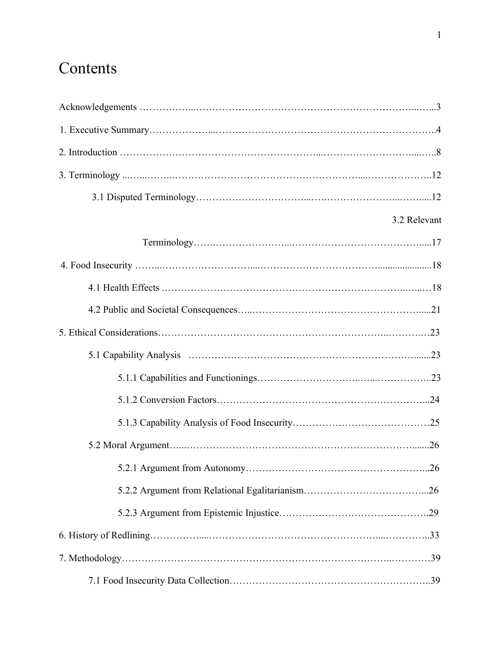# **Contents**

| 3.2 Relevant |
|--------------|
|              |
|              |
|              |
|              |
|              |
|              |
|              |
|              |
|              |
|              |
|              |
|              |
|              |
|              |
|              |
|              |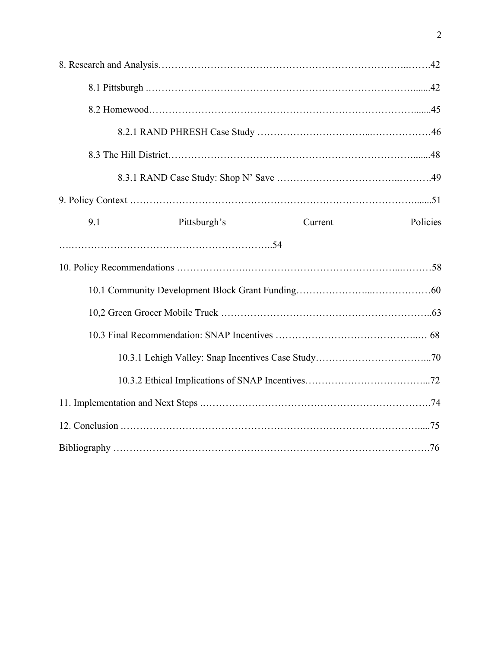| 9.1 | Pittsburgh's | Current | Policies |
|-----|--------------|---------|----------|
|     |              |         |          |
|     |              |         |          |
|     |              |         |          |
|     |              |         |          |
|     |              |         |          |
|     |              |         |          |
|     |              |         |          |
|     |              |         |          |
|     |              |         |          |
|     |              |         |          |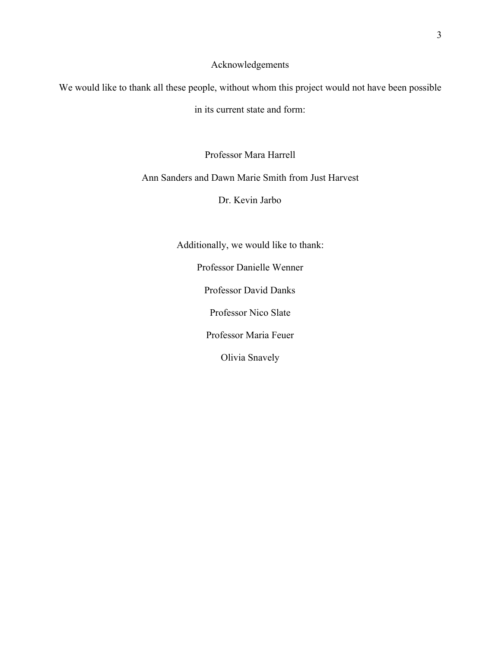## Acknowledgements

We would like to thank all these people, without whom this project would not have been possible

in its current state and form:

Professor Mara Harrell

Ann Sanders and Dawn Marie Smith from Just Harvest

Dr. Kevin Jarbo

Additionally, we would like to thank:

Professor Danielle Wenner Professor David Danks Professor Nico Slate Professor Maria Feuer

Olivia Snavely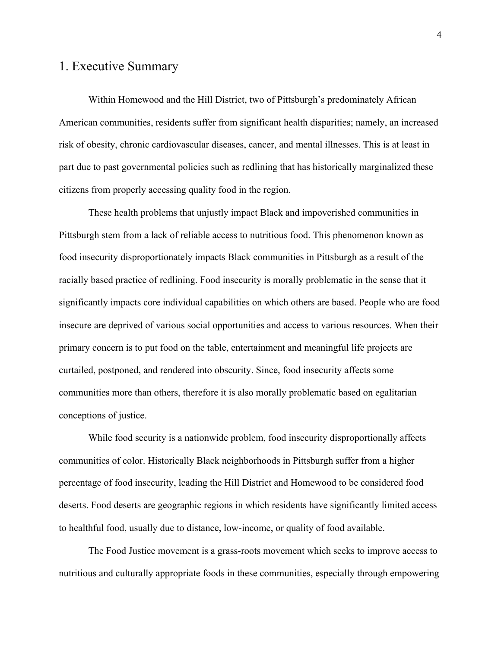# 1. Executive Summary

Within Homewood and the Hill District, two of Pittsburgh's predominately African American communities, residents suffer from significant health disparities; namely, an increased risk of obesity, chronic cardiovascular diseases, cancer, and mental illnesses. This is at least in part due to past governmental policies such as redlining that has historically marginalized these citizens from properly accessing quality food in the region.

These health problems that unjustly impact Black and impoverished communities in Pittsburgh stem from a lack of reliable access to nutritious food. This phenomenon known as food insecurity disproportionately impacts Black communities in Pittsburgh as a result of the racially based practice of redlining. Food insecurity is morally problematic in the sense that it significantly impacts core individual capabilities on which others are based. People who are food insecure are deprived of various social opportunities and access to various resources. When their primary concern is to put food on the table, entertainment and meaningful life projects are curtailed, postponed, and rendered into obscurity. Since, food insecurity affects some communities more than others, therefore it is also morally problematic based on egalitarian conceptions of justice.

While food security is a nationwide problem, food insecurity disproportionally affects communities of color. Historically Black neighborhoods in Pittsburgh suffer from a higher percentage of food insecurity, leading the Hill District and Homewood to be considered food deserts. Food deserts are geographic regions in which residents have significantly limited access to healthful food, usually due to distance, low-income, or quality of food available.

The Food Justice movement is a grass-roots movement which seeks to improve access to nutritious and culturally appropriate foods in these communities, especially through empowering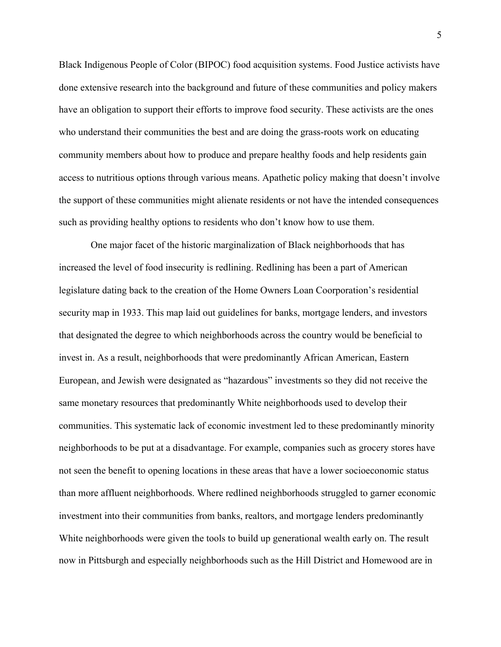Black Indigenous People of Color (BIPOC) food acquisition systems. Food Justice activists have done extensive research into the background and future of these communities and policy makers have an obligation to support their efforts to improve food security. These activists are the ones who understand their communities the best and are doing the grass-roots work on educating community members about how to produce and prepare healthy foods and help residents gain access to nutritious options through various means. Apathetic policy making that doesn't involve the support of these communities might alienate residents or not have the intended consequences such as providing healthy options to residents who don't know how to use them.

 One major facet of the historic marginalization of Black neighborhoods that has increased the level of food insecurity is redlining. Redlining has been a part of American legislature dating back to the creation of the Home Owners Loan Coorporation's residential security map in 1933. This map laid out guidelines for banks, mortgage lenders, and investors that designated the degree to which neighborhoods across the country would be beneficial to invest in. As a result, neighborhoods that were predominantly African American, Eastern European, and Jewish were designated as "hazardous" investments so they did not receive the same monetary resources that predominantly White neighborhoods used to develop their communities. This systematic lack of economic investment led to these predominantly minority neighborhoods to be put at a disadvantage. For example, companies such as grocery stores have not seen the benefit to opening locations in these areas that have a lower socioeconomic status than more affluent neighborhoods. Where redlined neighborhoods struggled to garner economic investment into their communities from banks, realtors, and mortgage lenders predominantly White neighborhoods were given the tools to build up generational wealth early on. The result now in Pittsburgh and especially neighborhoods such as the Hill District and Homewood are in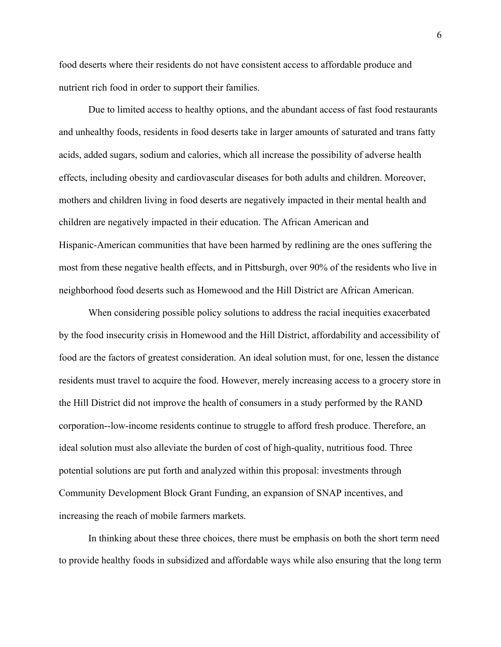food deserts where their residents do not have consistent access to affordable produce and nutrient rich food in order to support their families.

Due to limited access to healthy options, and the abundant access of fast food restaurants and unhealthy foods, residents in food deserts take in larger amounts of saturated and trans fatty acids, added sugars, sodium and calories, which all increase the possibility of adverse health effects, including obesity and cardiovascular diseases for both adults and children. Moreover, mothers and children living in food deserts are negatively impacted in their mental health and children are negatively impacted in their education. The African American and Hispanic-American communities that have been harmed by redlining are the ones suffering the most from these negative health effects, and in Pittsburgh, over 90% of the residents who live in neighborhood food deserts such as Homewood and the Hill District are African American.

When considering possible policy solutions to address the racial inequities exacerbated by the food insecurity crisis in Homewood and the Hill District, affordability and accessibility of food are the factors of greatest consideration. An ideal solution must, for one, lessen the distance residents must travel to acquire the food. However, merely increasing access to a grocery store in the Hill District did not improve the health of consumers in a study performed by the RAND corporation--low-income residents continue to struggle to afford fresh produce. Therefore, an ideal solution must also alleviate the burden of cost of high-quality, nutritious food. Three potential solutions are put forth and analyzed within this proposal: investments through Community Development Block Grant Funding, an expansion of SNAP incentives, and increasing the reach of mobile farmers markets.

In thinking about these three choices, there must be emphasis on both the short term need to provide healthy foods in subsidized and affordable ways while also ensuring that the long term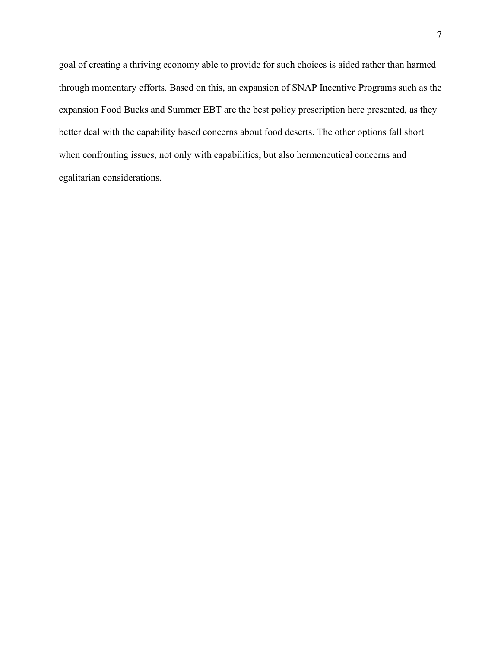goal of creating a thriving economy able to provide for such choices is aided rather than harmed through momentary efforts. Based on this, an expansion of SNAP Incentive Programs such as the expansion Food Bucks and Summer EBT are the best policy prescription here presented, as they better deal with the capability based concerns about food deserts. The other options fall short when confronting issues, not only with capabilities, but also hermeneutical concerns and egalitarian considerations.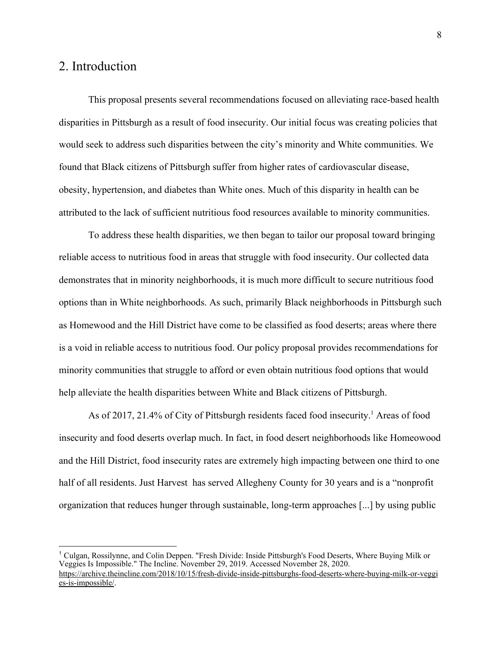# 2. Introduction

This proposal presents several recommendations focused on alleviating race-based health disparities in Pittsburgh as a result of food insecurity. Our initial focus was creating policies that would seek to address such disparities between the city's minority and White communities. We found that Black citizens of Pittsburgh suffer from higher rates of cardiovascular disease, obesity, hypertension, and diabetes than White ones. Much of this disparity in health can be attributed to the lack of sufficient nutritious food resources available to minority communities.

To address these health disparities, we then began to tailor our proposal toward bringing reliable access to nutritious food in areas that struggle with food insecurity. Our collected data demonstrates that in minority neighborhoods, it is much more difficult to secure nutritious food options than in White neighborhoods. As such, primarily Black neighborhoods in Pittsburgh such as Homewood and the Hill District have come to be classified as food deserts; areas where there is a void in reliable access to nutritious food. Our policy proposal provides recommendations for minority communities that struggle to afford or even obtain nutritious food options that would help alleviate the health disparities between White and Black citizens of Pittsburgh.

As of 2017, 21.4% of City of Pittsburgh residents faced food insecurity.<sup>1</sup> Areas of food insecurity and food deserts overlap much. In fact, in food desert neighborhoods like Homeowood and the Hill District, food insecurity rates are extremely high impacting between one third to one half of all residents. Just Harvest has served Allegheny County for 30 years and is a "nonprofit organization that reduces hunger through sustainable, long-term approaches [...] by using public

<sup>1</sup> Culgan, Rossilynne, and Colin Deppen. "Fresh Divide: Inside Pittsburgh's Food Deserts, Where Buying Milk or Veggies Is Impossible." The Incline. November 29, 2019. Accessed November 28, 2020. [https://archive.theincline.com/2018/10/15/fresh-divide-inside-pittsburghs-food-deserts-where-buying-milk-or-veggi](https://archive.theincline.com/2018/10/15/fresh-divide-inside-pittsburghs-food-deserts-where-buying-milk-or-veggies-is-impossible/) [es-is-impossible/.](https://archive.theincline.com/2018/10/15/fresh-divide-inside-pittsburghs-food-deserts-where-buying-milk-or-veggies-is-impossible/)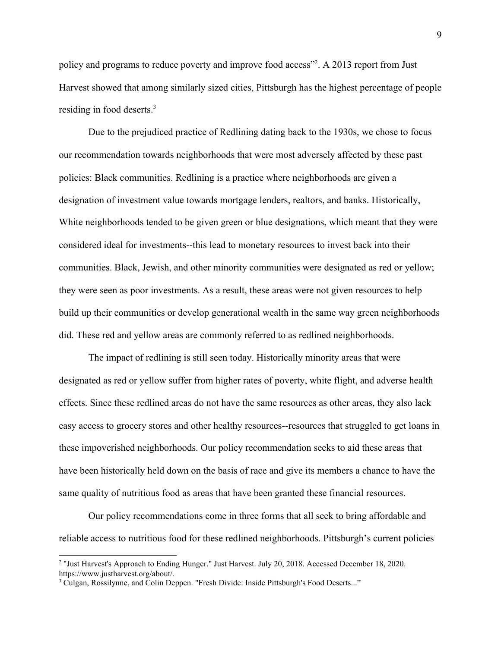policy and programs to reduce poverty and improve food access"<sup>2</sup>. A 2013 report from Just Harvest showed that among similarly sized cities, Pittsburgh has the highest percentage of people residing in food deserts.<sup>3</sup>

Due to the prejudiced practice of Redlining dating back to the 1930s, we chose to focus our recommendation towards neighborhoods that were most adversely affected by these past policies: Black communities. Redlining is a practice where neighborhoods are given a designation of investment value towards mortgage lenders, realtors, and banks. Historically, White neighborhoods tended to be given green or blue designations, which meant that they were considered ideal for investments--this lead to monetary resources to invest back into their communities. Black, Jewish, and other minority communities were designated as red or yellow; they were seen as poor investments. As a result, these areas were not given resources to help build up their communities or develop generational wealth in the same way green neighborhoods did. These red and yellow areas are commonly referred to as redlined neighborhoods.

The impact of redlining is still seen today. Historically minority areas that were designated as red or yellow suffer from higher rates of poverty, white flight, and adverse health effects. Since these redlined areas do not have the same resources as other areas, they also lack easy access to grocery stores and other healthy resources--resources that struggled to get loans in these impoverished neighborhoods. Our policy recommendation seeks to aid these areas that have been historically held down on the basis of race and give its members a chance to have the same quality of nutritious food as areas that have been granted these financial resources.

Our policy recommendations come in three forms that all seek to bring affordable and reliable access to nutritious food for these redlined neighborhoods. Pittsburgh's current policies

<sup>&</sup>lt;sup>2</sup> "Just Harvest's Approach to Ending Hunger." Just Harvest. July 20, 2018. Accessed December 18, 2020. https://www.justharvest.org/about/.

<sup>&</sup>lt;sup>3</sup> Culgan, Rossilynne, and Colin Deppen. "Fresh Divide: Inside Pittsburgh's Food Deserts..."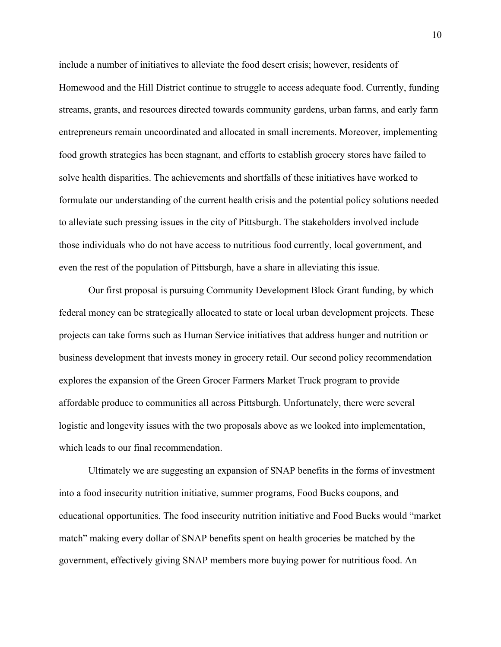include a number of initiatives to alleviate the food desert crisis; however, residents of Homewood and the Hill District continue to struggle to access adequate food. Currently, funding streams, grants, and resources directed towards community gardens, urban farms, and early farm entrepreneurs remain uncoordinated and allocated in small increments. Moreover, implementing food growth strategies has been stagnant, and efforts to establish grocery stores have failed to solve health disparities. The achievements and shortfalls of these initiatives have worked to formulate our understanding of the current health crisis and the potential policy solutions needed to alleviate such pressing issues in the city of Pittsburgh. The stakeholders involved include those individuals who do not have access to nutritious food currently, local government, and even the rest of the population of Pittsburgh, have a share in alleviating this issue.

Our first proposal is pursuing Community Development Block Grant funding, by which federal money can be strategically allocated to state or local urban development projects. These projects can take forms such as Human Service initiatives that address hunger and nutrition or business development that invests money in grocery retail. Our second policy recommendation explores the expansion of the Green Grocer Farmers Market Truck program to provide affordable produce to communities all across Pittsburgh. Unfortunately, there were several logistic and longevity issues with the two proposals above as we looked into implementation, which leads to our final recommendation.

Ultimately we are suggesting an expansion of SNAP benefits in the forms of investment into a food insecurity nutrition initiative, summer programs, Food Bucks coupons, and educational opportunities. The food insecurity nutrition initiative and Food Bucks would "market match" making every dollar of SNAP benefits spent on health groceries be matched by the government, effectively giving SNAP members more buying power for nutritious food. An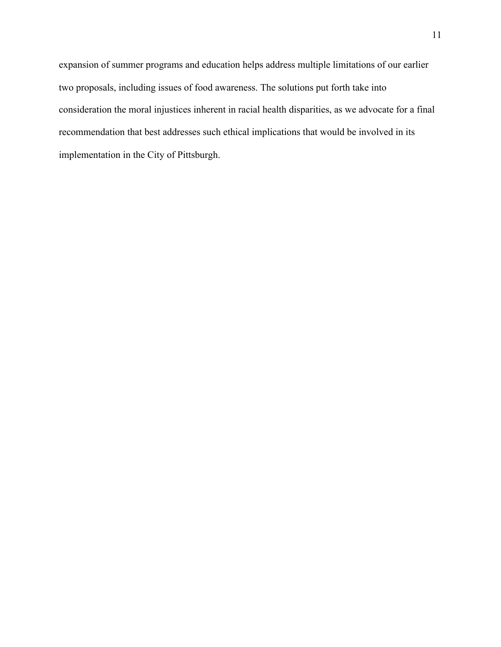expansion of summer programs and education helps address multiple limitations of our earlier two proposals, including issues of food awareness. The solutions put forth take into consideration the moral injustices inherent in racial health disparities, as we advocate for a final recommendation that best addresses such ethical implications that would be involved in its implementation in the City of Pittsburgh.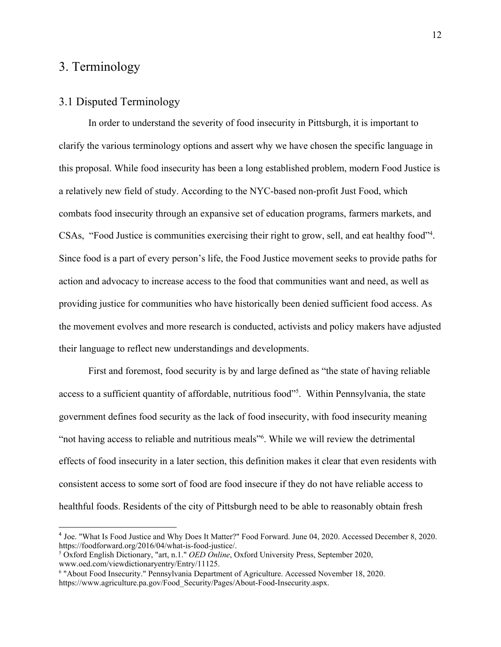# 3. Terminology

## 3.1 Disputed Terminology

In order to understand the severity of food insecurity in Pittsburgh, it is important to clarify the various terminology options and assert why we have chosen the specific language in this proposal. While food insecurity has been a long established problem, modern Food Justice is a relatively new field of study. According to the NYC-based non-profit Just Food, which combats food insecurity through an expansive set of education programs, farmers markets, and CSAs, "Food Justice is communities exercising their right to grow, sell, and eat healthy food"<sup>4</sup>. Since food is a part of every person's life, the Food Justice movement seeks to provide paths for action and advocacy to increase access to the food that communities want and need, as well as providing justice for communities who have historically been denied sufficient food access. As the movement evolves and more research is conducted, activists and policy makers have adjusted their language to reflect new understandings and developments.

First and foremost, food security is by and large defined as "the state of having reliable access to a sufficient quantity of affordable, nutritious food"<sup>5</sup>. Within Pennsylvania, the state government defines food security as the lack of food insecurity, with food insecurity meaning "not having access to reliable and nutritious meals"<sup>6</sup>. While we will review the detrimental effects of food insecurity in a later section, this definition makes it clear that even residents with consistent access to some sort of food are food insecure if they do not have reliable access to healthful foods. Residents of the city of Pittsburgh need to be able to reasonably obtain fresh

<sup>4</sup> Joe. "What Is Food Justice and Why Does It Matter?" Food Forward. June 04, 2020. Accessed December 8, 2020. https://foodforward.org/2016/04/what-is-food-justice/.

<sup>5</sup> Oxford English Dictionary, "art, n.1." *OED Online*, Oxford University Press, September 2020, www.oed.com/viewdictionaryentry/Entry/11125.

<sup>6</sup> "About Food Insecurity." Pennsylvania Department of Agriculture. Accessed November 18, 2020. https://www.agriculture.pa.gov/Food\_Security/Pages/About-Food-Insecurity.aspx.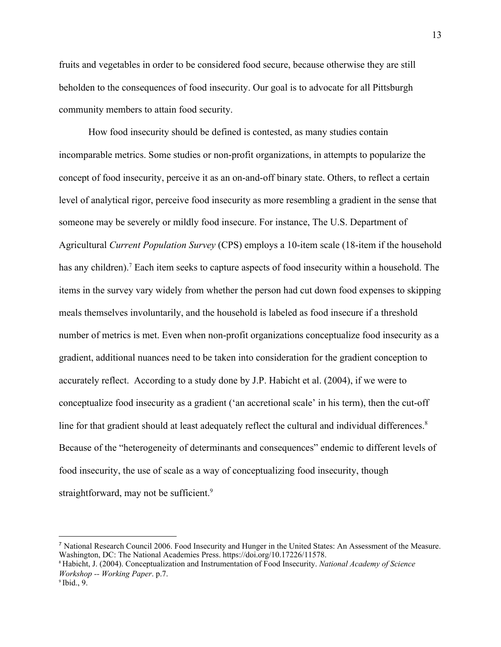fruits and vegetables in order to be considered food secure, because otherwise they are still beholden to the consequences of food insecurity. Our goal is to advocate for all Pittsburgh community members to attain food security.

How food insecurity should be defined is contested, as many studies contain incomparable metrics. Some studies or non-profit organizations, in attempts to popularize the concept of food insecurity, perceive it as an on-and-off binary state. Others, to reflect a certain level of analytical rigor, perceive food insecurity as more resembling a gradient in the sense that someone may be severely or mildly food insecure. For instance, The U.S. Department of Agricultural *Current Population Survey* (CPS) employs a 10-item scale (18-item if the household has any children).<sup>7</sup> Each item seeks to capture aspects of food insecurity within a household. The items in the survey vary widely from whether the person had cut down food expenses to skipping meals themselves involuntarily, and the household is labeled as food insecure if a threshold number of metrics is met. Even when non-profit organizations conceptualize food insecurity as a gradient, additional nuances need to be taken into consideration for the gradient conception to accurately reflect. According to a study done by J.P. Habicht et al. (2004), if we were to conceptualize food insecurity as a gradient ('an accretional scale' in his term), then the cut-off line for that gradient should at least adequately reflect the cultural and individual differences.<sup>8</sup> Because of the "heterogeneity of determinants and consequences" endemic to different levels of food insecurity, the use of scale as a way of conceptualizing food insecurity, though straightforward, may not be sufficient.<sup>9</sup>

<sup>7</sup> National Research Council 2006. Food Insecurity and Hunger in the United States: An Assessment of the Measure. Washington, DC: The National Academies Press. https://doi.org/10.17226/11578.

<sup>8</sup> Habicht, J. (2004). Conceptualization and Instrumentation of Food Insecurity. *National Academy of Science Workshop -- Working Paper*. p.7.

 $9$  Ibid., 9.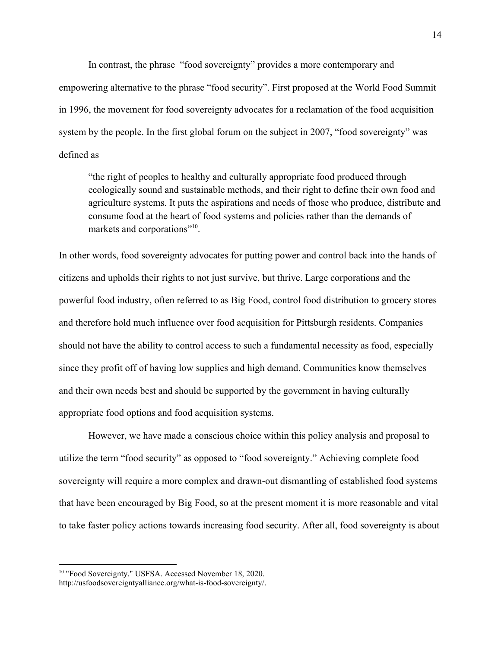In contrast, the phrase "food sovereignty" provides a more contemporary and empowering alternative to the phrase "food security". First proposed at the World Food Summit in 1996, the movement for food sovereignty advocates for a reclamation of the food acquisition system by the people. In the first global forum on the subject in 2007, "food sovereignty" was defined as

"the right of peoples to healthy and culturally appropriate food produced through ecologically sound and sustainable methods, and their right to define their own food and agriculture systems. It puts the aspirations and needs of those who produce, distribute and consume food at the heart of food systems and policies rather than the demands of markets and corporations"<sup>10</sup>.

In other words, food sovereignty advocates for putting power and control back into the hands of citizens and upholds their rights to not just survive, but thrive. Large corporations and the powerful food industry, often referred to as Big Food, control food distribution to grocery stores and therefore hold much influence over food acquisition for Pittsburgh residents. Companies should not have the ability to control access to such a fundamental necessity as food, especially since they profit off of having low supplies and high demand. Communities know themselves and their own needs best and should be supported by the government in having culturally appropriate food options and food acquisition systems.

However, we have made a conscious choice within this policy analysis and proposal to utilize the term "food security" as opposed to "food sovereignty." Achieving complete food sovereignty will require a more complex and drawn-out dismantling of established food systems that have been encouraged by Big Food, so at the present moment it is more reasonable and vital to take faster policy actions towards increasing food security. After all, food sovereignty is about

<sup>10</sup> "Food Sovereignty." USFSA. Accessed November 18, 2020.

http://usfoodsovereigntyalliance.org/what-is-food-sovereignty/.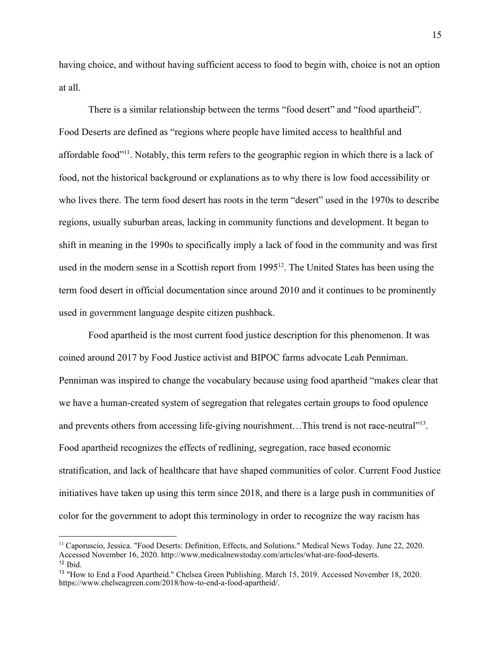having choice, and without having sufficient access to food to begin with, choice is not an option at all.

There is a similar relationship between the terms "food desert" and "food apartheid". Food Deserts are defined as "regions where people have limited access to healthful and affordable food"<sup>11</sup>. Notably, this term refers to the geographic region in which there is a lack of food, not the historical background or explanations as to why there is low food accessibility or who lives there. The term food desert has roots in the term "desert" used in the 1970s to describe regions, usually suburban areas, lacking in community functions and development. It began to shift in meaning in the 1990s to specifically imply a lack of food in the community and was first used in the modern sense in a Scottish report from 1995<sup>12</sup>. The United States has been using the term food desert in official documentation since around 2010 and it continues to be prominently used in government language despite citizen pushback.

Food apartheid is the most current food justice description for this phenomenon. It was coined around 2017 by Food Justice activist and BIPOC farms advocate Leah Penniman. Penniman was inspired to change the vocabulary because using food apartheid "makes clear that we have a human-created system of segregation that relegates certain groups to food opulence and prevents others from accessing life-giving nourishment... This trend is not race-neutral"<sup>13</sup>. Food apartheid recognizes the effects of redlining, segregation, race based economic stratification, and lack of healthcare that have shaped communities of color. Current Food Justice initiatives have taken up using this term since 2018, and there is a large push in communities of color for the government to adopt this terminology in order to recognize the way racism has

<sup>11</sup> Caporuscio, Jessica. "Food Deserts: Definition, Effects, and Solutions." Medical News Today. June 22, 2020. Accessed November 16, 2020. http://www.medicalnewstoday.com/articles/what-are-food-deserts.  $12$  Ibid.

<sup>13</sup> "How to End a Food Apartheid." Chelsea Green Publishing. March 15, 2019. Accessed November 18, 2020. https://www.chelseagreen.com/2018/how-to-end-a-food-apartheid/.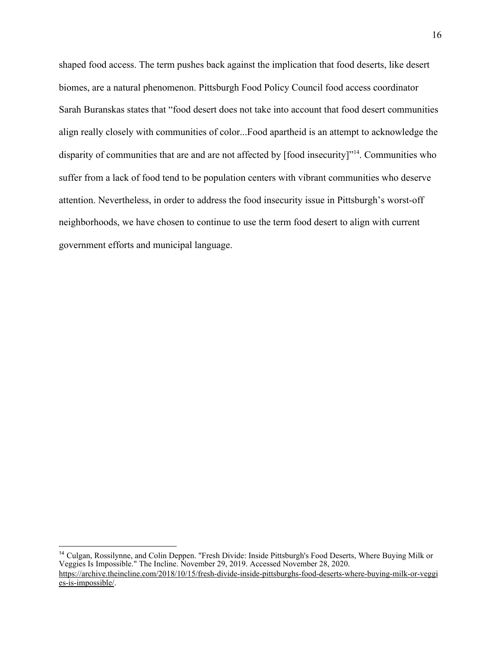shaped food access. The term pushes back against the implication that food deserts, like desert biomes, are a natural phenomenon. Pittsburgh Food Policy Council food access coordinator Sarah Buranskas states that "food desert does not take into account that food desert communities align really closely with communities of color...Food apartheid is an attempt to acknowledge the disparity of communities that are and are not affected by [food insecurity]"<sup>14</sup>. Communities who suffer from a lack of food tend to be population centers with vibrant communities who deserve attention. Nevertheless, in order to address the food insecurity issue in Pittsburgh's worst-off neighborhoods, we have chosen to continue to use the term food desert to align with current government efforts and municipal language.

<sup>14</sup> Culgan, Rossilynne, and Colin Deppen. "Fresh Divide: Inside Pittsburgh's Food Deserts, Where Buying Milk or Veggies Is Impossible." The Incline. November 29, 2019. Accessed November 28, 2020. [https://archive.theincline.com/2018/10/15/fresh-divide-inside-pittsburghs-food-deserts-where-buying-milk-or-veggi](https://archive.theincline.com/2018/10/15/fresh-divide-inside-pittsburghs-food-deserts-where-buying-milk-or-veggies-is-impossible/) [es-is-impossible/.](https://archive.theincline.com/2018/10/15/fresh-divide-inside-pittsburghs-food-deserts-where-buying-milk-or-veggies-is-impossible/)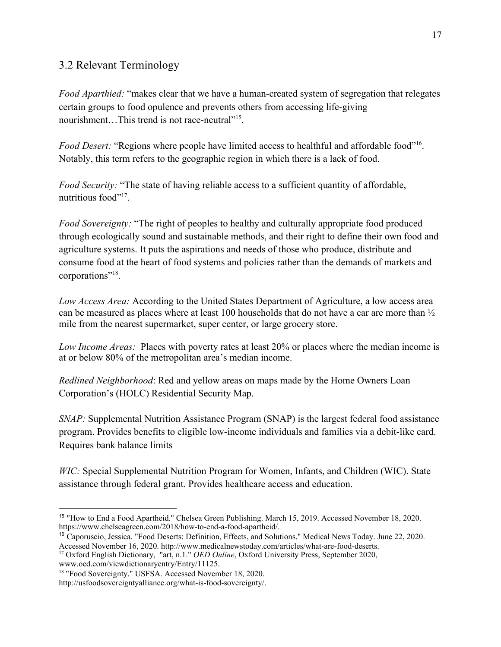## 3.2 Relevant Terminology

*Food Aparthied:* "makes clear that we have a human-created system of segregation that relegates certain groups to food opulence and prevents others from accessing life-giving nourishment...This trend is not race-neutral"<sup>15</sup>.

Food Desert: "Regions where people have limited access to healthful and affordable food"<sup>16</sup>. Notably, this term refers to the geographic region in which there is a lack of food.

*Food Security:* "The state of having reliable access to a sufficient quantity of affordable, nutritious food"<sup>17</sup>.

*Food Sovereignty:* "The right of peoples to healthy and culturally appropriate food produced through ecologically sound and sustainable methods, and their right to define their own food and agriculture systems. It puts the aspirations and needs of those who produce, distribute and consume food at the heart of food systems and policies rather than the demands of markets and corporations"<sup>18</sup>.

*Low Access Area:* According to the United States Department of Agriculture, a low access area can be measured as places where at least 100 households that do not have a car are more than ½ mile from the nearest supermarket, super center, or large grocery store.

*Low Income Areas:* Places with poverty rates at least 20% or places where the median income is at or below 80% of the metropolitan area's median income.

*Redlined Neighborhood*: Red and yellow areas on maps made by the Home Owners Loan Corporation's (HOLC) Residential Security Map.

*SNAP:* Supplemental Nutrition Assistance Program (SNAP) is the largest federal food assistance program. Provides benefits to eligible low-income individuals and families via a debit-like card. Requires bank balance limits

*WIC:* Special Supplemental Nutrition Program for Women, Infants, and Children (WIC). State assistance through federal grant. Provides healthcare access and education.

www.oed.com/viewdictionaryentry/Entry/11125.

<sup>15</sup> "How to End a Food Apartheid." Chelsea Green Publishing. March 15, 2019. Accessed November 18, 2020. https://www.chelseagreen.com/2018/how-to-end-a-food-apartheid/.

<sup>16</sup> Caporuscio, Jessica. "Food Deserts: Definition, Effects, and Solutions." Medical News Today. June 22, 2020. Accessed November 16, 2020. http://www.medicalnewstoday.com/articles/what-are-food-deserts.

<sup>17</sup> Oxford English Dictionary, "art, n.1." *OED Online*, Oxford University Press, September 2020,

<sup>18</sup> "Food Sovereignty." USFSA. Accessed November 18, 2020.

http://usfoodsovereigntyalliance.org/what-is-food-sovereignty/.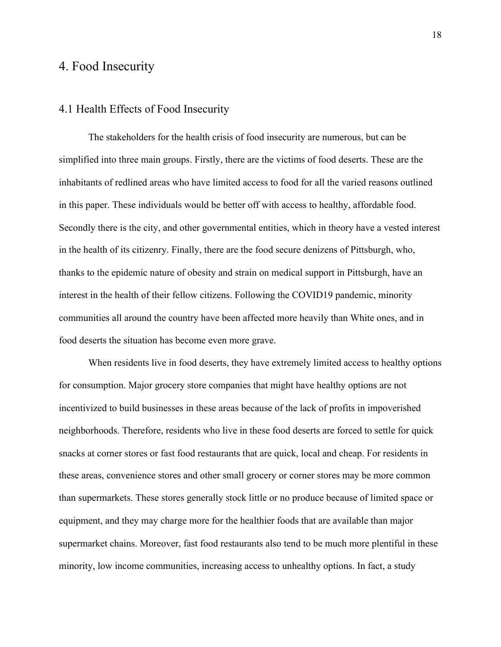# 4. Food Insecurity

## 4.1 Health Effects of Food Insecurity

The stakeholders for the health crisis of food insecurity are numerous, but can be simplified into three main groups. Firstly, there are the victims of food deserts. These are the inhabitants of redlined areas who have limited access to food for all the varied reasons outlined in this paper. These individuals would be better off with access to healthy, affordable food. Secondly there is the city, and other governmental entities, which in theory have a vested interest in the health of its citizenry. Finally, there are the food secure denizens of Pittsburgh, who, thanks to the epidemic nature of obesity and strain on medical support in Pittsburgh, have an interest in the health of their fellow citizens. Following the COVID19 pandemic, minority communities all around the country have been affected more heavily than White ones, and in food deserts the situation has become even more grave.

When residents live in food deserts, they have extremely limited access to healthy options for consumption. Major grocery store companies that might have healthy options are not incentivized to build businesses in these areas because of the lack of profits in impoverished neighborhoods. Therefore, residents who live in these food deserts are forced to settle for quick snacks at corner stores or fast food restaurants that are quick, local and cheap. For residents in these areas, convenience stores and other small grocery or corner stores may be more common than supermarkets. These stores generally stock little or no produce because of limited space or equipment, and they may charge more for the healthier foods that are available than major supermarket chains. Moreover, fast food restaurants also tend to be much more plentiful in these minority, low income communities, increasing access to unhealthy options. In fact, a study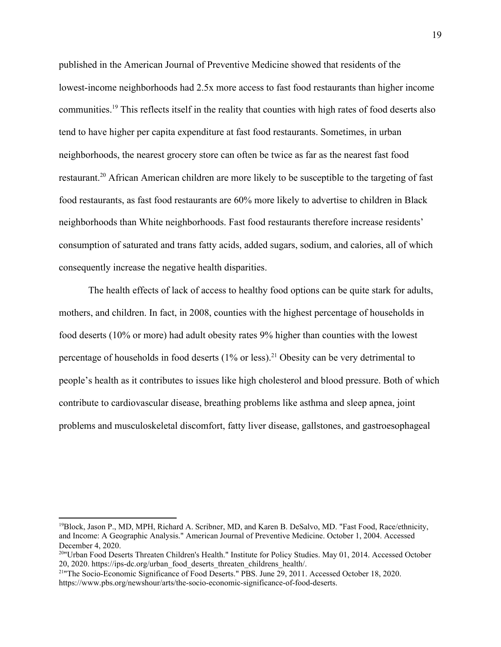published in the American Journal of Preventive Medicine showed that residents of the lowest-income neighborhoods had 2.5x more access to fast food restaurants than higher income communities.<sup>19</sup> This reflects itself in the reality that counties with high rates of food deserts also tend to have higher per capita expenditure at fast food restaurants. Sometimes, in urban neighborhoods, the nearest grocery store can often be twice as far as the nearest fast food restaurant.<sup>20</sup> African American children are more likely to be susceptible to the targeting of fast food restaurants, as fast food restaurants are 60% more likely to advertise to children in Black neighborhoods than White neighborhoods. Fast food restaurants therefore increase residents' consumption of saturated and trans fatty acids, added sugars, sodium, and calories, all of which consequently increase the negative health disparities.

The health effects of lack of access to healthy food options can be quite stark for adults, mothers, and children. In fact, in 2008, counties with the highest percentage of households in food deserts (10% or more) had adult obesity rates 9% higher than counties with the lowest percentage of households in food deserts  $(1\%$  or less).<sup>21</sup> Obesity can be very detrimental to people's health as it contributes to issues like high cholesterol and blood pressure. Both of which contribute to cardiovascular disease, breathing problems like asthma and sleep apnea, joint problems and musculoskeletal discomfort, fatty liver disease, gallstones, and gastroesophageal

<sup>19</sup>Block, Jason P., MD, MPH, Richard A. Scribner, MD, and Karen B. DeSalvo, MD. "Fast Food, Race/ethnicity, and Income: A Geographic Analysis." American Journal of Preventive Medicine. October 1, 2004. Accessed December 4, 2020.

<sup>&</sup>lt;sup>20</sup>"Urban Food Deserts Threaten Children's Health." Institute for Policy Studies. May 01, 2014. Accessed October 20, 2020. https://ips-dc.org/urban\_food\_deserts\_threaten\_childrens\_health/.

<sup>&</sup>lt;sup>21</sup>The Socio-Economic Significance of Food Deserts." PBS. June 29, 2011. Accessed October 18, 2020. https://www.pbs.org/newshour/arts/the-socio-economic-significance-of-food-deserts.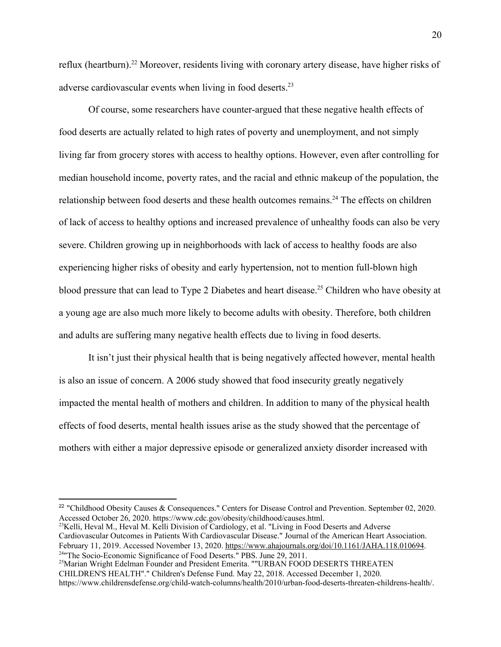reflux (heartburn).<sup>22</sup> Moreover, residents living with coronary artery disease, have higher risks of adverse cardiovascular events when living in food deserts.<sup>23</sup>

Of course, some researchers have counter-argued that these negative health effects of food deserts are actually related to high rates of poverty and unemployment, and not simply living far from grocery stores with access to healthy options. However, even after controlling for median household income, poverty rates, and the racial and ethnic makeup of the population, the relationship between food deserts and these health outcomes remains.<sup>24</sup> The effects on children of lack of access to healthy options and increased prevalence of unhealthy foods can also be very severe. Children growing up in neighborhoods with lack of access to healthy foods are also experiencing higher risks of obesity and early hypertension, not to mention full-blown high blood pressure that can lead to Type 2 Diabetes and heart disease.<sup>25</sup> Children who have obesity at a young age are also much more likely to become adults with obesity. Therefore, both children and adults are suffering many negative health effects due to living in food deserts.

It isn't just their physical health that is being negatively affected however, mental health is also an issue of concern. A 2006 study showed that food insecurity greatly negatively impacted the mental health of mothers and children. In addition to many of the physical health effects of food deserts, mental health issues arise as the study showed that the percentage of mothers with either a major depressive episode or generalized anxiety disorder increased with

<sup>23</sup>Kelli, Heval M., Heval M. Kelli Division of Cardiology, et al. "Living in Food Deserts and Adverse Cardiovascular Outcomes in Patients With Cardiovascular Disease." Journal of the American Heart Association. February 11, 2019. Accessed November 13, 2020. <https://www.ahajournals.org/doi/10.1161/JAHA.118.010694>. <sup>24</sup>"The Socio-Economic Significance of Food Deserts." PBS. June 29, 2011.

<sup>&</sup>lt;sup>22</sup> "Childhood Obesity Causes & Consequences." Centers for Disease Control and Prevention. September 02, 2020. Accessed October 26, 2020. https://www.cdc.gov/obesity/childhood/causes.html.

<sup>&</sup>lt;sup>25</sup>Marian Wright Edelman Founder and President Emerita. ""URBAN FOOD DESERTS THREATEN CHILDREN'S HEALTH"." Children's Defense Fund. May 22, 2018. Accessed December 1, 2020. https://www.childrensdefense.org/child-watch-columns/health/2010/urban-food-deserts-threaten-childrens-health/.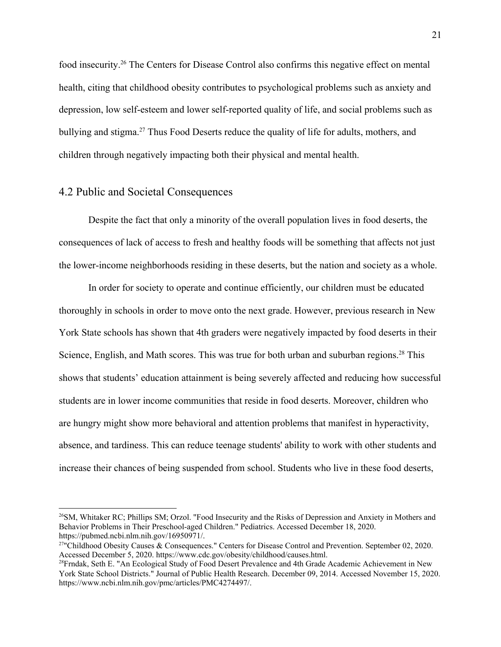food insecurity.<sup>26</sup> The Centers for Disease Control also confirms this negative effect on mental health, citing that childhood obesity contributes to psychological problems such as anxiety and depression, low self-esteem and lower self-reported quality of life, and social problems such as bullying and stigma.<sup>27</sup> Thus Food Deserts reduce the quality of life for adults, mothers, and children through negatively impacting both their physical and mental health.

#### 4.2 Public and Societal Consequences

Despite the fact that only a minority of the overall population lives in food deserts, the consequences of lack of access to fresh and healthy foods will be something that affects not just the lower-income neighborhoods residing in these deserts, but the nation and society as a whole.

In order for society to operate and continue efficiently, our children must be educated thoroughly in schools in order to move onto the next grade. However, previous research in New York State schools has shown that 4th graders were negatively impacted by food deserts in their Science, English, and Math scores. This was true for both urban and suburban regions.<sup>28</sup> This shows that students' education attainment is being severely affected and reducing how successful students are in lower income communities that reside in food deserts. Moreover, children who are hungry might show more behavioral and attention problems that manifest in hyperactivity, absence, and tardiness. This can reduce teenage students' ability to work with other students and increase their chances of being suspended from school. Students who live in these food deserts,

<sup>&</sup>lt;sup>26</sup>SM, Whitaker RC; Phillips SM; Orzol. "Food Insecurity and the Risks of Depression and Anxiety in Mothers and Behavior Problems in Their Preschool-aged Children." Pediatrics. Accessed December 18, 2020. https://pubmed.ncbi.nlm.nih.gov/16950971/.

<sup>&</sup>lt;sup>27</sup>"Childhood Obesity Causes & Consequences." Centers for Disease Control and Prevention. September 02, 2020. Accessed December 5, 2020. https://www.cdc.gov/obesity/childhood/causes.html.

<sup>&</sup>lt;sup>28</sup>Frndak, Seth E. "An Ecological Study of Food Desert Prevalence and 4th Grade Academic Achievement in New York State School Districts." Journal of Public Health Research. December 09, 2014. Accessed November 15, 2020. https://www.ncbi.nlm.nih.gov/pmc/articles/PMC4274497/.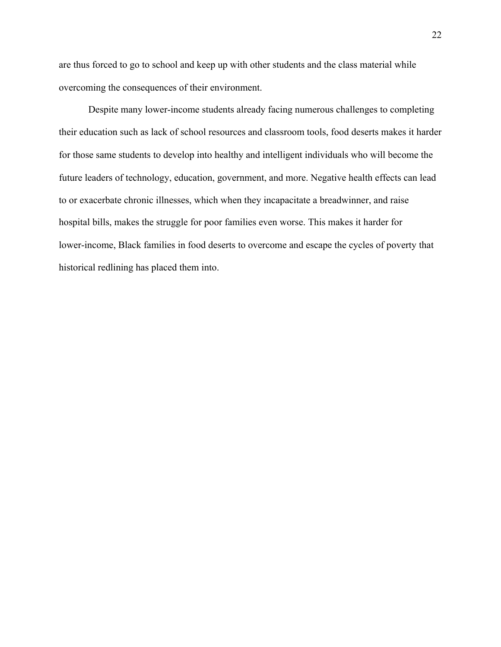are thus forced to go to school and keep up with other students and the class material while overcoming the consequences of their environment.

Despite many lower-income students already facing numerous challenges to completing their education such as lack of school resources and classroom tools, food deserts makes it harder for those same students to develop into healthy and intelligent individuals who will become the future leaders of technology, education, government, and more. Negative health effects can lead to or exacerbate chronic illnesses, which when they incapacitate a breadwinner, and raise hospital bills, makes the struggle for poor families even worse. This makes it harder for lower-income, Black families in food deserts to overcome and escape the cycles of poverty that historical redlining has placed them into.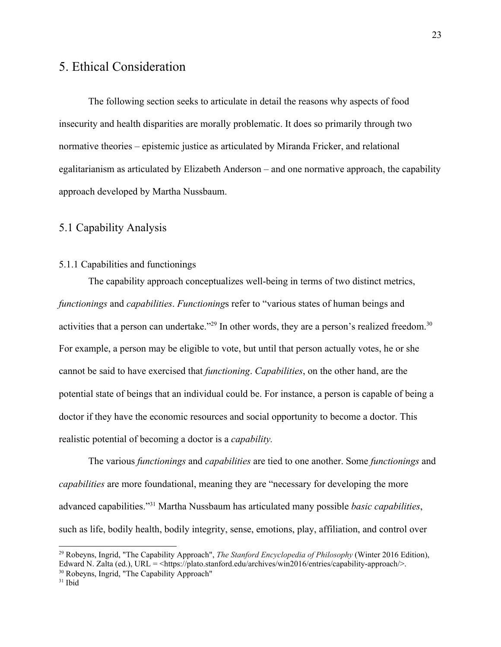# 5. Ethical Consideration

The following section seeks to articulate in detail the reasons why aspects of food insecurity and health disparities are morally problematic. It does so primarily through two normative theories – epistemic justice as articulated by Miranda Fricker, and relational egalitarianism as articulated by Elizabeth Anderson – and one normative approach, the capability approach developed by Martha Nussbaum.

### 5.1 Capability Analysis

#### 5.1.1 Capabilities and functionings

The capability approach conceptualizes well-being in terms of two distinct metrics, *functionings* and *capabilities*. *Functioning*s refer to "various states of human beings and activities that a person can undertake."<sup>29</sup> In other words, they are a person's realized freedom.<sup>30</sup> For example, a person may be eligible to vote, but until that person actually votes, he or she cannot be said to have exercised that *functioning*. *Capabilities*, on the other hand, are the potential state of beings that an individual could be. For instance, a person is capable of being a doctor if they have the economic resources and social opportunity to become a doctor. This realistic potential of becoming a doctor is a *capability.*

The various *functionings* and *capabilities* are tied to one another. Some *functionings* and *capabilities* are more foundational, meaning they are "necessary for developing the more advanced capabilities."<sup>31</sup> Martha Nussbaum has articulated many possible *basic capabilities*, such as life, bodily health, bodily integrity, sense, emotions, play, affiliation, and control over

<sup>29</sup> Robeyns, Ingrid, "The Capability Approach", *The Stanford Encyclopedia of Philosophy* (Winter 2016 Edition), Edward N. Zalta (ed.), URL = <https://plato.stanford.edu/archives/win2016/entries/capability-approach/>.

<sup>30</sup> Robeyns, Ingrid, "The Capability Approach"

 $31$  Ibid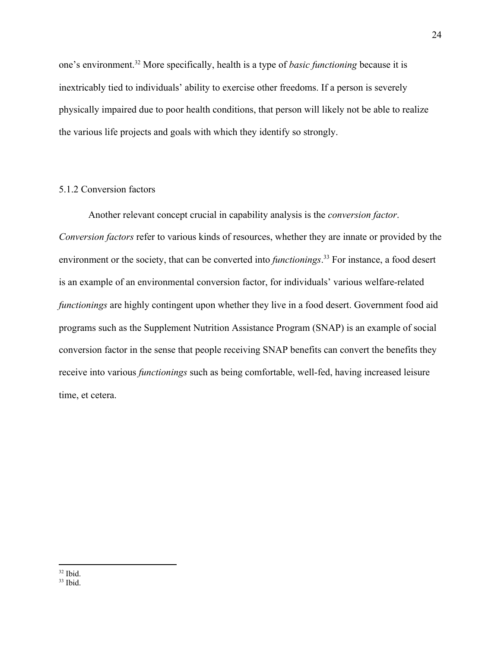one's environment.<sup>32</sup> More specifically, health is a type of *basic functioning* because it is inextricably tied to individuals' ability to exercise other freedoms. If a person is severely physically impaired due to poor health conditions, that person will likely not be able to realize the various life projects and goals with which they identify so strongly.

#### 5.1.2 Conversion factors

Another relevant concept crucial in capability analysis is the *conversion factor*. *Conversion factors* refer to various kinds of resources, whether they are innate or provided by the environment or the society, that can be converted into *functionings*. 33 For instance, a food desert is an example of an environmental conversion factor, for individuals' various welfare-related *functionings* are highly contingent upon whether they live in a food desert. Government food aid programs such as the Supplement Nutrition Assistance Program (SNAP) is an example of social conversion factor in the sense that people receiving SNAP benefits can convert the benefits they receive into various *functionings* such as being comfortable, well-fed, having increased leisure time, et cetera.

 $32$  Ibid.

 $33$  Ibid.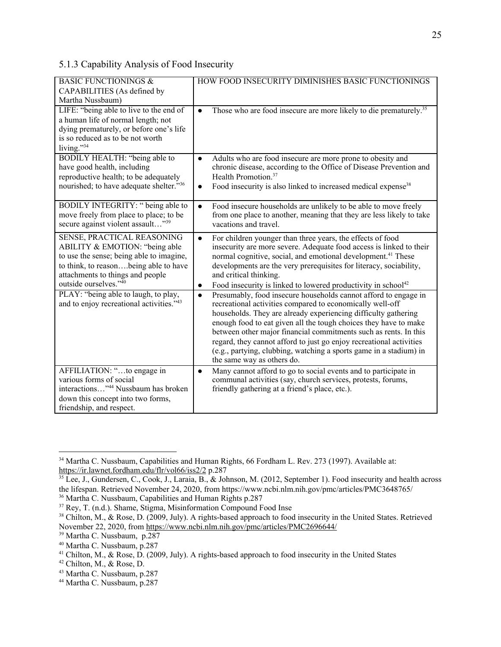## 5.1.3 Capability Analysis of Food Insecurity

| <b>BASIC FUNCTIONINGS &amp;</b>                 | HOW FOOD INSECURITY DIMINISHES BASIC FUNCTIONINGS                                          |
|-------------------------------------------------|--------------------------------------------------------------------------------------------|
| CAPABILITIES (As defined by                     |                                                                                            |
| Martha Nussbaum)                                |                                                                                            |
| LIFE: "being able to live to the end of         | Those who are food insecure are more likely to die prematurely. <sup>35</sup><br>$\bullet$ |
| a human life of normal length; not              |                                                                                            |
| dying prematurely, or before one's life         |                                                                                            |
| is so reduced as to be not worth                |                                                                                            |
| living."34                                      |                                                                                            |
| BODILY HEALTH: "being able to                   | Adults who are food insecure are more prone to obesity and<br>$\bullet$                    |
| have good health, including                     | chronic disease, according to the Office of Disease Prevention and                         |
| reproductive health; to be adequately           | Health Promotion. <sup>37</sup>                                                            |
| nourished; to have adequate shelter."36         | Food insecurity is also linked to increased medical expense <sup>38</sup><br>$\bullet$     |
|                                                 |                                                                                            |
| BODILY INTEGRITY: " being able to               | Food insecure households are unlikely to be able to move freely<br>$\bullet$               |
| move freely from place to place; to be          | from one place to another, meaning that they are less likely to take                       |
| secure against violent assault"39               | vacations and travel.                                                                      |
|                                                 |                                                                                            |
| SENSE, PRACTICAL REASONING                      | For children younger than three years, the effects of food<br>$\bullet$                    |
| ABILITY & EMOTION: "being able                  | insecurity are more severe. Adequate food access is linked to their                        |
| to use the sense; being able to imagine,        | normal cognitive, social, and emotional development. <sup>41</sup> These                   |
| to think, to reasonbeing able to have           | developments are the very prerequisites for literacy, sociability,                         |
| attachments to things and people                | and critical thinking.                                                                     |
| outside ourselves."40                           | Food insecurity is linked to lowered productivity in school <sup>42</sup><br>$\bullet$     |
| PLAY: "being able to laugh, to play,            | Presumably, food insecure households cannot afford to engage in<br>$\bullet$               |
| and to enjoy recreational activities."43        | recreational activities compared to economically well-off                                  |
|                                                 | households. They are already experiencing difficulty gathering                             |
|                                                 | enough food to eat given all the tough choices they have to make                           |
|                                                 | between other major financial commitments such as rents. In this                           |
|                                                 | regard, they cannot afford to just go enjoy recreational activities                        |
|                                                 | (e.g., partying, clubbing, watching a sports game in a stadium) in                         |
|                                                 | the same way as others do.                                                                 |
| AFFILIATION: "to engage in                      | Many cannot afford to go to social events and to participate in<br>$\bullet$               |
| various forms of social                         | communal activities (say, church services, protests, forums,                               |
| interactions" <sup>44</sup> Nussbaum has broken | friendly gathering at a friend's place, etc.).                                             |
| down this concept into two forms,               |                                                                                            |
| friendship, and respect.                        |                                                                                            |

<sup>&</sup>lt;sup>34</sup> Martha C. Nussbaum, Capabilities and Human Rights, 66 Fordham L. Rev. 273 (1997). Available at: <https://ir.lawnet.fordham.edu/flr/vol66/iss2/2> p.287

 $35$  Lee, J., Gundersen, C., Cook, J., Laraia, B., & Johnson, M. (2012, September 1). Food insecurity and health across the lifespan. Retrieved November 24, 2020, from https://www.ncbi.nlm.nih.gov/pmc/articles/PMC3648765/

<sup>36</sup> Martha C. Nussbaum, Capabilities and Human Rights p.287

<sup>37</sup> Rey, T. (n.d.). Shame, Stigma, Misinformation Compound Food Inse

<sup>&</sup>lt;sup>38</sup> Chilton, M., & Rose, D. (2009, July). A rights-based approach to food insecurity in the United States. Retrieved November 22, 2020, from <https://www.ncbi.nlm.nih.gov/pmc/articles/PMC2696644/>

<sup>39</sup> Martha C. Nussbaum, p.287

<sup>40</sup> Martha C. Nussbaum, p.287

<sup>&</sup>lt;sup>41</sup> Chilton, M., & Rose, D. (2009, July). A rights-based approach to food insecurity in the United States

<sup>42</sup> Chilton, M., & Rose, D.

<sup>43</sup> Martha C. Nussbaum, p.287

<sup>44</sup> Martha C. Nussbaum, p.287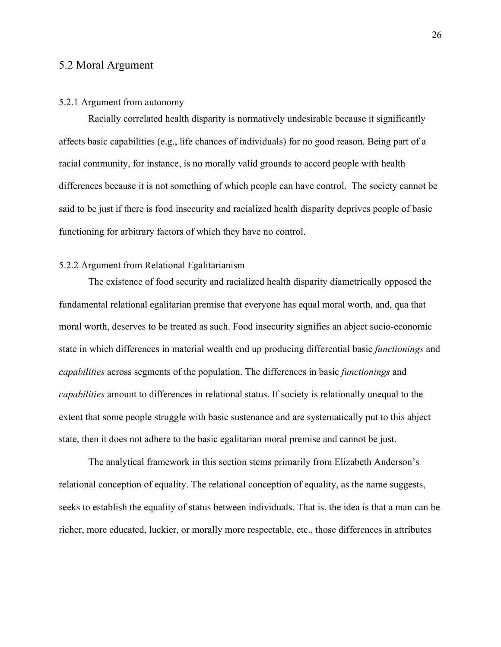#### 5.2 Moral Argument

#### 5.2.1 Argument from autonomy

Racially correlated health disparity is normatively undesirable because it significantly affects basic capabilities (e.g., life chances of individuals) for no good reason. Being part of a racial community, for instance, is no morally valid grounds to accord people with health differences because it is not something of which people can have control. The society cannot be said to be just if there is food insecurity and racialized health disparity deprives people of basic functioning for arbitrary factors of which they have no control.

#### 5.2.2 Argument from Relational Egalitarianism

The existence of food security and racialized health disparity diametrically opposed the fundamental relational egalitarian premise that everyone has equal moral worth, and, qua that moral worth, deserves to be treated as such. Food insecurity signifies an abject socio-economic state in which differences in material wealth end up producing differential basic *functionings* and *capabilities* across segments of the population. The differences in basic *functionings* and *capabilities* amount to differences in relational status. If society is relationally unequal to the extent that some people struggle with basic sustenance and are systematically put to this abject state, then it does not adhere to the basic egalitarian moral premise and cannot be just.

The analytical framework in this section stems primarily from Elizabeth Anderson's relational conception of equality. The relational conception of equality, as the name suggests, seeks to establish the equality of status between individuals. That is, the idea is that a man can be richer, more educated, luckier, or morally more respectable, etc., those differences in attributes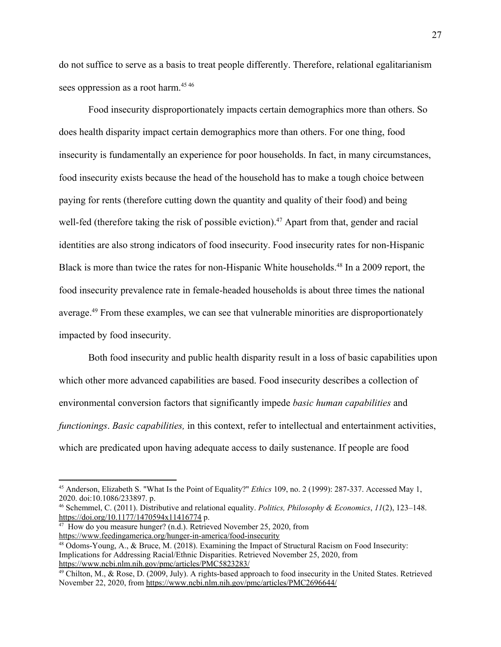do not suffice to serve as a basis to treat people differently. Therefore, relational egalitarianism sees oppression as a root harm.<sup>45 46</sup>

Food insecurity disproportionately impacts certain demographics more than others. So does health disparity impact certain demographics more than others. For one thing, food insecurity is fundamentally an experience for poor households. In fact, in many circumstances, food insecurity exists because the head of the household has to make a tough choice between paying for rents (therefore cutting down the quantity and quality of their food) and being well-fed (therefore taking the risk of possible eviction).<sup>47</sup> Apart from that, gender and racial identities are also strong indicators of food insecurity. Food insecurity rates for non-Hispanic Black is more than twice the rates for non-Hispanic White households.<sup>48</sup> In a 2009 report, the food insecurity prevalence rate in female-headed households is about three times the national average.<sup>49</sup> From these examples, we can see that vulnerable minorities are disproportionately impacted by food insecurity.

Both food insecurity and public health disparity result in a loss of basic capabilities upon which other more advanced capabilities are based. Food insecurity describes a collection of environmental conversion factors that significantly impede *basic human capabilities* and *functionings*. *Basic capabilities,* in this context, refer to intellectual and entertainment activities, which are predicated upon having adequate access to daily sustenance. If people are food

<sup>45</sup> Anderson, Elizabeth S. "What Is the Point of Equality?" *Ethics* 109, no. 2 (1999): 287-337. Accessed May 1, 2020. doi:10.1086/233897. p.

<sup>46</sup> Schemmel, C. (2011). Distributive and relational equality. *Politics, Philosophy & Economics*, *11*(2), 123–148. <https://doi.org/10.1177/1470594x11416774> p.

 $47$  How do you measure hunger? (n.d.). Retrieved November 25, 2020, from <https://www.feedingamerica.org/hunger-in-america/food-insecurity>

<sup>48</sup> Odoms-Young, A., & Bruce, M. (2018). Examining the Impact of Structural Racism on Food Insecurity: Implications for Addressing Racial/Ethnic Disparities. Retrieved November 25, 2020, from <https://www.ncbi.nlm.nih.gov/pmc/articles/PMC5823283/>

<sup>&</sup>lt;sup>49</sup> Chilton, M., & Rose, D. (2009, July). A rights-based approach to food insecurity in the United States. Retrieved November 22, 2020, from <https://www.ncbi.nlm.nih.gov/pmc/articles/PMC2696644/>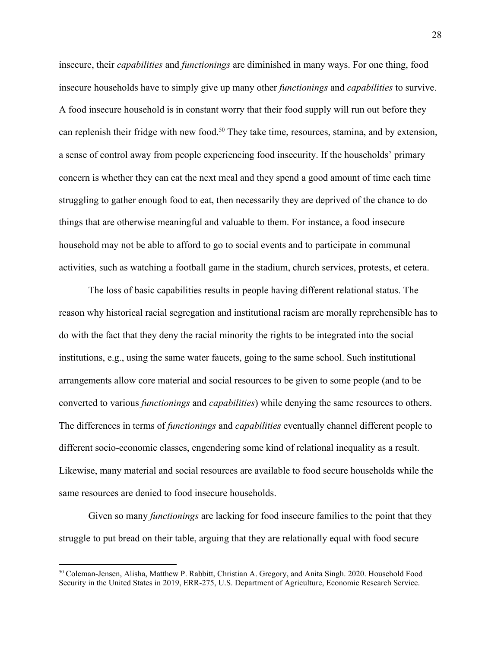insecure, their *capabilities* and *functionings* are diminished in many ways. For one thing, food insecure households have to simply give up many other *functionings* and *capabilities* to survive. A food insecure household is in constant worry that their food supply will run out before they can replenish their fridge with new food.<sup>50</sup> They take time, resources, stamina, and by extension, a sense of control away from people experiencing food insecurity. If the households' primary concern is whether they can eat the next meal and they spend a good amount of time each time struggling to gather enough food to eat, then necessarily they are deprived of the chance to do things that are otherwise meaningful and valuable to them. For instance, a food insecure household may not be able to afford to go to social events and to participate in communal activities, such as watching a football game in the stadium, church services, protests, et cetera.

The loss of basic capabilities results in people having different relational status. The reason why historical racial segregation and institutional racism are morally reprehensible has to do with the fact that they deny the racial minority the rights to be integrated into the social institutions, e.g., using the same water faucets, going to the same school. Such institutional arrangements allow core material and social resources to be given to some people (and to be converted to various *functionings* and *capabilities*) while denying the same resources to others. The differences in terms of *functionings* and *capabilities* eventually channel different people to different socio-economic classes, engendering some kind of relational inequality as a result. Likewise, many material and social resources are available to food secure households while the same resources are denied to food insecure households.

Given so many *functionings* are lacking for food insecure families to the point that they struggle to put bread on their table, arguing that they are relationally equal with food secure

<sup>50</sup> Coleman-Jensen, Alisha, Matthew P. Rabbitt, Christian A. Gregory, and Anita Singh. 2020. Household Food Security in the United States in 2019, ERR-275, U.S. Department of Agriculture, Economic Research Service.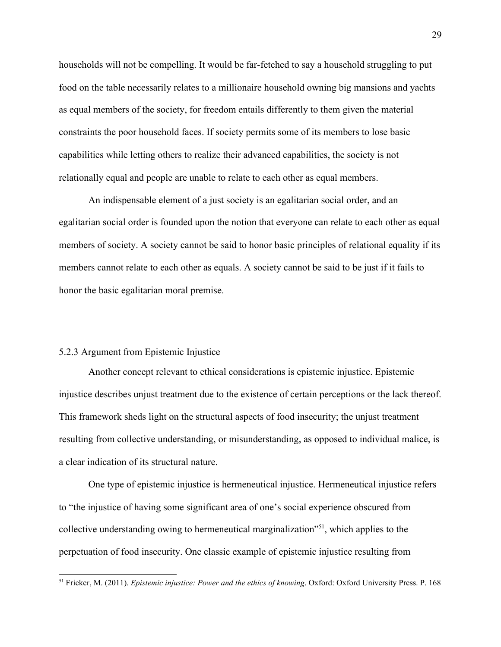households will not be compelling. It would be far-fetched to say a household struggling to put food on the table necessarily relates to a millionaire household owning big mansions and yachts as equal members of the society, for freedom entails differently to them given the material constraints the poor household faces. If society permits some of its members to lose basic capabilities while letting others to realize their advanced capabilities, the society is not relationally equal and people are unable to relate to each other as equal members.

An indispensable element of a just society is an egalitarian social order, and an egalitarian social order is founded upon the notion that everyone can relate to each other as equal members of society. A society cannot be said to honor basic principles of relational equality if its members cannot relate to each other as equals. A society cannot be said to be just if it fails to honor the basic egalitarian moral premise.

### 5.2.3 Argument from Epistemic Injustice

Another concept relevant to ethical considerations is epistemic injustice. Epistemic injustice describes unjust treatment due to the existence of certain perceptions or the lack thereof. This framework sheds light on the structural aspects of food insecurity; the unjust treatment resulting from collective understanding, or misunderstanding, as opposed to individual malice, is a clear indication of its structural nature.

One type of epistemic injustice is hermeneutical injustice. Hermeneutical injustice refers to "the injustice of having some significant area of one's social experience obscured from collective understanding owing to hermeneutical marginalization<sup>751</sup>, which applies to the perpetuation of food insecurity. One classic example of epistemic injustice resulting from

<sup>51</sup> Fricker, M. (2011). *Epistemic injustice: Power and the ethics of knowing*. Oxford: Oxford University Press. P. 168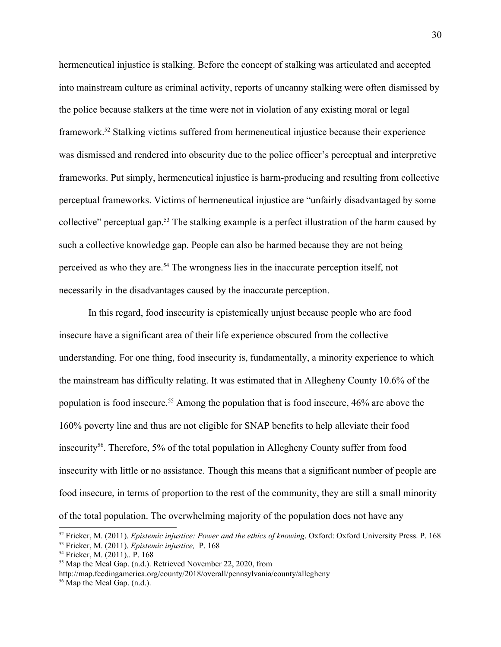hermeneutical injustice is stalking. Before the concept of stalking was articulated and accepted into mainstream culture as criminal activity, reports of uncanny stalking were often dismissed by the police because stalkers at the time were not in violation of any existing moral or legal framework.<sup>52</sup> Stalking victims suffered from hermeneutical injustice because their experience was dismissed and rendered into obscurity due to the police officer's perceptual and interpretive frameworks. Put simply, hermeneutical injustice is harm-producing and resulting from collective perceptual frameworks. Victims of hermeneutical injustice are "unfairly disadvantaged by some collective" perceptual gap.<sup>53</sup> The stalking example is a perfect illustration of the harm caused by such a collective knowledge gap. People can also be harmed because they are not being perceived as who they are.<sup>54</sup> The wrongness lies in the inaccurate perception itself, not necessarily in the disadvantages caused by the inaccurate perception.

In this regard, food insecurity is epistemically unjust because people who are food insecure have a significant area of their life experience obscured from the collective understanding. For one thing, food insecurity is, fundamentally, a minority experience to which the mainstream has difficulty relating. It was estimated that in Allegheny County 10.6% of the population is food insecure.<sup>55</sup> Among the population that is food insecure, 46% are above the 160% poverty line and thus are not eligible for SNAP benefits to help alleviate their food insecurity<sup>56</sup>. Therefore, 5% of the total population in Allegheny County suffer from food insecurity with little or no assistance. Though this means that a significant number of people are food insecure, in terms of proportion to the rest of the community, they are still a small minority of the total population. The overwhelming majority of the population does not have any

http://map.feedingamerica.org/county/2018/overall/pennsylvania/county/allegheny

<sup>52</sup> Fricker, M. (2011). *Epistemic injustice: Power and the ethics of knowing*. Oxford: Oxford University Press. P. 168 <sup>53</sup> Fricker, M. (2011). *Epistemic injustice,* P. 168

<sup>54</sup> Fricker, M. (2011).. P. 168

<sup>&</sup>lt;sup>55</sup> Map the Meal Gap. (n.d.). Retrieved November 22, 2020, from

<sup>56</sup> Map the Meal Gap. (n.d.).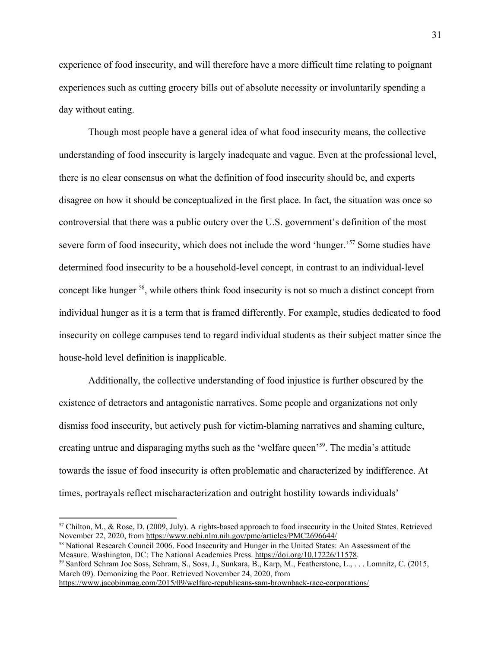experience of food insecurity, and will therefore have a more difficult time relating to poignant experiences such as cutting grocery bills out of absolute necessity or involuntarily spending a day without eating.

Though most people have a general idea of what food insecurity means, the collective understanding of food insecurity is largely inadequate and vague. Even at the professional level, there is no clear consensus on what the definition of food insecurity should be, and experts disagree on how it should be conceptualized in the first place. In fact, the situation was once so controversial that there was a public outcry over the U.S. government's definition of the most severe form of food insecurity, which does not include the word 'hunger.'<sup>57</sup> Some studies have determined food insecurity to be a household-level concept, in contrast to an individual-level concept like hunger <sup>58</sup>, while others think food insecurity is not so much a distinct concept from individual hunger as it is a term that is framed differently. For example, studies dedicated to food insecurity on college campuses tend to regard individual students as their subject matter since the house-hold level definition is inapplicable.

Additionally, the collective understanding of food injustice is further obscured by the existence of detractors and antagonistic narratives. Some people and organizations not only dismiss food insecurity, but actively push for victim-blaming narratives and shaming culture, creating untrue and disparaging myths such as the 'welfare queen'<sup>59</sup>. The media's attitude towards the issue of food insecurity is often problematic and characterized by indifference. At times, portrayals reflect mischaracterization and outright hostility towards individuals'

<sup>57</sup> Chilton, M., & Rose, D. (2009, July). A rights-based approach to food insecurity in the United States. Retrieved November 22, 2020, from <https://www.ncbi.nlm.nih.gov/pmc/articles/PMC2696644/>

<sup>58</sup> National Research Council 2006. Food Insecurity and Hunger in the United States: An Assessment of the Measure. Washington, DC: The National Academies Press. <https://doi.org/10.17226/11578>.

<sup>59</sup> Sanford Schram Joe Soss, Schram, S., Soss, J., Sunkara, B., Karp, M., Featherstone, L., . . . Lomnitz, C. (2015, March 09). Demonizing the Poor. Retrieved November 24, 2020, from <https://www.jacobinmag.com/2015/09/welfare-republicans-sam-brownback-race-corporations/>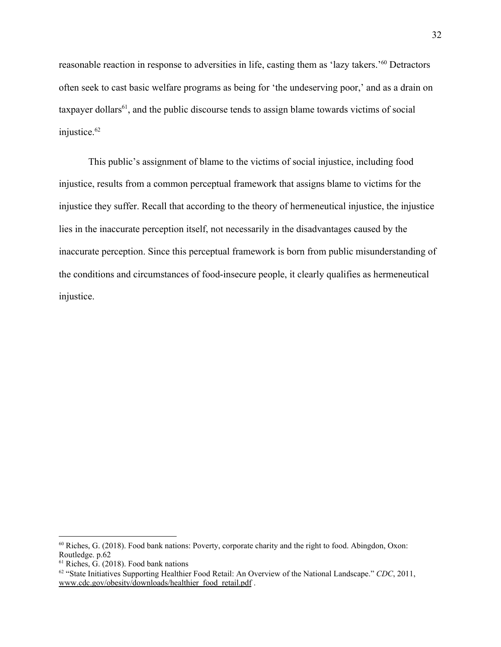reasonable reaction in response to adversities in life, casting them as 'lazy takers.'<sup>60</sup> Detractors often seek to cast basic welfare programs as being for 'the undeserving poor,' and as a drain on taxpayer dollars<sup>61</sup>, and the public discourse tends to assign blame towards victims of social injustice.<sup>62</sup>

This public's assignment of blame to the victims of social injustice, including food injustice, results from a common perceptual framework that assigns blame to victims for the injustice they suffer. Recall that according to the theory of hermeneutical injustice, the injustice lies in the inaccurate perception itself, not necessarily in the disadvantages caused by the inaccurate perception. Since this perceptual framework is born from public misunderstanding of the conditions and circumstances of food-insecure people, it clearly qualifies as hermeneutical injustice.

 $60$  Riches, G. (2018). Food bank nations: Poverty, corporate charity and the right to food. Abingdon, Oxon: Routledge. p.62

 $61$  Riches, G. (2018). Food bank nations

<sup>62</sup> "State Initiatives Supporting Healthier Food Retail: An Overview of the National Landscape." *CDC*, 2011, [www.cdc.gov/obesity/downloads/healthier\\_food\\_retail.pdf](http://www.cdc.gov/obesity/downloads/healthier_food_retail.pdf) .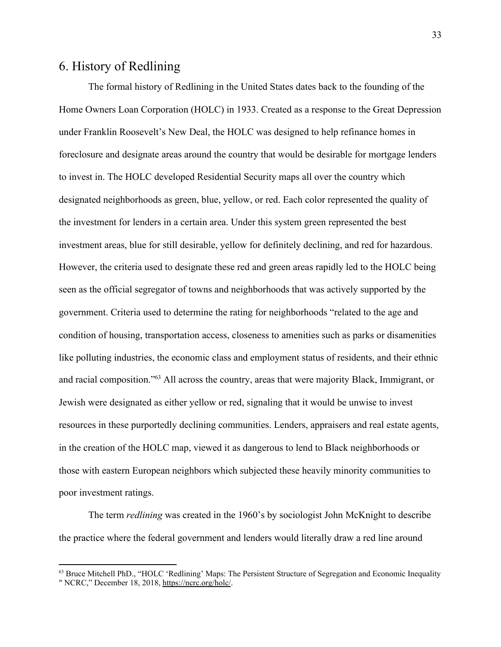# 6. History of Redlining

The formal history of Redlining in the United States dates back to the founding of the Home Owners Loan Corporation (HOLC) in 1933. Created as a response to the Great Depression under Franklin Roosevelt's New Deal, the HOLC was designed to help refinance homes in foreclosure and designate areas around the country that would be desirable for mortgage lenders to invest in. The HOLC developed Residential Security maps all over the country which designated neighborhoods as green, blue, yellow, or red. Each color represented the quality of the investment for lenders in a certain area. Under this system green represented the best investment areas, blue for still desirable, yellow for definitely declining, and red for hazardous. However, the criteria used to designate these red and green areas rapidly led to the HOLC being seen as the official segregator of towns and neighborhoods that was actively supported by the government. Criteria used to determine the rating for neighborhoods "related to the age and condition of housing, transportation access, closeness to amenities such as parks or disamenities like polluting industries, the economic class and employment status of residents, and their ethnic and racial composition."<sup>63</sup> All across the country, areas that were majority Black, Immigrant, or Jewish were designated as either yellow or red, signaling that it would be unwise to invest resources in these purportedly declining communities. Lenders, appraisers and real estate agents, in the creation of the HOLC map, viewed it as dangerous to lend to Black neighborhoods or those with eastern European neighbors which subjected these heavily minority communities to poor investment ratings.

The term *redlining* was created in the 1960's by sociologist John McKnight to describe the practice where the federal government and lenders would literally draw a red line around

<sup>63</sup> Bruce Mitchell PhD., "HOLC 'Redlining' Maps: The Persistent Structure of Segregation and Economic Inequality " NCRC," December 18, 2018, <https://ncrc.org/holc/>.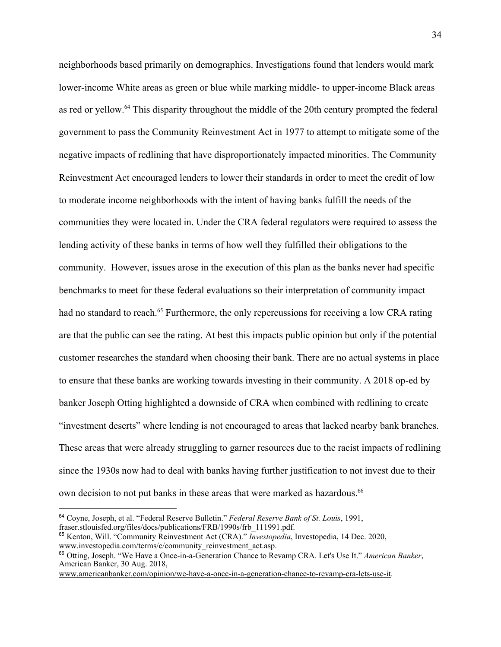neighborhoods based primarily on demographics. Investigations found that lenders would mark lower-income White areas as green or blue while marking middle- to upper-income Black areas as red or yellow.<sup>64</sup> This disparity throughout the middle of the 20th century prompted the federal government to pass the Community Reinvestment Act in 1977 to attempt to mitigate some of the negative impacts of redlining that have disproportionately impacted minorities. The Community Reinvestment Act encouraged lenders to lower their standards in order to meet the credit of low to moderate income neighborhoods with the intent of having banks fulfill the needs of the communities they were located in. Under the CRA federal regulators were required to assess the lending activity of these banks in terms of how well they fulfilled their obligations to the community. However, issues arose in the execution of this plan as the banks never had specific benchmarks to meet for these federal evaluations so their interpretation of community impact had no standard to reach.<sup>65</sup> Furthermore, the only repercussions for receiving a low CRA rating are that the public can see the rating. At best this impacts public opinion but only if the potential customer researches the standard when choosing their bank. There are no actual systems in place to ensure that these banks are working towards investing in their community. A 2018 op-ed by banker Joseph Otting highlighted a downside of CRA when combined with redlining to create "investment deserts" where lending is not encouraged to areas that lacked nearby bank branches. These areas that were already struggling to garner resources due to the racist impacts of redlining since the 1930s now had to deal with banks having further justification to not invest due to their own decision to not put banks in these areas that were marked as hazardous.<sup>66</sup>

<sup>64</sup> Coyne, Joseph, et al. "Federal Reserve Bulletin." *Federal Reserve Bank of St. Louis*, 1991, fraser.stlouisfed.org/files/docs/publications/FRB/1990s/frb\_111991.pdf.

<sup>65</sup> Kenton, Will. "Community Reinvestment Act (CRA)." *Investopedia*, Investopedia, 14 Dec. 2020, www.investopedia.com/terms/c/community\_reinvestment\_act.asp.

<sup>66</sup> Otting, Joseph. "We Have a Once-in-a-Generation Chance to Revamp CRA. Let's Use It." *American Banker*, American Banker, 30 Aug. 2018,

[www.americanbanker.com/opinion/we-have-a-once-in-a-generation-chance-to-revamp-cra-lets-use-it.](http://www.americanbanker.com/opinion/we-have-a-once-in-a-generation-chance-to-revamp-cra-lets-use-it)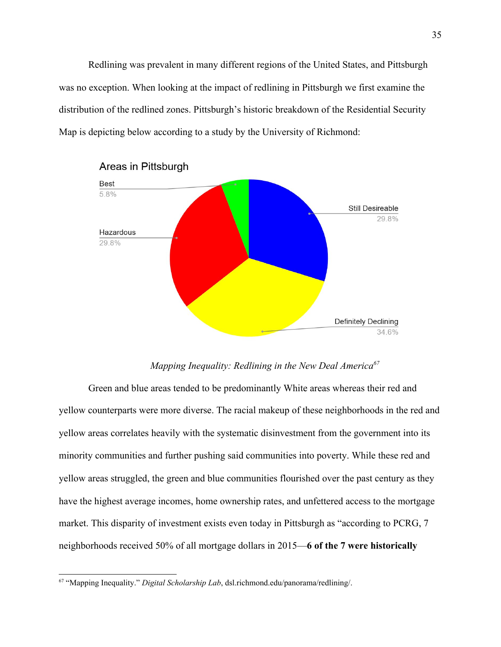Redlining was prevalent in many different regions of the United States, and Pittsburgh was no exception. When looking at the impact of redlining in Pittsburgh we first examine the distribution of the redlined zones. Pittsburgh's historic breakdown of the Residential Security Map is depicting below according to a study by the University of Richmond:



Areas in Pittsburgh

#### *Mapping Inequality: Redlining in the New Deal America<sup>67</sup>*

Green and blue areas tended to be predominantly White areas whereas their red and yellow counterparts were more diverse. The racial makeup of these neighborhoods in the red and yellow areas correlates heavily with the systematic disinvestment from the government into its minority communities and further pushing said communities into poverty. While these red and yellow areas struggled, the green and blue communities flourished over the past century as they have the highest average incomes, home ownership rates, and unfettered access to the mortgage market. This disparity of investment exists even today in Pittsburgh as "according to PCRG, 7 neighborhoods received 50% of all mortgage dollars in 2015—**6 of the 7 were historically**

<sup>67</sup> "Mapping Inequality." *Digital Scholarship Lab*, dsl.richmond.edu/panorama/redlining/.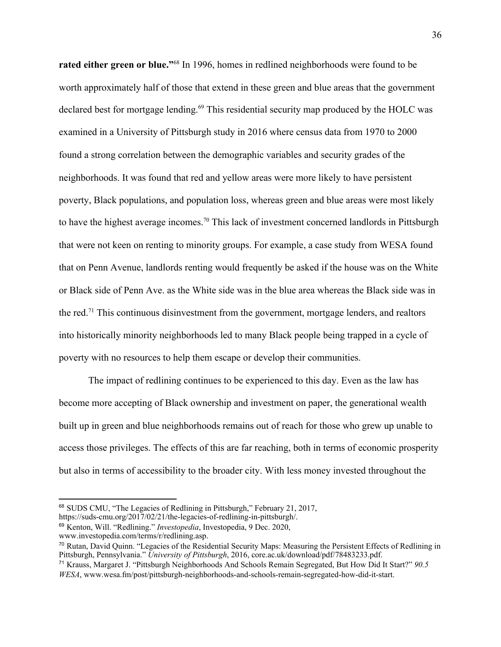**rated either green or blue."**<sup>68</sup> In 1996, homes in redlined neighborhoods were found to be worth approximately half of those that extend in these green and blue areas that the government declared best for mortgage lending.<sup>69</sup> This residential security map produced by the HOLC was examined in a University of Pittsburgh study in 2016 where census data from 1970 to 2000 found a strong correlation between the demographic variables and security grades of the neighborhoods. It was found that red and yellow areas were more likely to have persistent poverty, Black populations, and population loss, whereas green and blue areas were most likely to have the highest average incomes.<sup>70</sup> This lack of investment concerned landlords in Pittsburgh that were not keen on renting to minority groups. For example, a case study from WESA found that on Penn Avenue, landlords renting would frequently be asked if the house was on the White or Black side of Penn Ave. as the White side was in the blue area whereas the Black side was in the red.<sup>71</sup> This continuous disinvestment from the government, mortgage lenders, and realtors into historically minority neighborhoods led to many Black people being trapped in a cycle of poverty with no resources to help them escape or develop their communities.

The impact of redlining continues to be experienced to this day. Even as the law has become more accepting of Black ownership and investment on paper, the generational wealth built up in green and blue neighborhoods remains out of reach for those who grew up unable to access those privileges. The effects of this are far reaching, both in terms of economic prosperity but also in terms of accessibility to the broader city. With less money invested throughout the

<sup>68</sup> SUDS CMU, "The Legacies of Redlining in Pittsburgh," February 21, 2017,

https://suds-cmu.org/2017/02/21/the-legacies-of-redlining-in-pittsburgh/.

<sup>69</sup> Kenton, Will. "Redlining." *Investopedia*, Investopedia, 9 Dec. 2020,

www.investopedia.com/terms/r/redlining.asp.

 $70$  Rutan, David Ouinn. "Legacies of the Residential Security Maps: Measuring the Persistent Effects of Redlining in Pittsburgh, Pennsylvania." *University of Pittsburgh*, 2016, core.ac.uk/download/pdf/78483233.pdf.

<sup>71</sup> Krauss, Margaret J. "Pittsburgh Neighborhoods And Schools Remain Segregated, But How Did It Start?" *90.5 WESA*, www.wesa.fm/post/pittsburgh-neighborhoods-and-schools-remain-segregated-how-did-it-start.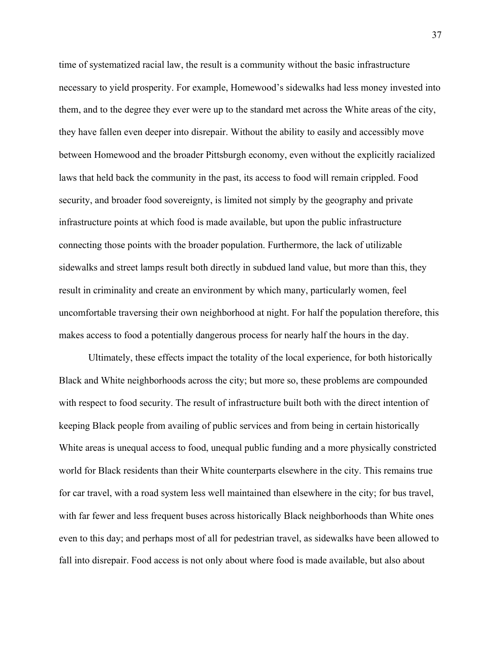time of systematized racial law, the result is a community without the basic infrastructure necessary to yield prosperity. For example, Homewood's sidewalks had less money invested into them, and to the degree they ever were up to the standard met across the White areas of the city, they have fallen even deeper into disrepair. Without the ability to easily and accessibly move between Homewood and the broader Pittsburgh economy, even without the explicitly racialized laws that held back the community in the past, its access to food will remain crippled. Food security, and broader food sovereignty, is limited not simply by the geography and private infrastructure points at which food is made available, but upon the public infrastructure connecting those points with the broader population. Furthermore, the lack of utilizable sidewalks and street lamps result both directly in subdued land value, but more than this, they result in criminality and create an environment by which many, particularly women, feel uncomfortable traversing their own neighborhood at night. For half the population therefore, this makes access to food a potentially dangerous process for nearly half the hours in the day.

Ultimately, these effects impact the totality of the local experience, for both historically Black and White neighborhoods across the city; but more so, these problems are compounded with respect to food security. The result of infrastructure built both with the direct intention of keeping Black people from availing of public services and from being in certain historically White areas is unequal access to food, unequal public funding and a more physically constricted world for Black residents than their White counterparts elsewhere in the city. This remains true for car travel, with a road system less well maintained than elsewhere in the city; for bus travel, with far fewer and less frequent buses across historically Black neighborhoods than White ones even to this day; and perhaps most of all for pedestrian travel, as sidewalks have been allowed to fall into disrepair. Food access is not only about where food is made available, but also about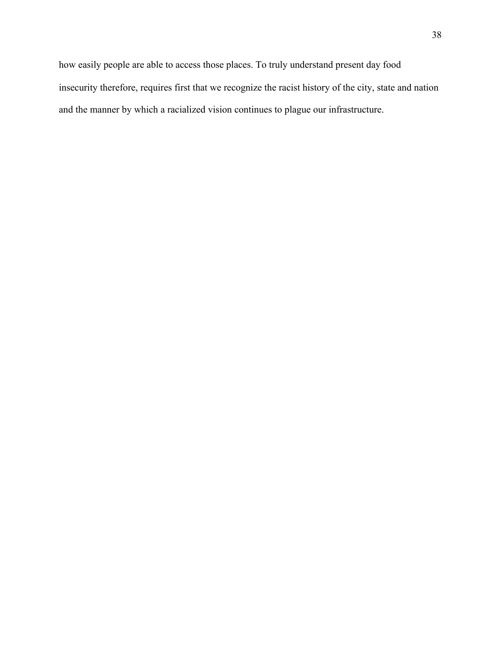how easily people are able to access those places. To truly understand present day food insecurity therefore, requires first that we recognize the racist history of the city, state and nation and the manner by which a racialized vision continues to plague our infrastructure.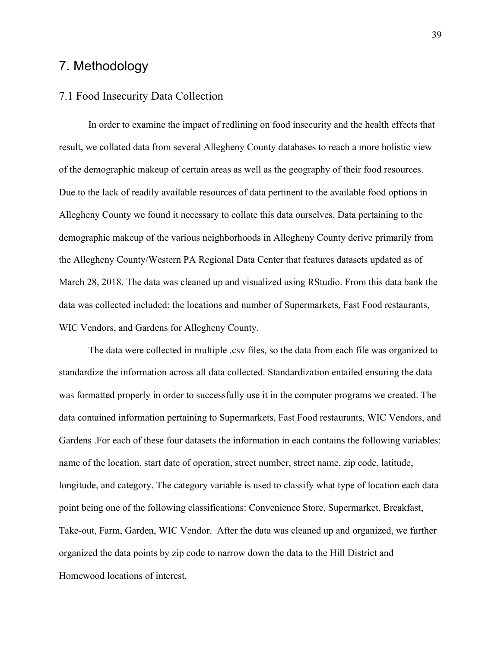# 7. Methodology

## 7.1 Food Insecurity Data Collection

In order to examine the impact of redlining on food insecurity and the health effects that result, we collated data from several Allegheny County databases to reach a more holistic view of the demographic makeup of certain areas as well as the geography of their food resources. Due to the lack of readily available resources of data pertinent to the available food options in Allegheny County we found it necessary to collate this data ourselves. Data pertaining to the demographic makeup of the various neighborhoods in Allegheny County derive primarily from the Allegheny County/Western PA Regional Data Center that features datasets updated as of March 28, 2018. The data was cleaned up and visualized using RStudio. From this data bank the data was collected included: the locations and number of Supermarkets, Fast Food restaurants, WIC Vendors, and Gardens for Allegheny County.

The data were collected in multiple .csv files, so the data from each file was organized to standardize the information across all data collected. Standardization entailed ensuring the data was formatted properly in order to successfully use it in the computer programs we created. The data contained information pertaining to Supermarkets, Fast Food restaurants, WIC Vendors, and Gardens .For each of these four datasets the information in each contains the following variables: name of the location, start date of operation, street number, street name, zip code, latitude, longitude, and category. The category variable is used to classify what type of location each data point being one of the following classifications: Convenience Store, Supermarket, Breakfast, Take-out, Farm, Garden, WIC Vendor. After the data was cleaned up and organized, we further organized the data points by zip code to narrow down the data to the Hill District and Homewood locations of interest.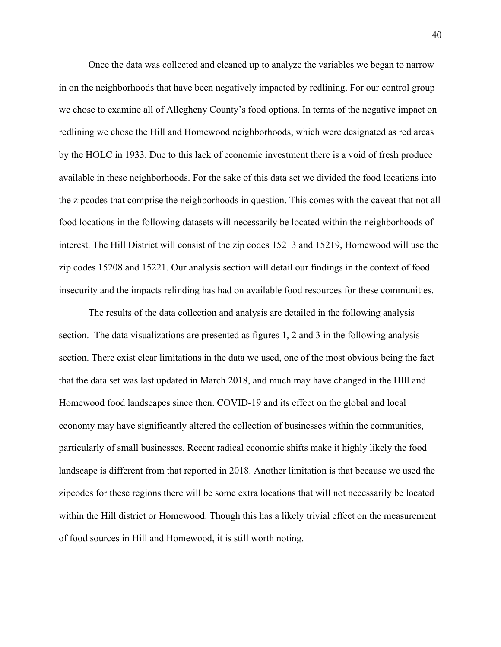Once the data was collected and cleaned up to analyze the variables we began to narrow in on the neighborhoods that have been negatively impacted by redlining. For our control group we chose to examine all of Allegheny County's food options. In terms of the negative impact on redlining we chose the Hill and Homewood neighborhoods, which were designated as red areas by the HOLC in 1933. Due to this lack of economic investment there is a void of fresh produce available in these neighborhoods. For the sake of this data set we divided the food locations into the zipcodes that comprise the neighborhoods in question. This comes with the caveat that not all food locations in the following datasets will necessarily be located within the neighborhoods of interest. The Hill District will consist of the zip codes 15213 and 15219, Homewood will use the zip codes 15208 and 15221. Our analysis section will detail our findings in the context of food insecurity and the impacts relinding has had on available food resources for these communities.

The results of the data collection and analysis are detailed in the following analysis section. The data visualizations are presented as figures 1, 2 and 3 in the following analysis section. There exist clear limitations in the data we used, one of the most obvious being the fact that the data set was last updated in March 2018, and much may have changed in the HIll and Homewood food landscapes since then. COVID-19 and its effect on the global and local economy may have significantly altered the collection of businesses within the communities, particularly of small businesses. Recent radical economic shifts make it highly likely the food landscape is different from that reported in 2018. Another limitation is that because we used the zipcodes for these regions there will be some extra locations that will not necessarily be located within the Hill district or Homewood. Though this has a likely trivial effect on the measurement of food sources in Hill and Homewood, it is still worth noting.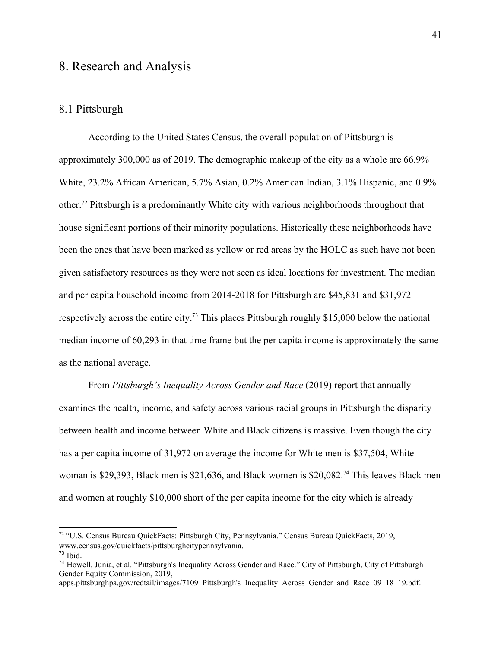# 8. Research and Analysis

## 8.1 Pittsburgh

According to the United States Census, the overall population of Pittsburgh is approximately 300,000 as of 2019. The demographic makeup of the city as a whole are 66.9% White, 23.2% African American, 5.7% Asian, 0.2% American Indian, 3.1% Hispanic, and 0.9% other.<sup>72</sup> Pittsburgh is a predominantly White city with various neighborhoods throughout that house significant portions of their minority populations. Historically these neighborhoods have been the ones that have been marked as yellow or red areas by the HOLC as such have not been given satisfactory resources as they were not seen as ideal locations for investment. The median and per capita household income from 2014-2018 for Pittsburgh are \$45,831 and \$31,972 respectively across the entire city.<sup>73</sup> This places Pittsburgh roughly \$15,000 below the national median income of 60,293 in that time frame but the per capita income is approximately the same as the national average.

From *Pittsburgh's Inequality Across Gender and Race* (2019) report that annually examines the health, income, and safety across various racial groups in Pittsburgh the disparity between health and income between White and Black citizens is massive. Even though the city has a per capita income of 31,972 on average the income for White men is \$37,504, White woman is \$29,393, Black men is \$21,636, and Black women is \$20,082.<sup>74</sup> This leaves Black men and women at roughly \$10,000 short of the per capita income for the city which is already

<sup>72</sup> "U.S. Census Bureau QuickFacts: Pittsburgh City, Pennsylvania." Census Bureau QuickFacts, 2019, www.census.gov/quickfacts/pittsburghcitypennsylvania.  $73$  Ibid.

<sup>74</sup> Howell, Junia, et al. "Pittsburgh's Inequality Across Gender and Race." City of Pittsburgh, City of Pittsburgh Gender Equity Commission, 2019,

apps.pittsburghpa.gov/redtail/images/7109\_Pittsburgh's\_Inequality\_Across\_Gender\_and\_Race\_09\_18\_19.pdf.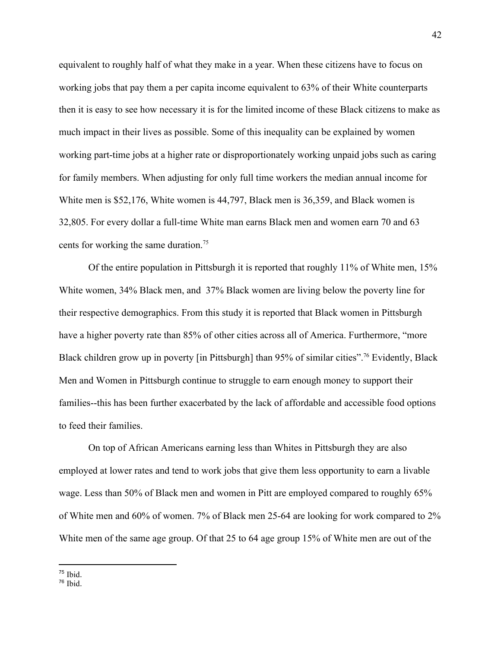equivalent to roughly half of what they make in a year. When these citizens have to focus on working jobs that pay them a per capita income equivalent to 63% of their White counterparts then it is easy to see how necessary it is for the limited income of these Black citizens to make as much impact in their lives as possible. Some of this inequality can be explained by women working part-time jobs at a higher rate or disproportionately working unpaid jobs such as caring for family members. When adjusting for only full time workers the median annual income for White men is \$52,176, White women is 44,797, Black men is 36,359, and Black women is 32,805. For every dollar a full-time White man earns Black men and women earn 70 and 63 cents for working the same duration.<sup>75</sup>

Of the entire population in Pittsburgh it is reported that roughly 11% of White men, 15% White women, 34% Black men, and 37% Black women are living below the poverty line for their respective demographics. From this study it is reported that Black women in Pittsburgh have a higher poverty rate than 85% of other cities across all of America. Furthermore, "more Black children grow up in poverty [in Pittsburgh] than 95% of similar cities".<sup>76</sup> Evidently, Black Men and Women in Pittsburgh continue to struggle to earn enough money to support their families--this has been further exacerbated by the lack of affordable and accessible food options to feed their families.

On top of African Americans earning less than Whites in Pittsburgh they are also employed at lower rates and tend to work jobs that give them less opportunity to earn a livable wage. Less than 50% of Black men and women in Pitt are employed compared to roughly 65% of White men and 60% of women. 7% of Black men 25-64 are looking for work compared to 2% White men of the same age group. Of that 25 to 64 age group 15% of White men are out of the

 $75$  Ibid.

<sup>76</sup> Ibid.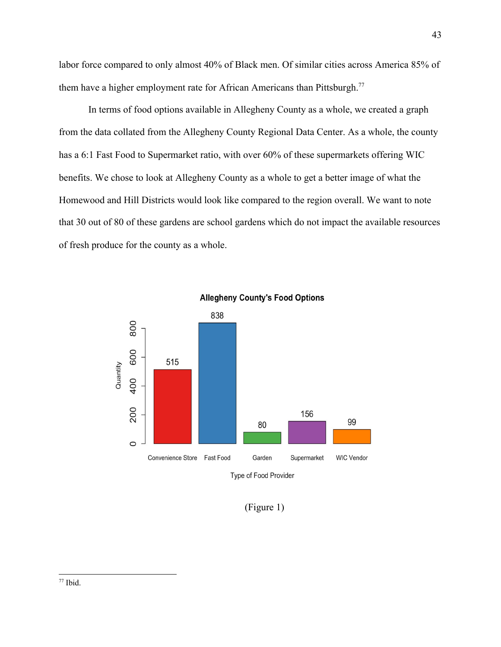labor force compared to only almost 40% of Black men. Of similar cities across America 85% of them have a higher employment rate for African Americans than Pittsburgh.<sup>77</sup>

In terms of food options available in Allegheny County as a whole, we created a graph from the data collated from the Allegheny County Regional Data Center. As a whole, the county has a 6:1 Fast Food to Supermarket ratio, with over 60% of these supermarkets offering WIC benefits. We chose to look at Allegheny County as a whole to get a better image of what the Homewood and Hill Districts would look like compared to the region overall. We want to note that 30 out of 80 of these gardens are school gardens which do not impact the available resources of fresh produce for the county as a whole.



**Allegheny County's Food Options** 

(Figure 1)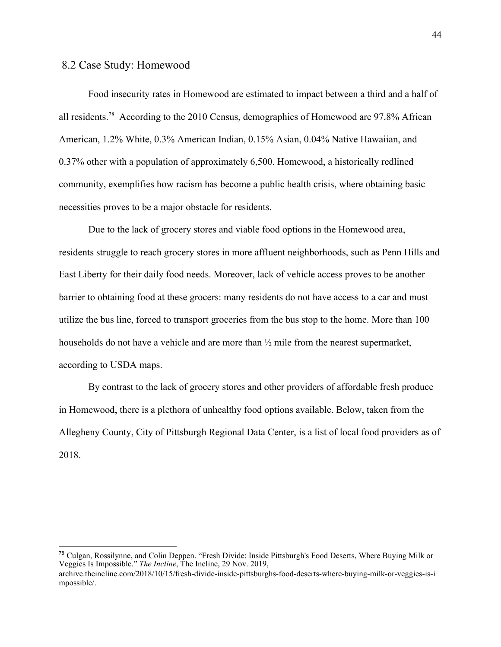#### 8.2 Case Study: Homewood

Food insecurity rates in Homewood are estimated to impact between a third and a half of all residents.<sup>78</sup> According to the 2010 Census, demographics of Homewood are 97.8% African American, 1.2% White, 0.3% American Indian, 0.15% Asian, 0.04% Native Hawaiian, and 0.37% other with a population of approximately 6,500. Homewood, a historically redlined community, exemplifies how racism has become a public health crisis, where obtaining basic necessities proves to be a major obstacle for residents.

Due to the lack of grocery stores and viable food options in the Homewood area, residents struggle to reach grocery stores in more affluent neighborhoods, such as Penn Hills and East Liberty for their daily food needs. Moreover, lack of vehicle access proves to be another barrier to obtaining food at these grocers: many residents do not have access to a car and must utilize the bus line, forced to transport groceries from the bus stop to the home. More than 100 households do not have a vehicle and are more than  $\frac{1}{2}$  mile from the nearest supermarket, according to [USDA maps.](https://www.ers.usda.gov/data-products/food-access-research-atlas/go-to-the-atlas/)

By contrast to the lack of grocery stores and other providers of affordable fresh produce in Homewood, there is a plethora of unhealthy food options available. Below, taken from the Allegheny County, City of Pittsburgh Regional Data Center, is a list of local food providers as of 2018.

<sup>78</sup> Culgan, Rossilynne, and Colin Deppen. "Fresh Divide: Inside Pittsburgh's Food Deserts, Where Buying Milk or Veggies Is Impossible." *The Incline*, The Incline, 29 Nov. 2019,

archive.theincline.com/2018/10/15/fresh-divide-inside-pittsburghs-food-deserts-where-buying-milk-or-veggies-is-i mpossible/.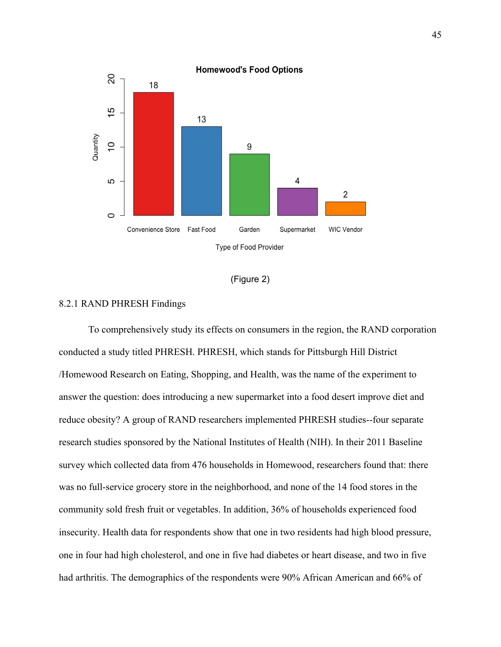

| (Figure 2) |  |  |
|------------|--|--|
|            |  |  |

#### 8.2.1 RAND PHRESH Findings

To comprehensively study its effects on consumers in the region, the RAND corporation conducted a study titled PHRESH. PHRESH, which stands for Pittsburgh Hill District /Homewood Research on Eating, Shopping, and Health, was the name of the experiment to answer the question: does introducing a new supermarket into a food desert improve diet and reduce obesity? A group of RAND researchers implemented PHRESH studies--four separate research studies sponsored by the National Institutes of Health (NIH). In their 2011 Baseline survey which collected data from 476 households in Homewood, researchers found that: there was no full-service grocery store in the neighborhood, and none of the 14 food stores in the community sold fresh fruit or vegetables. In addition, 36% of households experienced food insecurity. Health data for respondents show that one in two residents had high blood pressure, one in four had high cholesterol, and one in five had diabetes or heart disease, and two in five had arthritis. The demographics of the respondents were 90% African American and 66% of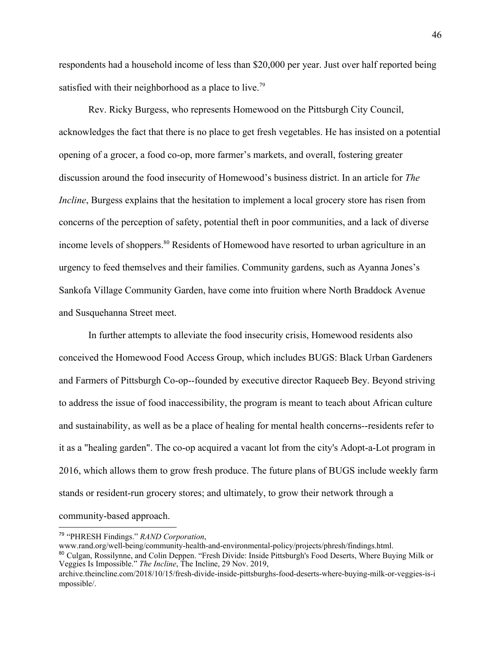respondents had a household income of less than \$20,000 per year. Just over half reported being satisfied with their neighborhood as a place to live.<sup>79</sup>

Rev. Ricky Burgess, who represents Homewood on the Pittsburgh City Council, [acknowledges](https://archive.theincline.com/2018/10/17/fresh-divide-gardens-sprout-in-homewood-where-residents-decided-to-grow-our-own-food/) the fact that there is no place to get fresh vegetables. He has insisted on a potential opening of a grocer, a food co-op, more farmer's markets, and overall, fostering greater discussion around the food insecurity of Homewood's business district. In an article for *The Incline*, Burgess explains that the hesitation to implement a local grocery store has risen from concerns of the perception of safety, potential theft in poor communities, and a lack of diverse income levels of shoppers.<sup>80</sup> Residents of Homewood have resorted to urban agriculture in an urgency to feed themselves and their families. Community gardens, such as Ayanna Jones's Sankofa Village Community Garden, have come into fruition where North Braddock Avenue and Susquehanna Street meet.

In further attempts to alleviate the food insecurity crisis, Homewood residents also conceived the Homewood Food Access Group, which includes BUGS: Black Urban Gardeners and Farmers of Pittsburgh Co-op--founded by executive director Raqueeb Bey. Beyond striving to address the issue of food inaccessibility, the program is meant to teach about African culture and sustainability, as well as be a place of healing for mental health concerns--residents refer to it as a "healing garden". The co-op acquired a vacant lot from the city's Adopt-a-Lot program in 2016, which allows them to grow fresh produce. The future plans of BUGS include weekly farm stands or resident-run grocery stores; and ultimately, to grow their network through a community-based approach.

<sup>79</sup> "PHRESH Findings." *RAND Corporation*,

www.rand.org/well-being/community-health-and-environmental-policy/projects/phresh/findings.html.

<sup>80</sup> Culgan, Rossilynne, and Colin Deppen. "Fresh Divide: Inside Pittsburgh's Food Deserts, Where Buying Milk or Veggies Is Impossible." *The Incline*, The Incline, 29 Nov. 2019,

archive.theincline.com/2018/10/15/fresh-divide-inside-pittsburghs-food-deserts-where-buying-milk-or-veggies-is-i mpossible/.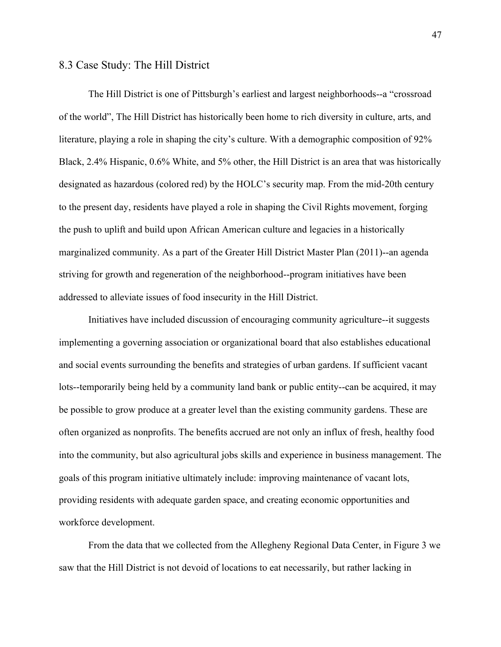### 8.3 Case Study: The Hill District

The Hill District is one of Pittsburgh's earliest and largest neighborhoods--a "crossroad of the world", The Hill District has historically been home to rich diversity in culture, arts, and literature, playing a role in shaping the city's culture. With a demographic composition of 92% Black, 2.4% Hispanic, 0.6% White, and 5% other, the Hill District is an area that was historically designated as hazardous (colored red) by the HOLC's security map. From the mid-20th century to the present day, residents have played a role in shaping the Civil Rights movement, forging the push to uplift and build upon African American culture and legacies in a historically marginalized community. As a part of the Greater Hill District Master Plan (2011)--an agenda striving for growth and regeneration of the neighborhood--program initiatives have been addressed to alleviate issues of food insecurity in the Hill District.

Initiatives have included discussion of encouraging community agriculture--it suggests implementing a governing association or organizational board that also establishes educational and social events surrounding the benefits and strategies of urban gardens. If sufficient vacant lots--temporarily being held by a community land bank or public entity--can be acquired, it may be possible to grow produce at a greater level than the existing community gardens. These are often organized as nonprofits. The benefits accrued are not only an influx of fresh, healthy food into the community, but also agricultural jobs skills and experience in business management. The goals of this program initiative ultimately include: improving maintenance of vacant lots, providing residents with adequate garden space, and creating economic opportunities and workforce development.

From the data that we collected from the Allegheny Regional Data Center, in Figure 3 we saw that the Hill District is not devoid of locations to eat necessarily, but rather lacking in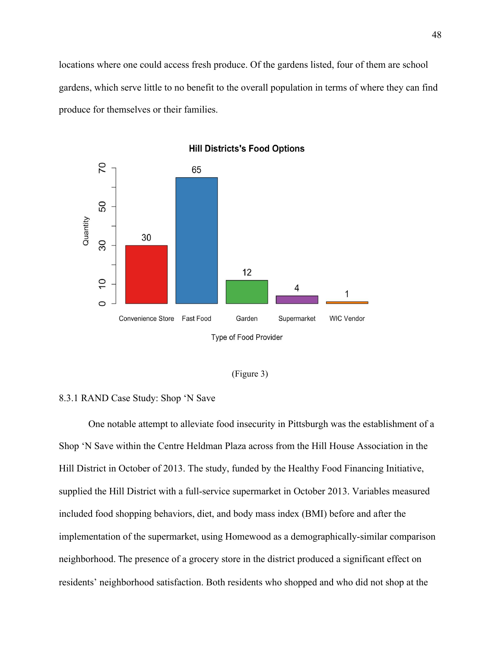locations where one could access fresh produce. Of the gardens listed, four of them are school gardens, which serve little to no benefit to the overall population in terms of where they can find produce for themselves or their families.





#### 8.3.1 RAND Case Study: Shop 'N Save

One notable attempt to alleviate food insecurity in Pittsburgh was the establishment of a Shop 'N Save within the Centre Heldman Plaza across from the Hill House Association in the Hill District in October of 2013. The study, funded by the Healthy Food Financing Initiative, supplied the Hill District with a full-service supermarket in October 2013. Variables measured included food shopping behaviors, diet, and body mass index (BMI) before and after the implementation of the supermarket, using Homewood as a demographically-similar comparison neighborhood. The presence of a grocery store in the district produced a significant effect on residents' neighborhood satisfaction. Both residents who shopped and who did not shop at the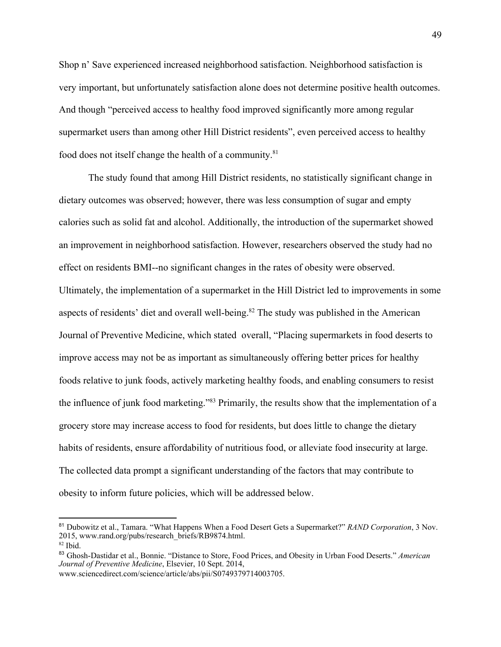Shop n' Save experienced increased neighborhood satisfaction. Neighborhood satisfaction is very important, but unfortunately satisfaction alone does not determine positive health outcomes. And though "perceived access to healthy food improved significantly more among regular supermarket users than among other Hill District residents", even perceived access to healthy food does not itself change the health of a community.<sup>81</sup>

The study found that among Hill District residents, no statistically significant change in dietary outcomes was observed; however, there was less consumption of sugar and empty calories such as solid fat and alcohol. Additionally, the introduction of the supermarket showed an improvement in neighborhood satisfaction. However, researchers observed the study had no effect on residents BMI--no significant changes in the rates of obesity were observed. Ultimately, the implementation of a supermarket in the Hill District led to improvements in some aspects of residents' diet and overall well-being.<sup>82</sup> The study was published in the American Journal of Preventive Medicine, which stated overall, "Placing supermarkets in food deserts to improve access may not be as important as simultaneously offering better prices for healthy foods relative to junk foods, actively marketing healthy foods, and enabling consumers to resist the influence of junk food marketing."<sup>83</sup> Primarily, the results show that the implementation of a grocery store may increase access to food for residents, but does little to change the dietary habits of residents, ensure affordability of nutritious food, or alleviate food insecurity at large. The collected data prompt a significant understanding of the factors that may contribute to obesity to inform future policies, which will be addressed below.

<sup>81</sup> Dubowitz et al., Tamara. "What Happens When a Food Desert Gets a Supermarket?" *RAND Corporation*, 3 Nov. 2015, www.rand.org/pubs/research\_briefs/RB9874.html.

 $82$  Ibid.

<sup>83</sup> Ghosh-Dastidar et al., Bonnie. "Distance to Store, Food Prices, and Obesity in Urban Food Deserts." *American Journal of Preventive Medicine*, Elsevier, 10 Sept. 2014,

www.sciencedirect.com/science/article/abs/pii/S0749379714003705.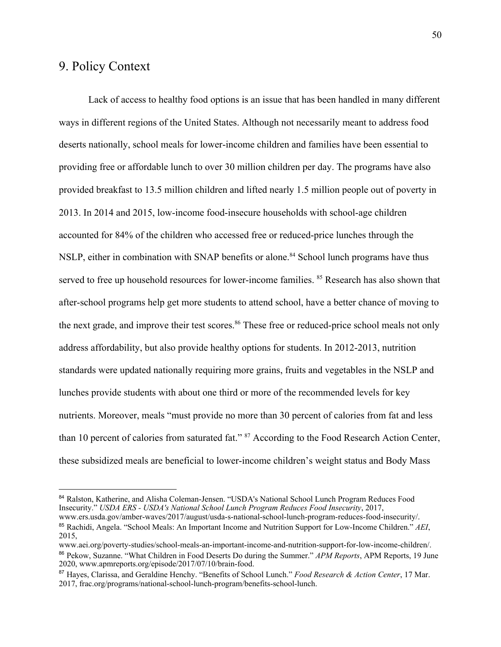# 9. Policy Context

Lack of access to healthy food options is an issue that has been handled in many different ways in different regions of the United States. Although not necessarily meant to address food deserts nationally, school meals for lower-income children and families have been essential to providing free or affordable lunch to over 30 million children per day. The programs have also provided breakfast to 13.5 million children and lifted nearly 1.5 million people out of poverty in 2013. In 2014 and 2015, low-income food-insecure households with school-age children accounted for 84% of the children who accessed free or reduced-price lunches through the NSLP, either in combination with SNAP benefits or alone.<sup>84</sup> School lunch programs have thus served to free up household resources for lower-income families. <sup>85</sup> Research has also shown that after-school programs help get more students to attend school, have a better chance of moving to the next grade, and improve their test scores.<sup>86</sup> These free or reduced-price school meals not only address affordability, but also provide healthy options for students. In 2012-2013, nutrition standards were updated nationally requiring more grains, fruits and vegetables in the NSLP and lunches provide students with about one third or more of the recommended levels for key nutrients. Moreover, meals "must provide no more than 30 percent of calories from fat and less than 10 percent of calories from saturated fat." <sup>87</sup> According to the Food Research Action Center, these subsidized meals are beneficial to lower-income children's weight status and Body Mass

<sup>&</sup>lt;sup>84</sup> Ralston, Katherine, and Alisha Coleman-Jensen. "USDA's National School Lunch Program Reduces Food Insecurity." *USDA ERS - USDA's National School Lunch Program Reduces Food Insecurity*, 2017, www.ers.usda.gov/amber-waves/2017/august/usda-s-national-school-lunch-program-reduces-food-insecurity/. <sup>85</sup> Rachidi, Angela. "School Meals: An Important Income and Nutrition Support for Low-Income Children." *AEI*, 2015,

www.aei.org/poverty-studies/school-meals-an-important-income-and-nutrition-support-for-low-income-children/. <sup>86</sup> Pekow, Suzanne. "What Children in Food Deserts Do during the Summer." *APM Reports*, APM Reports, 19 June 2020, www.apmreports.org/episode/2017/07/10/brain-food.

<sup>87</sup> Hayes, Clarissa, and Geraldine Henchy. "Benefits of School Lunch." *Food Research & Action Center*, 17 Mar. 2017, frac.org/programs/national-school-lunch-program/benefits-school-lunch.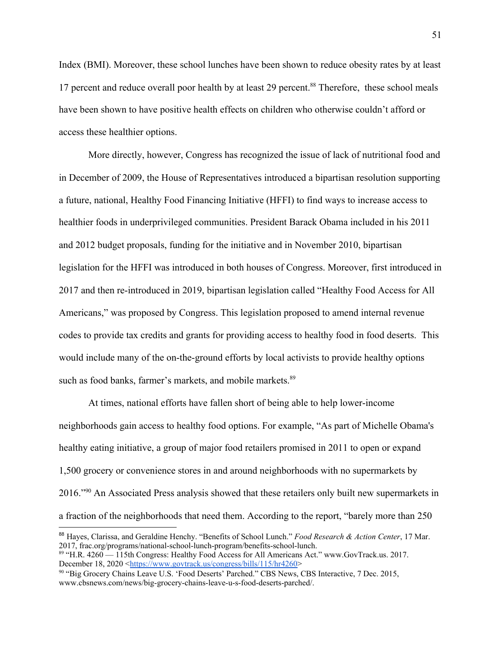Index (BMI). Moreover, these school lunches have been shown to reduce obesity rates by at least 17 percent and reduce overall poor health by at least 29 percent.<sup>88</sup> Therefore, these school meals have been shown to have positive health effects on children who otherwise couldn't afford or access these healthier options.

More directly, however, Congress has recognized the issue of lack of nutritional food and in December of 2009, the House of Representatives introduced a bipartisan resolution supporting a future, national, Healthy Food Financing Initiative (HFFI) to find ways to increase access to healthier foods in underprivileged communities. President Barack Obama included in his 2011 and 2012 budget proposals, funding for the initiative and in November 2010, bipartisan legislation for the HFFI was introduced in both houses of Congress. Moreover, first introduced in 2017 and then re-introduced in 2019, bipartisan legislation called "Healthy Food Access for All Americans," was proposed by Congress. This legislation proposed to amend internal revenue codes to provide tax credits and grants for providing access to healthy food in food deserts. This would include many of the on-the-ground efforts by local activists to provide healthy options such as food banks, farmer's markets, and mobile markets.<sup>89</sup>

At times, national efforts have fallen short of being able to help lower-income neighborhoods gain access to healthy food options. For example, "As part of Michelle Obama's healthy eating initiative, a group of major food retailers promised in 2011 to open or expand 1,500 grocery or convenience stores in and around neighborhoods with no supermarkets by 2016."<sup>90</sup> An Associated Press analysis showed that these retailers only built new supermarkets in a fraction of the neighborhoods that need them. According to the report, "barely more than 250

<sup>88</sup> Hayes, Clarissa, and Geraldine Henchy. "Benefits of School Lunch." *Food Research & Action Center*, 17 Mar. 2017, frac.org/programs/national-school-lunch-program/benefits-school-lunch.

<sup>89 &</sup>quot;H.R. 4260 — 115th Congress: Healthy Food Access for All Americans Act." www.GovTrack.us. 2017. December 18, 2020 <[https://www.govtrack.us/congress/bills/115/hr4260>](https://www.govtrack.us/congress/bills/115/hr4260)

<sup>90</sup> "Big Grocery Chains Leave U.S. 'Food Deserts' Parched." CBS News, CBS Interactive, 7 Dec. 2015, www.cbsnews.com/news/big-grocery-chains-leave-u-s-food-deserts-parched/.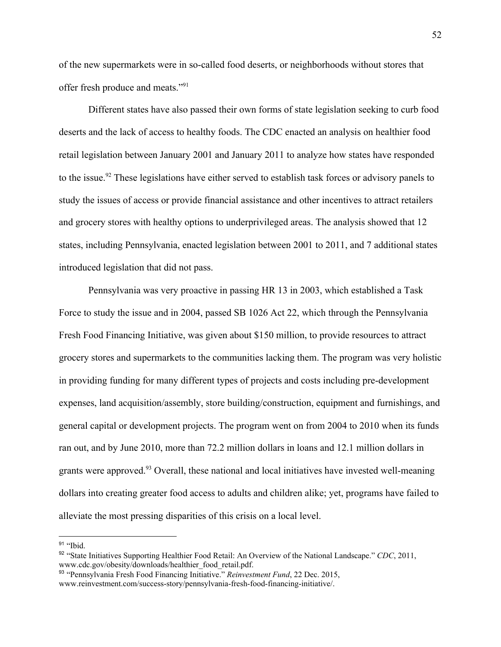of the new supermarkets were in so-called food deserts, or neighborhoods without stores that offer fresh produce and meats."<sup>91</sup>

Different states have also passed their own forms of state legislation seeking to curb food deserts and the lack of access to healthy foods. The CDC enacted an analysis on healthier food retail legislation between January 2001 and January 2011 to analyze how states have responded to the issue.<sup>92</sup> These legislations have either served to establish task forces or advisory panels to study the issues of access or provide financial assistance and other incentives to attract retailers and grocery stores with healthy options to underprivileged areas. The analysis showed that 12 states, including Pennsylvania, enacted legislation between 2001 to 2011, and 7 additional states introduced legislation that did not pass.

Pennsylvania was very proactive in passing HR 13 in 2003, which established a Task Force to study the issue and in 2004, passed SB 1026 Act 22, which through the Pennsylvania Fresh Food Financing Initiative, was given about \$150 million, to provide resources to attract grocery stores and supermarkets to the communities lacking them. The program was very holistic in providing funding for many different types of projects and costs including pre-development expenses, land acquisition/assembly, store building/construction, equipment and furnishings, and general capital or development projects. The program went on from 2004 to 2010 when its funds ran out, and by June 2010, more than 72.2 million dollars in loans and 12.1 million dollars in grants were approved.<sup>93</sup> Overall, these national and local initiatives have invested well-meaning dollars into creating greater food access to adults and children alike; yet, programs have failed to alleviate the most pressing disparities of this crisis on a local level.

<sup>&</sup>lt;sup>91</sup> "Ibid.

<sup>92</sup> "State Initiatives Supporting Healthier Food Retail: An Overview of the National Landscape." *CDC*, 2011, www.cdc.gov/obesity/downloads/healthier\_food\_retail.pdf.

<sup>93</sup> "Pennsylvania Fresh Food Financing Initiative." *Reinvestment Fund*, 22 Dec. 2015, www.reinvestment.com/success-story/pennsylvania-fresh-food-financing-initiative/.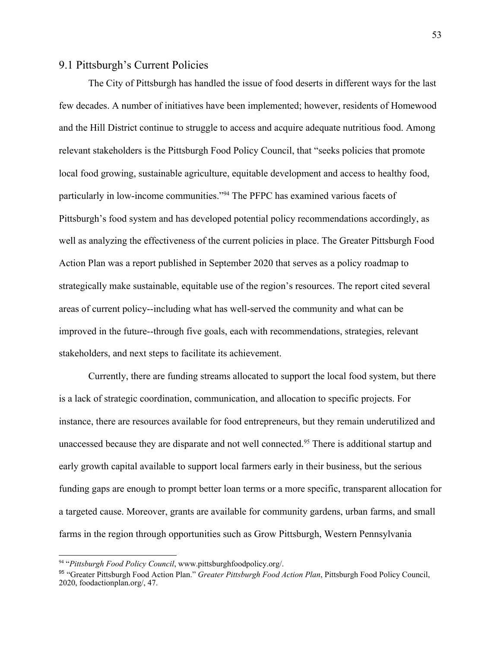## 9.1 Pittsburgh's Current Policies

The City of Pittsburgh has handled the issue of food deserts in different ways for the last few decades. A number of initiatives have been implemented; however, residents of Homewood and the Hill District continue to struggle to access and acquire adequate nutritious food. Among relevant stakeholders is the Pittsburgh Food Policy Council, that "seeks policies that promote local food growing, sustainable agriculture, equitable development and access to healthy food, particularly in low-income communities."<sup>94</sup> The PFPC has examined various facets of Pittsburgh's food system and has developed potential policy recommendations accordingly, as well as analyzing the effectiveness of the current policies in place. The Greater Pittsburgh Food Action Plan was a report published in September 2020 that serves as a policy roadmap to strategically make sustainable, equitable use of the region's resources. The report cited several areas of current policy--including what has well-served the community and what can be improved in the future--through five goals, each with recommendations, strategies, relevant stakeholders, and next steps to facilitate its achievement.

Currently, there are funding streams allocated to support the local food system, but there is a lack of strategic coordination, communication, and allocation to specific projects. For instance, there are resources available for food entrepreneurs, but they remain underutilized and unaccessed because they are disparate and not well connected.<sup>95</sup> There is additional startup and early growth capital available to support local farmers early in their business, but the serious funding gaps are enough to prompt better loan terms or a more specific, transparent allocation for a targeted cause. Moreover, grants are available for community gardens, urban farms, and small farms in the region through opportunities such as Grow Pittsburgh, Western Pennsylvania

<sup>94</sup> "*Pittsburgh Food Policy Council*, www.pittsburghfoodpolicy.org/.

<sup>95</sup> "Greater Pittsburgh Food Action Plan." *Greater Pittsburgh Food Action Plan*, Pittsburgh Food Policy Council, 2020, foodactionplan.org/, 47.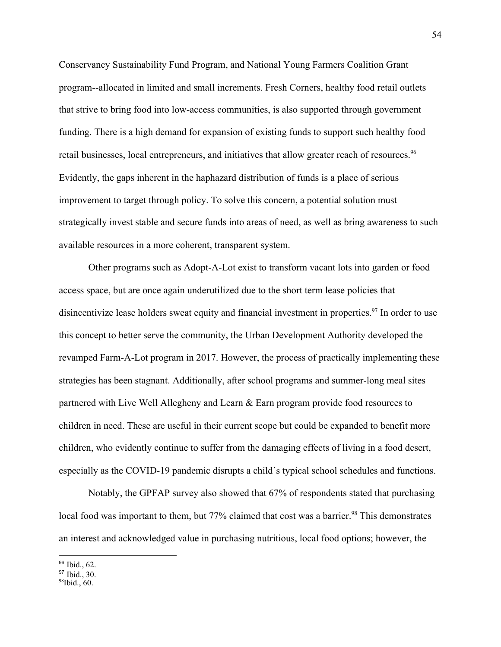Conservancy Sustainability Fund Program, and National Young Farmers Coalition Grant program--allocated in limited and small increments. Fresh Corners, healthy food retail outlets that strive to bring food into low-access communities, is also supported through government funding. There is a high demand for expansion of existing funds to support such healthy food retail businesses, local entrepreneurs, and initiatives that allow greater reach of resources.<sup>96</sup> Evidently, the gaps inherent in the haphazard distribution of funds is a place of serious improvement to target through policy. To solve this concern, a potential solution must strategically invest stable and secure funds into areas of need, as well as bring awareness to such available resources in a more coherent, transparent system.

Other programs such as Adopt-A-Lot exist to transform vacant lots into garden or food access space, but are once again underutilized due to the short term lease policies that disincentivize lease holders sweat equity and financial investment in properties.<sup>97</sup> In order to use this concept to better serve the community, the Urban Development Authority developed the revamped Farm-A-Lot program in 2017. However, the process of practically implementing these strategies has been stagnant. Additionally, after school programs and summer-long meal sites partnered with Live Well Allegheny and Learn & Earn program provide food resources to children in need. These are useful in their current scope but could be expanded to benefit more children, who evidently continue to suffer from the damaging effects of living in a food desert, especially as the COVID-19 pandemic disrupts a child's typical school schedules and functions.

Notably, the GPFAP survey also showed that 67% of respondents stated that purchasing local food was important to them, but 77% claimed that cost was a barrier.<sup>98</sup> This demonstrates an interest and acknowledged value in purchasing nutritious, local food options; however, the

<sup>96</sup> Ibid., 62.

 $97$  Ibid., 30.

 $98$ Ibid., 60.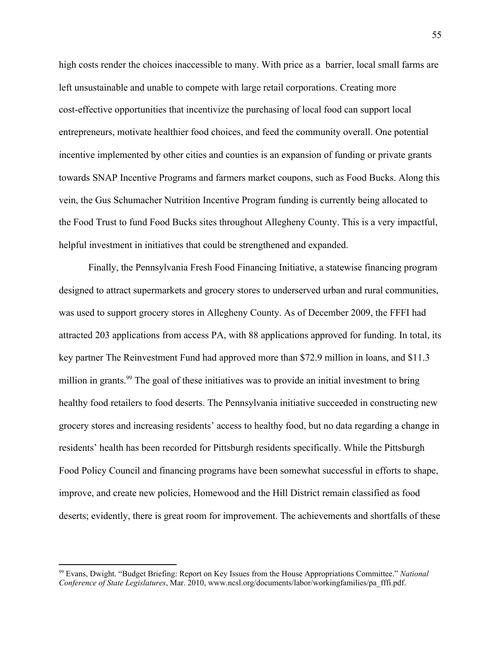high costs render the choices inaccessible to many. With price as a barrier, local small farms are left unsustainable and unable to compete with large retail corporations. Creating more cost-effective opportunities that incentivize the purchasing of local food can support local entrepreneurs, motivate healthier food choices, and feed the community overall. One potential incentive implemented by other cities and counties is an expansion of funding or private grants towards SNAP Incentive Programs and farmers market coupons, such as Food Bucks. Along this vein, the Gus Schumacher Nutrition Incentive Program funding is currently being allocated to the Food Trust to fund Food Bucks sites throughout Allegheny County. This is a very impactful, helpful investment in initiatives that could be strengthened and expanded.

Finally, the Pennsylvania Fresh Food Financing Initiative, a statewise financing program designed to attract supermarkets and grocery stores to underserved urban and rural communities, was used to support grocery stores in Allegheny County. As of December 2009, the FFFI had attracted 203 applications from access PA, with 88 applications approved for funding. In total, its key partner The Reinvestment Fund had approved more than \$72.9 million in loans, and \$11.3 million in grants.<sup>99</sup> The goal of these initiatives was to provide an initial investment to bring healthy food retailers to food deserts. The Pennsylvania initiative succeeded in constructing new grocery stores and increasing residents' access to healthy food, but no data regarding a change in residents' health has been recorded for Pittsburgh residents specifically. While the Pittsburgh Food Policy Council and financing programs have been somewhat successful in efforts to shape, improve, and create new policies, Homewood and the Hill District remain classified as food deserts; evidently, there is great room for improvement. The achievements and shortfalls of these

<sup>99</sup> Evans, Dwight. "Budget Briefing: Report on Key Issues from the House Appropriations Committee." *National Conference of State Legislatures*, Mar. 2010, www.ncsl.org/documents/labor/workingfamilies/pa\_fffi.pdf.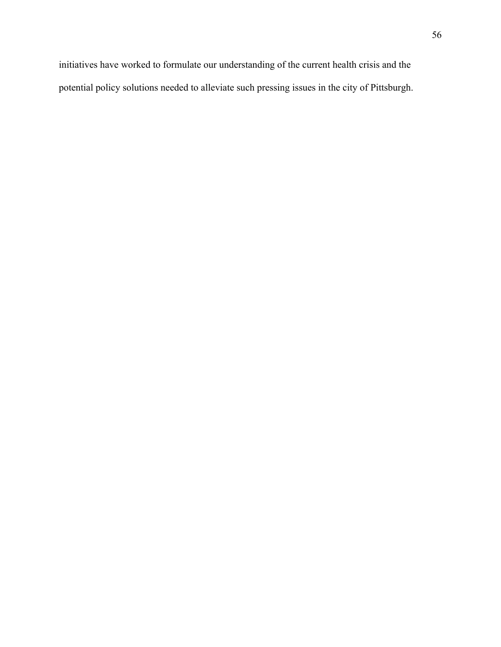initiatives have worked to formulate our understanding of the current health crisis and the potential policy solutions needed to alleviate such pressing issues in the city of Pittsburgh.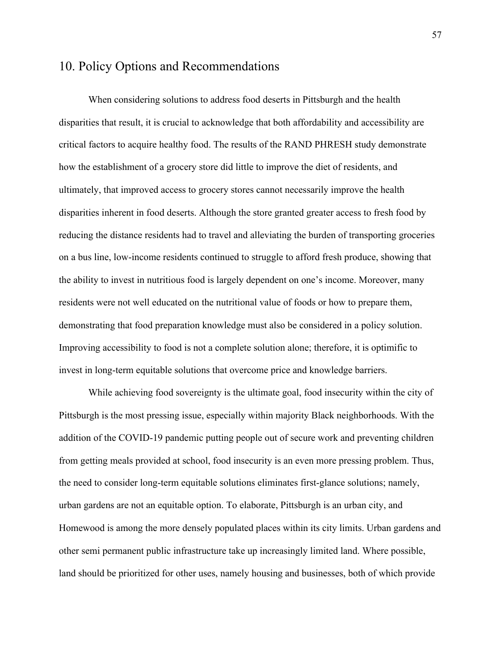# 10. Policy Options and Recommendations

When considering solutions to address food deserts in Pittsburgh and the health disparities that result, it is crucial to acknowledge that both affordability and accessibility are critical factors to acquire healthy food. The results of the RAND PHRESH study demonstrate how the establishment of a grocery store did little to improve the diet of residents, and ultimately, that improved access to grocery stores cannot necessarily improve the health disparities inherent in food deserts. Although the store granted greater access to fresh food by reducing the distance residents had to travel and alleviating the burden of transporting groceries on a bus line, low-income residents continued to struggle to afford fresh produce, showing that the ability to invest in nutritious food is largely dependent on one's income. Moreover, many residents were not well educated on the nutritional value of foods or how to prepare them, demonstrating that food preparation knowledge must also be considered in a policy solution. Improving accessibility to food is not a complete solution alone; therefore, it is optimific to invest in long-term equitable solutions that overcome price and knowledge barriers.

While achieving food sovereignty is the ultimate goal, food insecurity within the city of Pittsburgh is the most pressing issue, especially within majority Black neighborhoods. With the addition of the COVID-19 pandemic putting people out of secure work and preventing children from getting meals provided at school, food insecurity is an even more pressing problem. Thus, the need to consider long-term equitable solutions eliminates first-glance solutions; namely, urban gardens are not an equitable option. To elaborate, Pittsburgh is an urban city, and Homewood is among the more densely populated places within its city limits. Urban gardens and other semi permanent public infrastructure take up increasingly limited land. Where possible, land should be prioritized for other uses, namely housing and businesses, both of which provide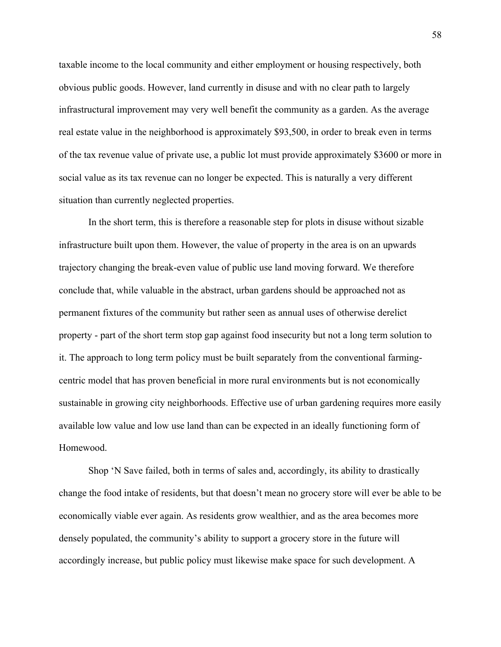taxable income to the local community and either employment or housing respectively, both obvious public goods. However, land currently in disuse and with no clear path to largely infrastructural improvement may very well benefit the community as a garden. As the average real estate value in the neighborhood is approximately \$93,500, in order to break even in terms of the tax revenue value of private use, a public lot must provide approximately \$3600 or more in social value as its tax revenue can no longer be expected. This is naturally a very different situation than currently neglected properties.

In the short term, this is therefore a reasonable step for plots in disuse without sizable infrastructure built upon them. However, the value of property in the area is on an upwards trajectory changing the break-even value of public use land moving forward. We therefore conclude that, while valuable in the abstract, urban gardens should be approached not as permanent fixtures of the community but rather seen as annual uses of otherwise derelict property - part of the short term stop gap against food insecurity but not a long term solution to it. The approach to long term policy must be built separately from the conventional farmingcentric model that has proven beneficial in more rural environments but is not economically sustainable in growing city neighborhoods. Effective use of urban gardening requires more easily available low value and low use land than can be expected in an ideally functioning form of Homewood.

Shop 'N Save failed, both in terms of sales and, accordingly, its ability to drastically change the food intake of residents, but that doesn't mean no grocery store will ever be able to be economically viable ever again. As residents grow wealthier, and as the area becomes more densely populated, the community's ability to support a grocery store in the future will accordingly increase, but public policy must likewise make space for such development. A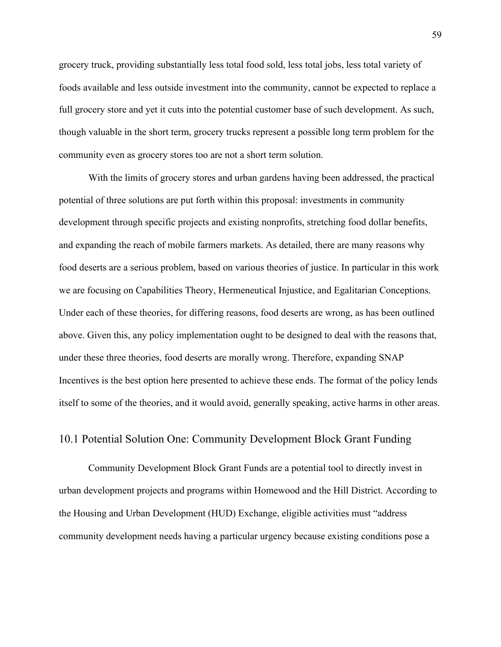grocery truck, providing substantially less total food sold, less total jobs, less total variety of foods available and less outside investment into the community, cannot be expected to replace a full grocery store and yet it cuts into the potential customer base of such development. As such, though valuable in the short term, grocery trucks represent a possible long term problem for the community even as grocery stores too are not a short term solution.

With the limits of grocery stores and urban gardens having been addressed, the practical potential of three solutions are put forth within this proposal: investments in community development through specific projects and existing nonprofits, stretching food dollar benefits, and expanding the reach of mobile farmers markets. As detailed, there are many reasons why food deserts are a serious problem, based on various theories of justice. In particular in this work we are focusing on Capabilities Theory, Hermeneutical Injustice, and Egalitarian Conceptions. Under each of these theories, for differing reasons, food deserts are wrong, as has been outlined above. Given this, any policy implementation ought to be designed to deal with the reasons that, under these three theories, food deserts are morally wrong. Therefore, expanding SNAP Incentives is the best option here presented to achieve these ends. The format of the policy lends itself to some of the theories, and it would avoid, generally speaking, active harms in other areas.

### 10.1 Potential Solution One: Community Development Block Grant Funding

Community Development Block Grant Funds are a potential tool to directly invest in urban development projects and programs within Homewood and the Hill District. According to the Housing and Urban Development (HUD) Exchange, eligible activities must "address community development needs having a particular urgency because existing conditions pose a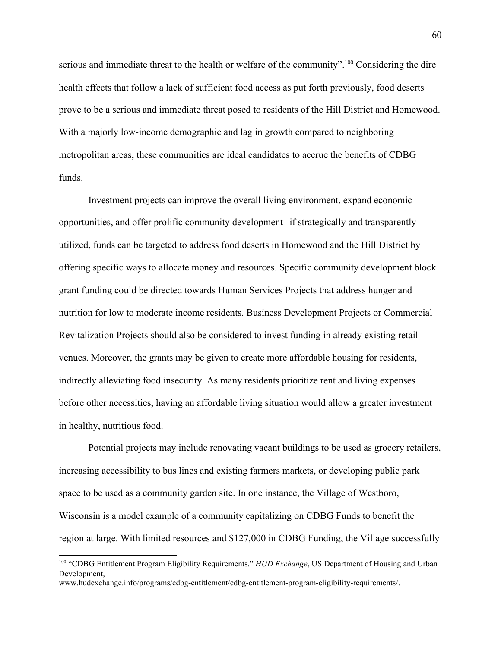serious and immediate threat to the health or welfare of the community".<sup>100</sup> Considering the dire health effects that follow a lack of sufficient food access as put forth previously, food deserts prove to be a serious and immediate threat posed to residents of the Hill District and Homewood. With a majorly low-income demographic and lag in growth compared to neighboring metropolitan areas, these communities are ideal candidates to accrue the benefits of CDBG funds.

Investment projects can improve the overall living environment, expand economic opportunities, and offer prolific community development--if strategically and transparently utilized, funds can be targeted to address food deserts in Homewood and the Hill District by offering specific ways to allocate money and resources. Specific community development block grant funding could be directed towards Human Services Projects that address hunger and nutrition for low to moderate income residents. Business Development Projects or Commercial Revitalization Projects should also be considered to invest funding in already existing retail venues. Moreover, the grants may be given to create more affordable housing for residents, indirectly alleviating food insecurity. As many residents prioritize rent and living expenses before other necessities, having an affordable living situation would allow a greater investment in healthy, nutritious food.

Potential projects may include renovating vacant buildings to be used as grocery retailers, increasing accessibility to bus lines and existing farmers markets, or developing public park space to be used as a community garden site. In one instance, the Village of Westboro, Wisconsin is a model example of a community capitalizing on CDBG Funds to benefit the region at large. With limited resources and \$127,000 in CDBG Funding, the Village successfully

<sup>100</sup> "CDBG Entitlement Program Eligibility Requirements." *HUD Exchange*, US Department of Housing and Urban Development, www.hudexchange.info/programs/cdbg-entitlement/cdbg-entitlement-program-eligibility-requirements/.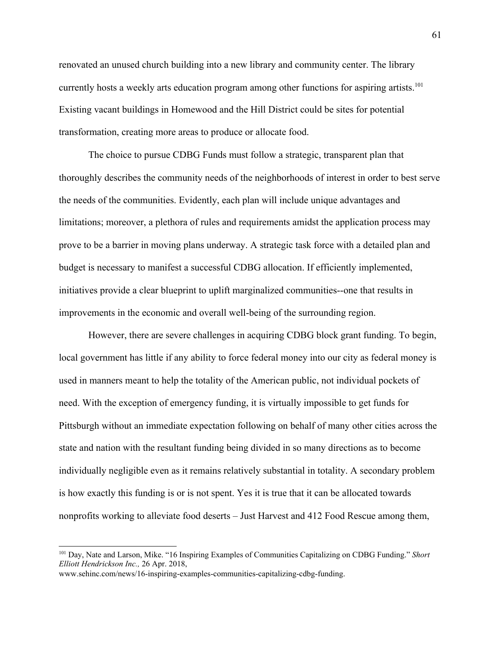renovated an unused church building into a new library and community center. The library currently hosts a weekly arts education program among other functions for aspiring artists.<sup>101</sup> Existing vacant buildings in Homewood and the Hill District could be sites for potential transformation, creating more areas to produce or allocate food.

The choice to pursue CDBG Funds must follow a strategic, transparent plan that thoroughly describes the community needs of the neighborhoods of interest in order to best serve the needs of the communities. Evidently, each plan will include unique advantages and limitations; moreover, a plethora of rules and requirements amidst the application process may prove to be a barrier in moving plans underway. A strategic task force with a detailed plan and budget is necessary to manifest a successful CDBG allocation. If efficiently implemented, initiatives provide a clear blueprint to uplift marginalized communities--one that results in improvements in the economic and overall well-being of the surrounding region.

However, there are severe challenges in acquiring CDBG block grant funding. To begin, local government has little if any ability to force federal money into our city as federal money is used in manners meant to help the totality of the American public, not individual pockets of need. With the exception of emergency funding, it is virtually impossible to get funds for Pittsburgh without an immediate expectation following on behalf of many other cities across the state and nation with the resultant funding being divided in so many directions as to become individually negligible even as it remains relatively substantial in totality. A secondary problem is how exactly this funding is or is not spent. Yes it is true that it can be allocated towards nonprofits working to alleviate food deserts – Just Harvest and 412 Food Rescue among them,

<sup>101</sup> Day, Nate and Larson, Mike. "16 Inspiring Examples of Communities Capitalizing on CDBG Funding." *Short Elliott Hendrickson Inc.,* 26 Apr. 2018,

www.sehinc.com/news/16-inspiring-examples-communities-capitalizing-cdbg-funding.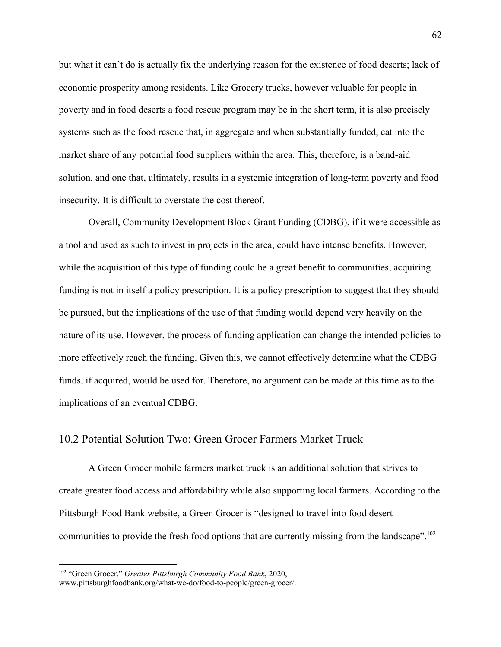but what it can't do is actually fix the underlying reason for the existence of food deserts; lack of economic prosperity among residents. Like Grocery trucks, however valuable for people in poverty and in food deserts a food rescue program may be in the short term, it is also precisely systems such as the food rescue that, in aggregate and when substantially funded, eat into the market share of any potential food suppliers within the area. This, therefore, is a band-aid solution, and one that, ultimately, results in a systemic integration of long-term poverty and food insecurity. It is difficult to overstate the cost thereof.

Overall, Community Development Block Grant Funding (CDBG), if it were accessible as a tool and used as such to invest in projects in the area, could have intense benefits. However, while the acquisition of this type of funding could be a great benefit to communities, acquiring funding is not in itself a policy prescription. It is a policy prescription to suggest that they should be pursued, but the implications of the use of that funding would depend very heavily on the nature of its use. However, the process of funding application can change the intended policies to more effectively reach the funding. Given this, we cannot effectively determine what the CDBG funds, if acquired, would be used for. Therefore, no argument can be made at this time as to the implications of an eventual CDBG.

## 10.2 Potential Solution Two: Green Grocer Farmers Market Truck

A Green Grocer mobile farmers market truck is an additional solution that strives to create greater food access and affordability while also supporting local farmers. According to the Pittsburgh Food Bank website, a Green Grocer is "designed to travel into food desert communities to provide the fresh food options that are currently missing from the landscape".<sup>102</sup>

<sup>102</sup> "Green Grocer." *Greater Pittsburgh Community Food Bank*, 2020, www.pittsburghfoodbank.org/what-we-do/food-to-people/green-grocer/.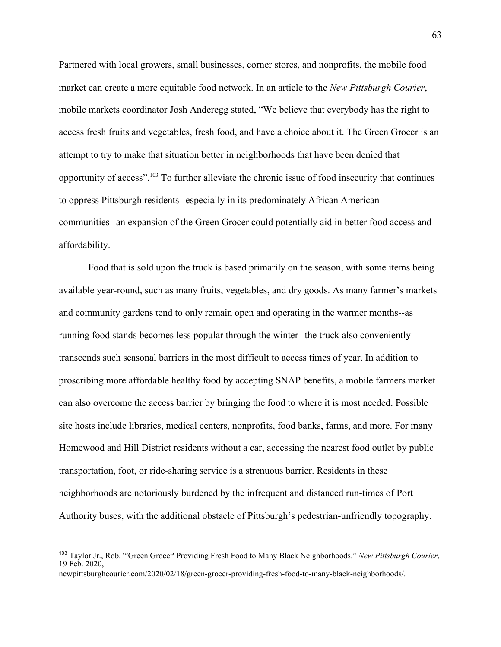Partnered with local growers, small businesses, corner stores, and nonprofits, the mobile food market can create a more equitable food network. In an article to the *New Pittsburgh Courier*, mobile markets coordinator Josh Anderegg stated, "We believe that everybody has the right to access fresh fruits and vegetables, fresh food, and have a choice about it. The Green Grocer is an attempt to try to make that situation better in neighborhoods that have been denied that opportunity of access".<sup>103</sup> To further alleviate the chronic issue of food insecurity that continues to oppress Pittsburgh residents--especially in its predominately African American communities--an expansion of the Green Grocer could potentially aid in better food access and affordability.

Food that is sold upon the truck is based primarily on the season, with some items being available year-round, such as many fruits, vegetables, and dry goods. As many farmer's markets and community gardens tend to only remain open and operating in the warmer months--as running food stands becomes less popular through the winter--the truck also conveniently transcends such seasonal barriers in the most difficult to access times of year. In addition to proscribing more affordable healthy food by accepting SNAP benefits, a mobile farmers market can also overcome the access barrier by bringing the food to where it is most needed. Possible site hosts include libraries, medical centers, nonprofits, food banks, farms, and more. For many Homewood and Hill District residents without a car, accessing the nearest food outlet by public transportation, foot, or ride-sharing service is a strenuous barrier. Residents in these neighborhoods are notoriously burdened by the infrequent and distanced run-times of Port Authority buses, with the additional obstacle of Pittsburgh's pedestrian-unfriendly topography.

<sup>103</sup> Taylor Jr., Rob. "'Green Grocer' Providing Fresh Food to Many Black Neighborhoods." *New Pittsburgh Courier*, 19 Feb. 2020,

newpittsburghcourier.com/2020/02/18/green-grocer-providing-fresh-food-to-many-black-neighborhoods/.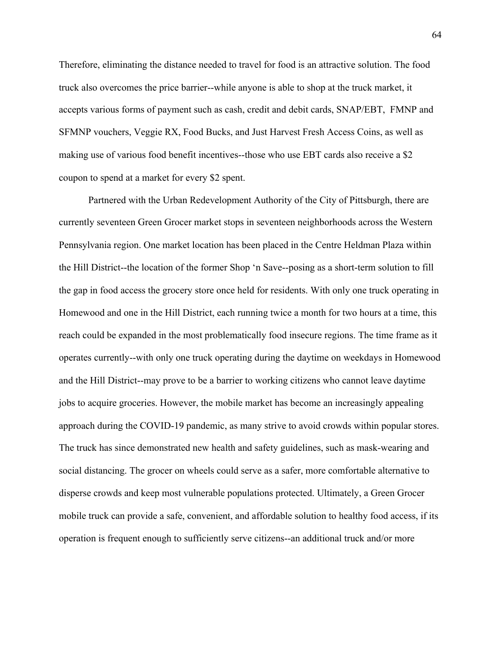Therefore, eliminating the distance needed to travel for food is an attractive solution. The food truck also overcomes the price barrier--while anyone is able to shop at the truck market, it accepts various forms of payment such as cash, credit and debit cards, SNAP/EBT, FMNP and SFMNP vouchers, Veggie RX, Food Bucks, and Just Harvest Fresh Access Coins, as well as making use of various food benefit incentives--those who use EBT cards also receive a \$2 coupon to spend at a market for every \$2 spent.

Partnered with the Urban Redevelopment Authority of the City of Pittsburgh, there are currently seventeen Green Grocer market stops in seventeen neighborhoods across the Western Pennsylvania region. One market location has been placed in the Centre Heldman Plaza within the Hill District--the location of the former Shop 'n Save--posing as a short-term solution to fill the gap in food access the grocery store once held for residents. With only one truck operating in Homewood and one in the Hill District, each running twice a month for two hours at a time, this reach could be expanded in the most problematically food insecure regions. The time frame as it operates currently--with only one truck operating during the daytime on weekdays in Homewood and the Hill District--may prove to be a barrier to working citizens who cannot leave daytime jobs to acquire groceries. However, the mobile market has become an increasingly appealing approach during the COVID-19 pandemic, as many strive to avoid crowds within popular stores. The truck has since demonstrated new health and safety guidelines, such as mask-wearing and social distancing. The grocer on wheels could serve as a safer, more comfortable alternative to disperse crowds and keep most vulnerable populations protected. Ultimately, a Green Grocer mobile truck can provide a safe, convenient, and affordable solution to healthy food access, if its operation is frequent enough to sufficiently serve citizens--an additional truck and/or more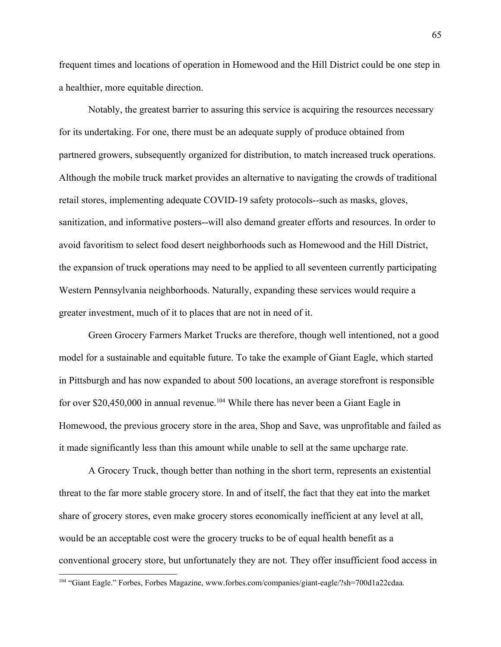frequent times and locations of operation in Homewood and the Hill District could be one step in a healthier, more equitable direction.

Notably, the greatest barrier to assuring this service is acquiring the resources necessary for its undertaking. For one, there must be an adequate supply of produce obtained from partnered growers, subsequently organized for distribution, to match increased truck operations. Although the mobile truck market provides an alternative to navigating the crowds of traditional retail stores, implementing adequate COVID-19 safety protocols--such as masks, gloves, sanitization, and informative posters--will also demand greater efforts and resources. In order to avoid favoritism to select food desert neighborhoods such as Homewood and the Hill District, the expansion of truck operations may need to be applied to all seventeen currently participating Western Pennsylvania neighborhoods. Naturally, expanding these services would require a greater investment, much of it to places that are not in need of it.

Green Grocery Farmers Market Trucks are therefore, though well intentioned, not a good model for a sustainable and equitable future. To take the example of Giant Eagle, which started in Pittsburgh and has now expanded to about 500 locations, an average storefront is responsible for over \$20,450,000 in annual revenue.<sup>104</sup> While there has never been a Giant Eagle in Homewood, the previous grocery store in the area, Shop and Save, was unprofitable and failed as it made significantly less than this amount while unable to sell at the same upcharge rate.

A Grocery Truck, though better than nothing in the short term, represents an existential threat to the far more stable grocery store. In and of itself, the fact that they eat into the market share of grocery stores, even make grocery stores economically inefficient at any level at all, would be an acceptable cost were the grocery trucks to be of equal health benefit as a conventional grocery store, but unfortunately they are not. They offer insufficient food access in

<sup>104</sup> "Giant Eagle." Forbes, Forbes Magazine, www.forbes.com/companies/giant-eagle/?sh=700d1a22cdaa.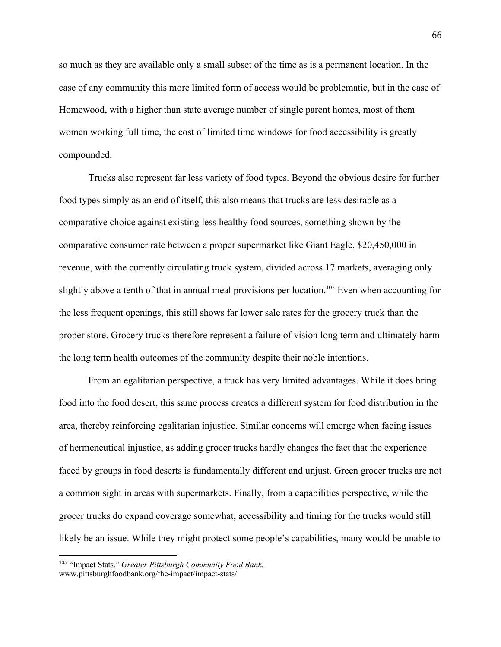so much as they are available only a small subset of the time as is a permanent location. In the case of any community this more limited form of access would be problematic, but in the case of Homewood, with a higher than state average number of single parent homes, most of them women working full time, the cost of limited time windows for food accessibility is greatly compounded.

Trucks also represent far less variety of food types. Beyond the obvious desire for further food types simply as an end of itself, this also means that trucks are less desirable as a comparative choice against existing less healthy food sources, something shown by the comparative consumer rate between a proper supermarket like Giant Eagle, \$20,450,000 in revenue, with the currently circulating truck system, divided across 17 markets, averaging only slightly above a tenth of that in annual meal provisions per location.<sup>105</sup> Even when accounting for the less frequent openings, this still shows far lower sale rates for the grocery truck than the proper store. Grocery trucks therefore represent a failure of vision long term and ultimately harm the long term health outcomes of the community despite their noble intentions.

From an egalitarian perspective, a truck has very limited advantages. While it does bring food into the food desert, this same process creates a different system for food distribution in the area, thereby reinforcing egalitarian injustice. Similar concerns will emerge when facing issues of hermeneutical injustice, as adding grocer trucks hardly changes the fact that the experience faced by groups in food deserts is fundamentally different and unjust. Green grocer trucks are not a common sight in areas with supermarkets. Finally, from a capabilities perspective, while the grocer trucks do expand coverage somewhat, accessibility and timing for the trucks would still likely be an issue. While they might protect some people's capabilities, many would be unable to

<sup>105</sup> "Impact Stats." *Greater Pittsburgh Community Food Bank*, www.pittsburghfoodbank.org/the-impact/impact-stats/.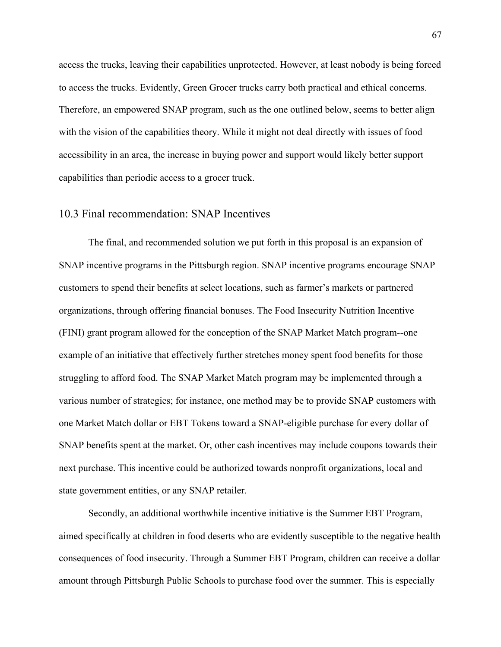access the trucks, leaving their capabilities unprotected. However, at least nobody is being forced to access the trucks. Evidently, Green Grocer trucks carry both practical and ethical concerns. Therefore, an empowered SNAP program, such as the one outlined below, seems to better align with the vision of the capabilities theory. While it might not deal directly with issues of food accessibility in an area, the increase in buying power and support would likely better support capabilities than periodic access to a grocer truck.

### 10.3 Final recommendation: SNAP Incentives

The final, and recommended solution we put forth in this proposal is an expansion of SNAP incentive programs in the Pittsburgh region. SNAP incentive programs encourage SNAP customers to spend their benefits at select locations, such as farmer's markets or partnered organizations, through offering financial bonuses. The Food Insecurity Nutrition Incentive (FINI) grant program allowed for the conception of the SNAP Market Match program--one example of an initiative that effectively further stretches money spent food benefits for those struggling to afford food. The SNAP Market Match program may be implemented through a various number of strategies; for instance, one method may be to provide SNAP customers with one Market Match dollar or EBT Tokens toward a SNAP-eligible purchase for every dollar of SNAP benefits spent at the market. Or, other cash incentives may include coupons towards their next purchase. This incentive could be authorized towards nonprofit organizations, local and state government entities, or any SNAP retailer.

Secondly, an additional worthwhile incentive initiative is the Summer EBT Program, aimed specifically at children in food deserts who are evidently susceptible to the negative health consequences of food insecurity. Through a Summer EBT Program, children can receive a dollar amount through Pittsburgh Public Schools to purchase food over the summer. This is especially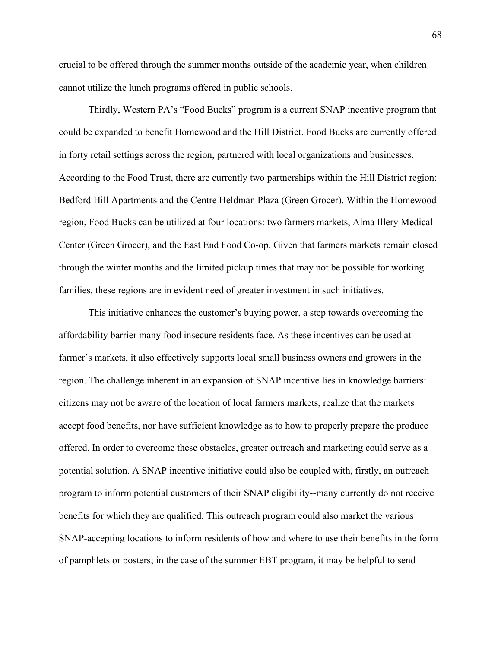crucial to be offered through the summer months outside of the academic year, when children cannot utilize the lunch programs offered in public schools.

Thirdly, Western PA's "Food Bucks" program is a current SNAP incentive program that could be expanded to benefit Homewood and the Hill District. Food Bucks are currently offered in forty retail settings across the region, partnered with local organizations and businesses. According to the Food Trust, there are currently two partnerships within the Hill District region: Bedford Hill Apartments and the Centre Heldman Plaza (Green Grocer). Within the Homewood region, Food Bucks can be utilized at four locations: two farmers markets, Alma Illery Medical Center (Green Grocer), and the East End Food Co-op. Given that farmers markets remain closed through the winter months and the limited pickup times that may not be possible for working families, these regions are in evident need of greater investment in such initiatives.

This initiative enhances the customer's buying power, a step towards overcoming the affordability barrier many food insecure residents face. As these incentives can be used at farmer's markets, it also effectively supports local small business owners and growers in the region. The challenge inherent in an expansion of SNAP incentive lies in knowledge barriers: citizens may not be aware of the location of local farmers markets, realize that the markets accept food benefits, nor have sufficient knowledge as to how to properly prepare the produce offered. In order to overcome these obstacles, greater outreach and marketing could serve as a potential solution. A SNAP incentive initiative could also be coupled with, firstly, an outreach program to inform potential customers of their SNAP eligibility--many currently do not receive benefits for which they are qualified. This outreach program could also market the various SNAP-accepting locations to inform residents of how and where to use their benefits in the form of pamphlets or posters; in the case of the summer EBT program, it may be helpful to send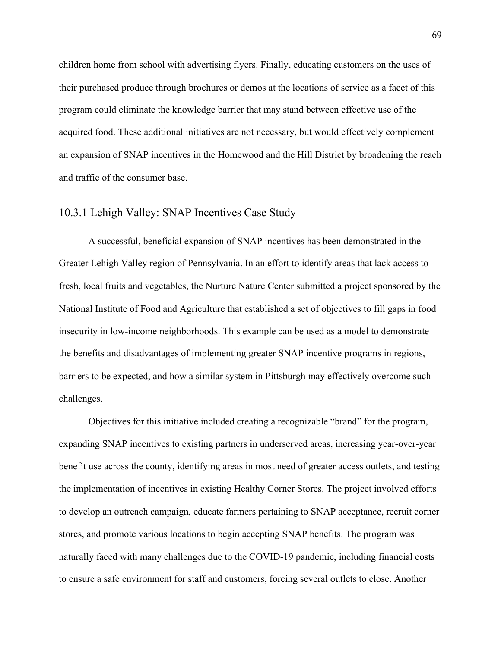children home from school with advertising flyers. Finally, educating customers on the uses of their purchased produce through brochures or demos at the locations of service as a facet of this program could eliminate the knowledge barrier that may stand between effective use of the acquired food. These additional initiatives are not necessary, but would effectively complement an expansion of SNAP incentives in the Homewood and the Hill District by broadening the reach and traffic of the consumer base.

## 10.3.1 Lehigh Valley: SNAP Incentives Case Study

A successful, beneficial expansion of SNAP incentives has been demonstrated in the Greater Lehigh Valley region of Pennsylvania. In an effort to identify areas that lack access to fresh, local fruits and vegetables, the Nurture Nature Center submitted a project sponsored by the National Institute of Food and Agriculture that established a set of objectives to fill gaps in food insecurity in low-income neighborhoods. This example can be used as a model to demonstrate the benefits and disadvantages of implementing greater SNAP incentive programs in regions, barriers to be expected, and how a similar system in Pittsburgh may effectively overcome such challenges.

Objectives for this initiative included creating a recognizable "brand" for the program, expanding SNAP incentives to existing partners in underserved areas, increasing year-over-year benefit use across the county, identifying areas in most need of greater access outlets, and testing the implementation of incentives in existing Healthy Corner Stores. The project involved efforts to develop an outreach campaign, educate farmers pertaining to SNAP acceptance, recruit corner stores, and promote various locations to begin accepting SNAP benefits. The program was naturally faced with many challenges due to the COVID-19 pandemic, including financial costs to ensure a safe environment for staff and customers, forcing several outlets to close. Another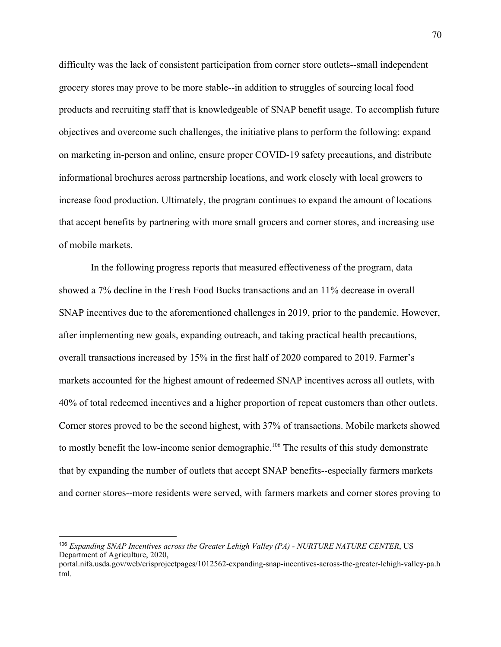difficulty was the lack of consistent participation from corner store outlets--small independent grocery stores may prove to be more stable--in addition to struggles of sourcing local food products and recruiting staff that is knowledgeable of SNAP benefit usage. To accomplish future objectives and overcome such challenges, the initiative plans to perform the following: expand on marketing in-person and online, ensure proper COVID-19 safety precautions, and distribute informational brochures across partnership locations, and work closely with local growers to increase food production. Ultimately, the program continues to expand the amount of locations that accept benefits by partnering with more small grocers and corner stores, and increasing use of mobile markets.

 In the following progress reports that measured effectiveness of the program, data showed a 7% decline in the Fresh Food Bucks transactions and an 11% decrease in overall SNAP incentives due to the aforementioned challenges in 2019, prior to the pandemic. However, after implementing new goals, expanding outreach, and taking practical health precautions, overall transactions increased by 15% in the first half of 2020 compared to 2019. Farmer's markets accounted for the highest amount of redeemed SNAP incentives across all outlets, with 40% of total redeemed incentives and a higher proportion of repeat customers than other outlets. Corner stores proved to be the second highest, with 37% of transactions. Mobile markets showed to mostly benefit the low-income senior demographic.<sup>106</sup> The results of this study demonstrate that by expanding the number of outlets that accept SNAP benefits--especially farmers markets and corner stores--more residents were served, with farmers markets and corner stores proving to

<sup>106</sup> *Expanding SNAP Incentives across the Greater Lehigh Valley (PA) - NURTURE NATURE CENTER*, US Department of Agriculture, 2020,

portal.nifa.usda.gov/web/crisprojectpages/1012562-expanding-snap-incentives-across-the-greater-lehigh-valley-pa.h tml.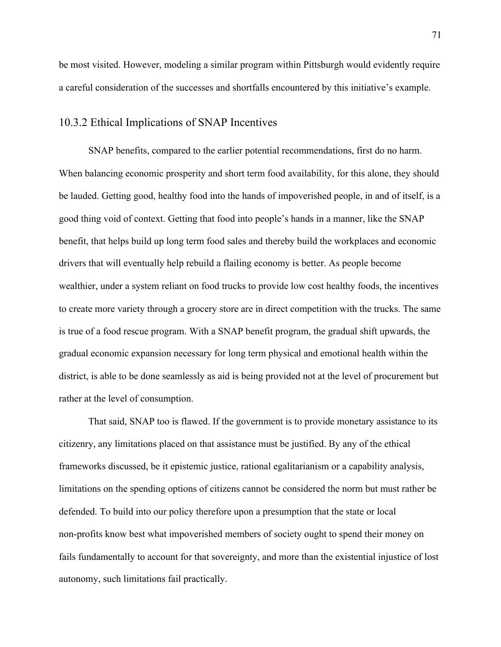be most visited. However, modeling a similar program within Pittsburgh would evidently require a careful consideration of the successes and shortfalls encountered by this initiative's example.

## 10.3.2 Ethical Implications of SNAP Incentives

SNAP benefits, compared to the earlier potential recommendations, first do no harm. When balancing economic prosperity and short term food availability, for this alone, they should be lauded. Getting good, healthy food into the hands of impoverished people, in and of itself, is a good thing void of context. Getting that food into people's hands in a manner, like the SNAP benefit, that helps build up long term food sales and thereby build the workplaces and economic drivers that will eventually help rebuild a flailing economy is better. As people become wealthier, under a system reliant on food trucks to provide low cost healthy foods, the incentives to create more variety through a grocery store are in direct competition with the trucks. The same is true of a food rescue program. With a SNAP benefit program, the gradual shift upwards, the gradual economic expansion necessary for long term physical and emotional health within the district, is able to be done seamlessly as aid is being provided not at the level of procurement but rather at the level of consumption.

That said, SNAP too is flawed. If the government is to provide monetary assistance to its citizenry, any limitations placed on that assistance must be justified. By any of the ethical frameworks discussed, be it epistemic justice, rational egalitarianism or a capability analysis, limitations on the spending options of citizens cannot be considered the norm but must rather be defended. To build into our policy therefore upon a presumption that the state or local non-profits know best what impoverished members of society ought to spend their money on fails fundamentally to account for that sovereignty, and more than the existential injustice of lost autonomy, such limitations fail practically.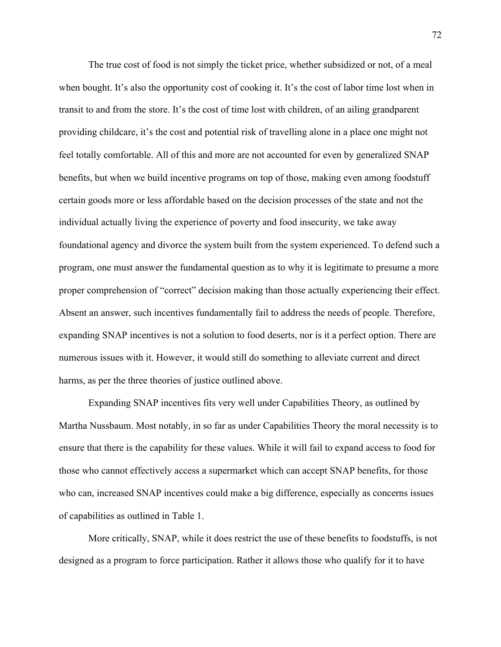The true cost of food is not simply the ticket price, whether subsidized or not, of a meal when bought. It's also the opportunity cost of cooking it. It's the cost of labor time lost when in transit to and from the store. It's the cost of time lost with children, of an ailing grandparent providing childcare, it's the cost and potential risk of travelling alone in a place one might not feel totally comfortable. All of this and more are not accounted for even by generalized SNAP benefits, but when we build incentive programs on top of those, making even among foodstuff certain goods more or less affordable based on the decision processes of the state and not the individual actually living the experience of poverty and food insecurity, we take away foundational agency and divorce the system built from the system experienced. To defend such a program, one must answer the fundamental question as to why it is legitimate to presume a more proper comprehension of "correct" decision making than those actually experiencing their effect. Absent an answer, such incentives fundamentally fail to address the needs of people. Therefore, expanding SNAP incentives is not a solution to food deserts, nor is it a perfect option. There are numerous issues with it. However, it would still do something to alleviate current and direct harms, as per the three theories of justice outlined above.

Expanding SNAP incentives fits very well under Capabilities Theory, as outlined by Martha Nussbaum. Most notably, in so far as under Capabilities Theory the moral necessity is to ensure that there is the capability for these values. While it will fail to expand access to food for those who cannot effectively access a supermarket which can accept SNAP benefits, for those who can, increased SNAP incentives could make a big difference, especially as concerns issues of capabilities as outlined in Table 1.

More critically, SNAP, while it does restrict the use of these benefits to foodstuffs, is not designed as a program to force participation. Rather it allows those who qualify for it to have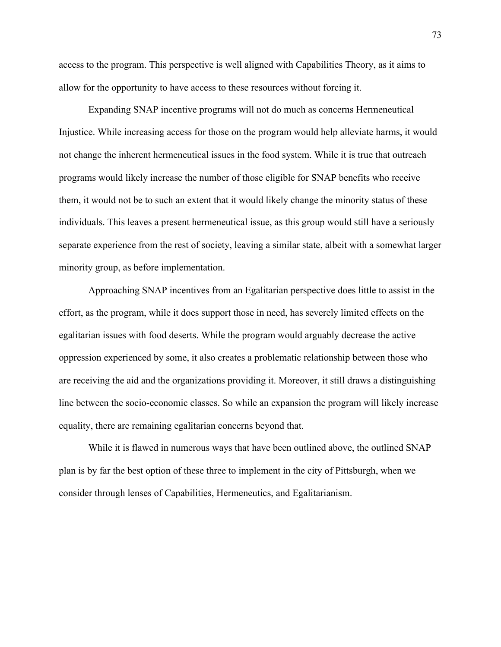access to the program. This perspective is well aligned with Capabilities Theory, as it aims to allow for the opportunity to have access to these resources without forcing it.

Expanding SNAP incentive programs will not do much as concerns Hermeneutical Injustice. While increasing access for those on the program would help alleviate harms, it would not change the inherent hermeneutical issues in the food system. While it is true that outreach programs would likely increase the number of those eligible for SNAP benefits who receive them, it would not be to such an extent that it would likely change the minority status of these individuals. This leaves a present hermeneutical issue, as this group would still have a seriously separate experience from the rest of society, leaving a similar state, albeit with a somewhat larger minority group, as before implementation.

Approaching SNAP incentives from an Egalitarian perspective does little to assist in the effort, as the program, while it does support those in need, has severely limited effects on the egalitarian issues with food deserts. While the program would arguably decrease the active oppression experienced by some, it also creates a problematic relationship between those who are receiving the aid and the organizations providing it. Moreover, it still draws a distinguishing line between the socio-economic classes. So while an expansion the program will likely increase equality, there are remaining egalitarian concerns beyond that.

While it is flawed in numerous ways that have been outlined above, the outlined SNAP plan is by far the best option of these three to implement in the city of Pittsburgh, when we consider through lenses of Capabilities, Hermeneutics, and Egalitarianism.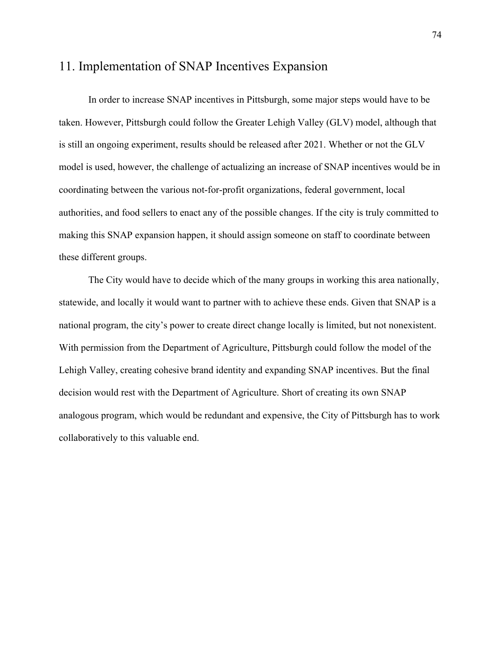## 11. Implementation of SNAP Incentives Expansion

In order to increase SNAP incentives in Pittsburgh, some major steps would have to be taken. However, Pittsburgh could follow the Greater Lehigh Valley (GLV) model, although that is still an ongoing experiment, results should be released after 2021. Whether or not the GLV model is used, however, the challenge of actualizing an increase of SNAP incentives would be in coordinating between the various not-for-profit organizations, federal government, local authorities, and food sellers to enact any of the possible changes. If the city is truly committed to making this SNAP expansion happen, it should assign someone on staff to coordinate between these different groups.

The City would have to decide which of the many groups in working this area nationally, statewide, and locally it would want to partner with to achieve these ends. Given that SNAP is a national program, the city's power to create direct change locally is limited, but not nonexistent. With permission from the Department of Agriculture, Pittsburgh could follow the model of the Lehigh Valley, creating cohesive brand identity and expanding SNAP incentives. But the final decision would rest with the Department of Agriculture. Short of creating its own SNAP analogous program, which would be redundant and expensive, the City of Pittsburgh has to work collaboratively to this valuable end.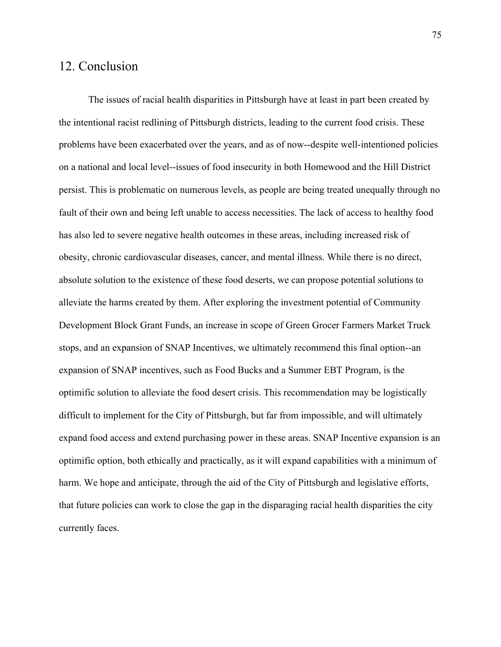## 12. Conclusion

The issues of racial health disparities in Pittsburgh have at least in part been created by the intentional racist redlining of Pittsburgh districts, leading to the current food crisis. These problems have been exacerbated over the years, and as of now--despite well-intentioned policies on a national and local level--issues of food insecurity in both Homewood and the Hill District persist. This is problematic on numerous levels, as people are being treated unequally through no fault of their own and being left unable to access necessities. The lack of access to healthy food has also led to severe negative health outcomes in these areas, including increased risk of obesity, chronic cardiovascular diseases, cancer, and mental illness. While there is no direct, absolute solution to the existence of these food deserts, we can propose potential solutions to alleviate the harms created by them. After exploring the investment potential of Community Development Block Grant Funds, an increase in scope of Green Grocer Farmers Market Truck stops, and an expansion of SNAP Incentives, we ultimately recommend this final option--an expansion of SNAP incentives, such as Food Bucks and a Summer EBT Program, is the optimific solution to alleviate the food desert crisis. This recommendation may be logistically difficult to implement for the City of Pittsburgh, but far from impossible, and will ultimately expand food access and extend purchasing power in these areas. SNAP Incentive expansion is an optimific option, both ethically and practically, as it will expand capabilities with a minimum of harm. We hope and anticipate, through the aid of the City of Pittsburgh and legislative efforts, that future policies can work to close the gap in the disparaging racial health disparities the city currently faces.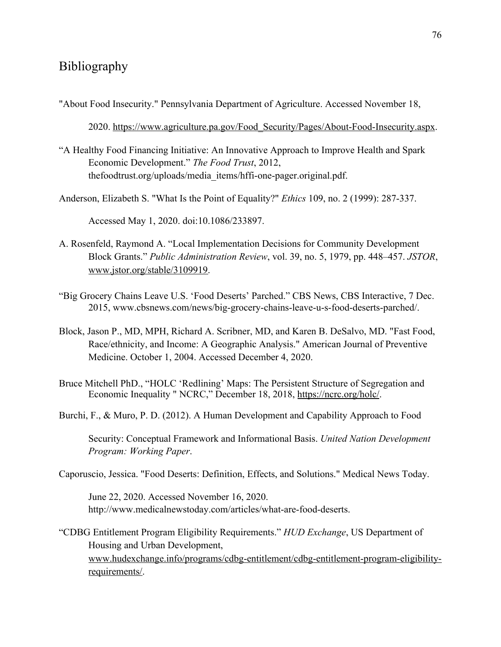## Bibliography

"About Food Insecurity." Pennsylvania Department of Agriculture. Accessed November 18,

2020. [https://www.agriculture.pa.gov/Food\\_Security/Pages/About-Food-Insecurity.aspx.](https://www.agriculture.pa.gov/Food_Security/Pages/About-Food-Insecurity.aspx)

- "A Healthy Food Financing Initiative: An Innovative Approach to Improve Health and Spark Economic Development." *The Food Trust*, 2012, thefoodtrust.org/uploads/media\_items/hffi-one-pager.original.pdf.
- Anderson, Elizabeth S. "What Is the Point of Equality?" *Ethics* 109, no. 2 (1999): 287-337.

Accessed May 1, 2020. doi:10.1086/233897.

- A. Rosenfeld, Raymond A. "Local Implementation Decisions for Community Development Block Grants." *Public Administration Review*, vol. 39, no. 5, 1979, pp. 448–457. *JSTOR*, [www.jstor.org/stable/3109919.](http://www.jstor.org/stable/3109919)
- "Big Grocery Chains Leave U.S. 'Food Deserts' Parched." CBS News, CBS Interactive, 7 Dec. 2015, www.cbsnews.com/news/big-grocery-chains-leave-u-s-food-deserts-parched/.
- Block, Jason P., MD, MPH, Richard A. Scribner, MD, and Karen B. DeSalvo, MD. "Fast Food, Race/ethnicity, and Income: A Geographic Analysis." American Journal of Preventive Medicine. October 1, 2004. Accessed December 4, 2020.
- Bruce Mitchell PhD., "HOLC 'Redlining' Maps: The Persistent Structure of Segregation and Economic Inequality " NCRC," December 18, 2018, [https://ncrc.org/holc/.](https://ncrc.org/holc/)
- Burchi, F., & Muro, P. D. (2012). A Human Development and Capability Approach to Food

Security: Conceptual Framework and Informational Basis. *United Nation Development Program: Working Paper*.

Caporuscio, Jessica. "Food Deserts: Definition, Effects, and Solutions." Medical News Today.

June 22, 2020. Accessed November 16, 2020. http://www.medicalnewstoday.com/articles/what-are-food-deserts.

"CDBG Entitlement Program Eligibility Requirements." *HUD Exchange*, US Department of Housing and Urban Development, [www.hudexchange.info/programs/cdbg-entitlement/cdbg-entitlement-program-eligibility](http://www.hudexchange.info/programs/cdbg-entitlement/cdbg-entitlement-program-eligibility-requirements/)[requirements/.](http://www.hudexchange.info/programs/cdbg-entitlement/cdbg-entitlement-program-eligibility-requirements/)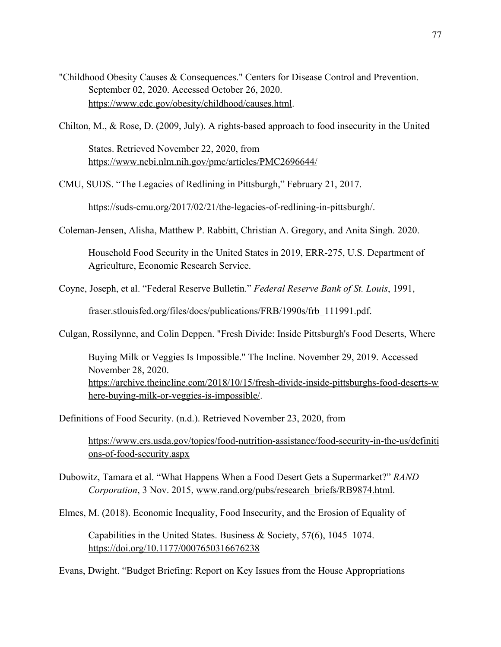"Childhood Obesity Causes & Consequences." Centers for Disease Control and Prevention. September 02, 2020. Accessed October 26, 2020. [https://www.cdc.gov/obesity/childhood/causes.html.](https://www.cdc.gov/obesity/childhood/causes.html)

Chilton, M., & Rose, D. (2009, July). A rights-based approach to food insecurity in the United

States. Retrieved November 22, 2020, fro[m](https://www.ncbi.nlm.nih.gov/pmc/articles/PMC2696644/) <https://www.ncbi.nlm.nih.gov/pmc/articles/PMC2696644/>

CMU, SUDS. "The Legacies of Redlining in Pittsburgh," February 21, 2017.

https://suds-cmu.org/2017/02/21/the-legacies-of-redlining-in-pittsburgh/.

Coleman-Jensen, Alisha, Matthew P. Rabbitt, Christian A. Gregory, and Anita Singh. 2020.

Household Food Security in the United States in 2019, ERR-275, U.S. Department of Agriculture, Economic Research Service.

Coyne, Joseph, et al. "Federal Reserve Bulletin." *Federal Reserve Bank of St. Louis*, 1991,

fraser.stlouisfed.org/files/docs/publications/FRB/1990s/frb\_111991.pdf.

Culgan, Rossilynne, and Colin Deppen. "Fresh Divide: Inside Pittsburgh's Food Deserts, Where

Buying Milk or Veggies Is Impossible." The Incline. November 29, 2019. Accessed November 28, 2020. [https://archive.theincline.com/2018/10/15/fresh-divide-inside-pittsburghs-food-deserts-w](https://archive.theincline.com/2018/10/15/fresh-divide-inside-pittsburghs-food-deserts-where-buying-milk-or-veggies-is-impossible/) [here-buying-milk-or-veggies-is-impossible/.](https://archive.theincline.com/2018/10/15/fresh-divide-inside-pittsburghs-food-deserts-where-buying-milk-or-veggies-is-impossible/)

Definitions of Food Security. (n.d.). Retrieved November 23, 2020, from

[https://www.ers.usda.gov/topics/food-nutrition-assistance/food-security-in-the-us/definiti](https://www.ers.usda.gov/topics/food-nutrition-assistance/food-security-in-the-us/definitions-of-food-security.aspx) [ons-of-food-security.aspx](https://www.ers.usda.gov/topics/food-nutrition-assistance/food-security-in-the-us/definitions-of-food-security.aspx)

Dubowitz, Tamara et al. "What Happens When a Food Desert Gets a Supermarket?" *RAND Corporation*, 3 Nov. 2015, [www.rand.org/pubs/research\\_briefs/RB9874.html.](http://www.rand.org/pubs/research_briefs/RB9874.html)

Elmes, M. (2018). Economic Inequality, Food Insecurity, and the Erosion of Equality of

Capabilities in the United States. Business & Society, 57(6), 1045–1074. <https://doi.org/10.1177/0007650316676238>

Evans, Dwight. "Budget Briefing: Report on Key Issues from the House Appropriations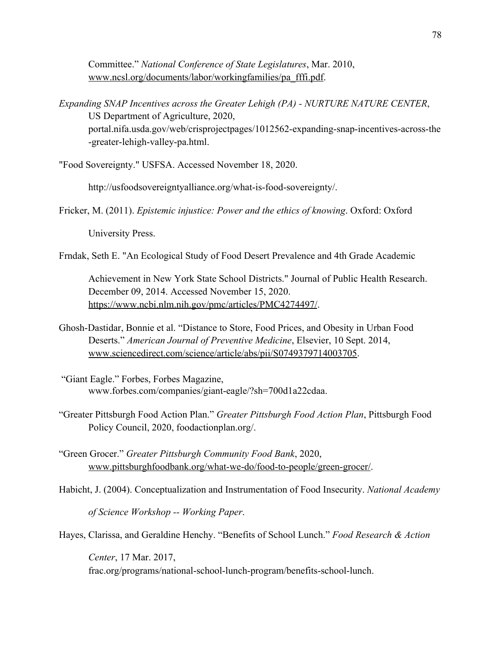Committee." *National Conference of State Legislatures*, Mar. 2010, [www.ncsl.org/documents/labor/workingfamilies/pa\\_fffi.pdf](http://www.ncsl.org/documents/labor/workingfamilies/pa_fffi.pdf).

*Expanding SNAP Incentives across the Greater Lehigh (PA) - NURTURE NATURE CENTER*, US Department of Agriculture, 2020, portal.nifa.usda.gov/web/crisprojectpages/1012562-expanding-snap-incentives-across-the -greater-lehigh-valley-pa.html.

"Food Sovereignty." USFSA. Accessed November 18, 2020.

http://usfoodsovereigntyalliance.org/what-is-food-sovereignty/.

Fricker, M. (2011). *Epistemic injustice: Power and the ethics of knowing*. Oxford: Oxford

University Press.

Frndak, Seth E. "An Ecological Study of Food Desert Prevalence and 4th Grade Academic

Achievement in New York State School Districts." Journal of Public Health Research. December 09, 2014. Accessed November 15, 2020. [https://www.ncbi.nlm.nih.gov/pmc/articles/PMC4274497/.](https://www.ncbi.nlm.nih.gov/pmc/articles/PMC4274497/)

- Ghosh-Dastidar, Bonnie et al. "Distance to Store, Food Prices, and Obesity in Urban Food Deserts." *American Journal of Preventive Medicine*, Elsevier, 10 Sept. 2014[,](http://www.sciencedirect.com/science/article/abs/pii/S0749379714003705) [www.sciencedirect.com/science/article/abs/pii/S0749379714003705](http://www.sciencedirect.com/science/article/abs/pii/S0749379714003705).
- "Giant Eagle." Forbes, Forbes Magazine, www.forbes.com/companies/giant-eagle/?sh=700d1a22cdaa.
- "Greater Pittsburgh Food Action Plan." *Greater Pittsburgh Food Action Plan*, Pittsburgh Food Policy Council, 2020, foodactionplan.org/.
- "Green Grocer." *Greater Pittsburgh Community Food Bank*, 2020[,](http://www.pittsburghfoodbank.org/what-we-do/food-to-people/green-grocer/) [www.pittsburghfoodbank.org/what-we-do/food-to-people/green-grocer/](http://www.pittsburghfoodbank.org/what-we-do/food-to-people/green-grocer/).
- Habicht, J. (2004). Conceptualization and Instrumentation of Food Insecurity. *National Academy of Science Workshop -- Working Paper*.

Hayes, Clarissa, and Geraldine Henchy. "Benefits of School Lunch." *Food Research & Action*

*Center*, 17 Mar. 2017, frac.org/programs/national-school-lunch-program/benefits-school-lunch.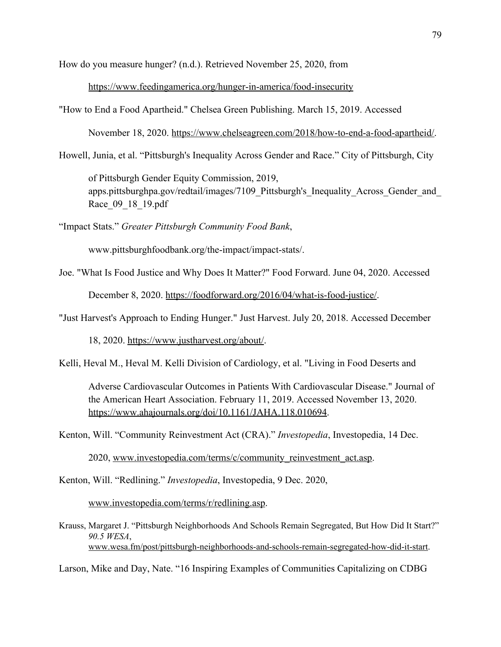How do you measure hunger? (n.d.). Retrieved November 25, 2020, from

<https://www.feedingamerica.org/hunger-in-america/food-insecurity>

"How to End a Food Apartheid." Chelsea Green Publishing. March 15, 2019. Accessed

November 18, 2020. [https://www.chelseagreen.com/2018/how-to-end-a-food-apartheid/.](https://www.chelseagreen.com/2018/how-to-end-a-food-apartheid/)

Howell, Junia, et al. "Pittsburgh's Inequality Across Gender and Race." City of Pittsburgh, City

of Pittsburgh Gender Equity Commission, 2019, apps.pittsburghpa.gov/redtail/images/7109 Pittsburgh's Inequality Across Gender and Race 09 18 19.pdf

"Impact Stats." *Greater Pittsburgh Community Food Bank*,

www.pittsburghfoodbank.org/the-impact/impact-stats/.

Joe. "What Is Food Justice and Why Does It Matter?" Food Forward. June 04, 2020. Accessed

December 8, 2020.<https://foodforward.org/2016/04/what-is-food-justice/>.

"Just Harvest's Approach to Ending Hunger." Just Harvest. July 20, 2018. Accessed December

18, 2020. <https://www.justharvest.org/about/>.

Kelli, Heval M., Heval M. Kelli Division of Cardiology, et al. "Living in Food Deserts and

Adverse Cardiovascular Outcomes in Patients With Cardiovascular Disease." Journal of the American Heart Association. February 11, 2019. Accessed November 13, 2020. [https://www.ahajournals.org/doi/10.1161/JAHA.118.010694.](https://www.ahajournals.org/doi/10.1161/JAHA.118.010694)

Kenton, Will. "Community Reinvestment Act (CRA)." *Investopedia*, Investopedia, 14 Dec.

2020, [www.investopedia.com/terms/c/community\\_reinvestment\\_act.asp.](http://www.investopedia.com/terms/c/community_reinvestment_act.asp)

Kenton, Will. "Redlining." *Investopedia*, Investopedia, 9 Dec. 2020[,](http://www.investopedia.com/terms/r/redlining.asp)

[www.investopedia.com/terms/r/redlining.asp](http://www.investopedia.com/terms/r/redlining.asp).

Krauss, Margaret J. "Pittsburgh Neighborhoods And Schools Remain Segregated, But How Did It Start?" *90.5 WESA*, [www.wesa.fm/post/pittsburgh-neighborhoods-and-schools-remain-segregated-how-did-it-start.](http://www.wesa.fm/post/pittsburgh-neighborhoods-and-schools-remain-segregated-how-did-it-start)

Larson, Mike and Day, Nate. "16 Inspiring Examples of Communities Capitalizing on CDBG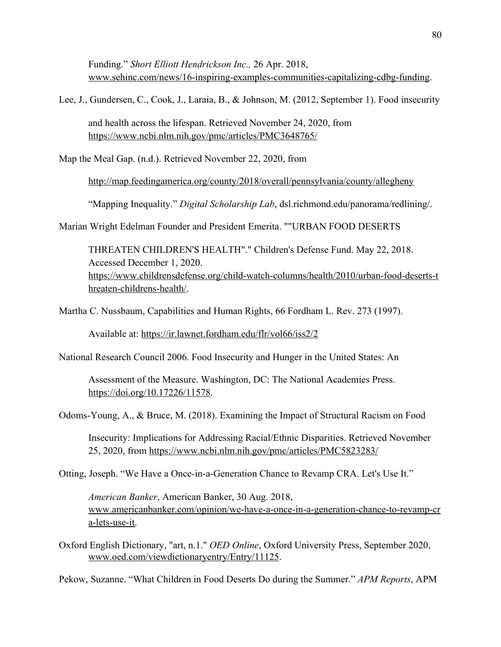Funding." *Short Elliott Hendrickson Inc.,* 26 Apr. 2018[,](http://www.sehinc.com/news/16-inspiring-examples-communities-capitalizing-cdbg-funding) [www.sehinc.com/news/16-inspiring-examples-communities-capitalizing-cdbg-funding](http://www.sehinc.com/news/16-inspiring-examples-communities-capitalizing-cdbg-funding).

Lee, J., Gundersen, C., Cook, J., Laraia, B., & Johnson, M. (2012, September 1). Food insecurity

and health across the lifespan. Retrieved November 24, 2020, from <https://www.ncbi.nlm.nih.gov/pmc/articles/PMC3648765/>

Map the Meal Gap. (n.d.). Retrieved November 22, 2020, from

<http://map.feedingamerica.org/county/2018/overall/pennsylvania/county/allegheny>

"Mapping Inequality." *Digital Scholarship Lab*, dsl.richmond.edu/panorama/redlining/.

Marian Wright Edelman Founder and President Emerita. ""URBAN FOOD DESERTS

THREATEN CHILDREN'S HEALTH"." Children's Defense Fund. May 22, 2018. Accessed December 1, 2020. [https://www.childrensdefense.org/child-watch-columns/health/2010/urban-food-deserts-t](https://www.childrensdefense.org/child-watch-columns/health/2010/urban-food-deserts-threaten-childrens-health/) [hreaten-childrens-health/.](https://www.childrensdefense.org/child-watch-columns/health/2010/urban-food-deserts-threaten-childrens-health/)

Martha C. Nussbaum, Capabilities and Human Rights, 66 Fordham L. Rev. 273 (1997).

Available at: <https://ir.lawnet.fordham.edu/flr/vol66/iss2/2>

National Research Council 2006. Food Insecurity and Hunger in the United States: An

Assessment of the Measure. Washington, DC: The National Academies Press. <https://doi.org/10.17226/11578>.

Odoms-Young, A., & Bruce, M. (2018). Examining the Impact of Structural Racism on Food

Insecurity: Implications for Addressing Racial/Ethnic Disparities. Retrieved November 25, 2020, from<https://www.ncbi.nlm.nih.gov/pmc/articles/PMC5823283/>

Otting, Joseph. "We Have a Once-in-a-Generation Chance to Revamp CRA. Let's Use It."

*American Banker*, American Banker, 30 Aug. 2018, [www.americanbanker.com/opinion/we-have-a-once-in-a-generation-chance-to-revamp-cr](http://www.americanbanker.com/opinion/we-have-a-once-in-a-generation-chance-to-revamp-cra-lets-use-it) [a-lets-use-it.](http://www.americanbanker.com/opinion/we-have-a-once-in-a-generation-chance-to-revamp-cra-lets-use-it)

Oxford English Dictionary, "art, n.1." *OED Online*, Oxford University Press, September 2020, [www.oed.com/viewdictionaryentry/Entry/11125](http://www.oed.com/viewdictionaryentry/Entry/11125).

Pekow, Suzanne. "What Children in Food Deserts Do during the Summer." *APM Reports*, APM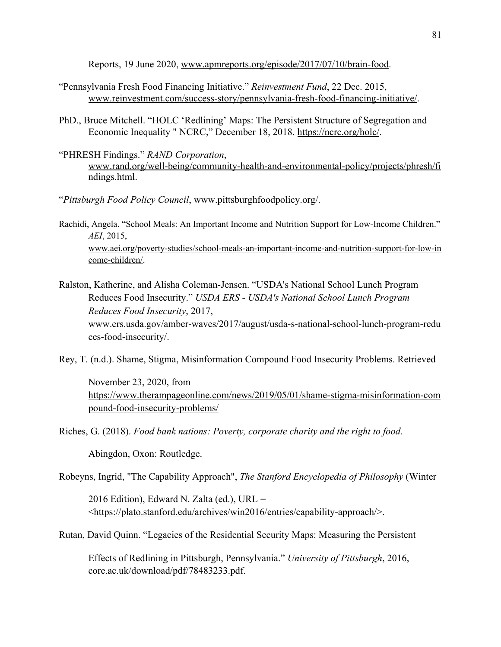Reports, 19 June 2020[,](http://www.apmreports.org/episode/2017/07/10/brain-food) [www.apmreports.org/episode/2017/07/10/brain-food.](http://www.apmreports.org/episode/2017/07/10/brain-food)

- "Pennsylvania Fresh Food Financing Initiative." *Reinvestment Fund*, 22 Dec. 2015, [www.reinvestment.com/success-story/pennsylvania-fresh-food-financing-initiative/.](http://www.reinvestment.com/success-story/pennsylvania-fresh-food-financing-initiative/)
- PhD., Bruce Mitchell. "HOLC 'Redlining' Maps: The Persistent Structure of Segregation and Economic Inequality " NCRC," December 18, 2018. [https://ncrc.org/holc/.](https://ncrc.org/holc/)
- "PHRESH Findings." *RAND Corporation*[,](http://www.rand.org/well-being/community-health-and-environmental-policy/projects/phresh/findings.html) [www.rand.org/well-being/community-health-and-environmental-policy/projects/phresh/fi](http://www.rand.org/well-being/community-health-and-environmental-policy/projects/phresh/findings.html) [ndings.html](http://www.rand.org/well-being/community-health-and-environmental-policy/projects/phresh/findings.html).
- "*Pittsburgh Food Policy Council*, www.pittsburghfoodpolicy.org/.
- Rachidi, Angela. "School Meals: An Important Income and Nutrition Support for Low-Income Children." *AEI*, 2015[,](http://www.aei.org/poverty-studies/school-meals-an-important-income-and-nutrition-support-for-low-income-children/) [www.aei.org/poverty-studies/school-meals-an-important-income-and-nutrition-support-for-low-in](http://www.aei.org/poverty-studies/school-meals-an-important-income-and-nutrition-support-for-low-income-children/) [come-children/.](http://www.aei.org/poverty-studies/school-meals-an-important-income-and-nutrition-support-for-low-income-children/)
- Ralston, Katherine, and Alisha Coleman-Jensen. "USDA's National School Lunch Program Reduces Food Insecurity." *USDA ERS - USDA's National School Lunch Program Reduces Food Insecurity*, 2017[,](http://www.ers.usda.gov/amber-waves/2017/august/usda-s-national-school-lunch-program-reduces-food-insecurity/) [www.ers.usda.gov/amber-waves/2017/august/usda-s-national-school-lunch-program-redu](http://www.ers.usda.gov/amber-waves/2017/august/usda-s-national-school-lunch-program-reduces-food-insecurity/) [ces-food-insecurity/.](http://www.ers.usda.gov/amber-waves/2017/august/usda-s-national-school-lunch-program-reduces-food-insecurity/)

Rey, T. (n.d.). Shame, Stigma, Misinformation Compound Food Insecurity Problems. Retrieved

November 23, 2020, from [https://www.therampageonline.com/news/2019/05/01/shame-stigma-misinformation-com](https://www.therampageonline.com/news/2019/05/01/shame-stigma-misinformation-compound-food-insecurity-problems/) [pound-food-insecurity-problems/](https://www.therampageonline.com/news/2019/05/01/shame-stigma-misinformation-compound-food-insecurity-problems/)

Riches, G. (2018). *Food bank nations: Poverty, corporate charity and the right to food*.

Abingdon, Oxon: Routledge.

Robeyns, Ingrid, "The Capability Approach", *The Stanford Encyclopedia of Philosophy* (Winter

2016 Edition), Edward N. Zalta (ed.),  $URL =$ <<https://plato.stanford.edu/archives/win2016/entries/capability-approach/>>.

Rutan, David Quinn. "Legacies of the Residential Security Maps: Measuring the Persistent

Effects of Redlining in Pittsburgh, Pennsylvania." *University of Pittsburgh*, 2016, core.ac.uk/download/pdf/78483233.pdf.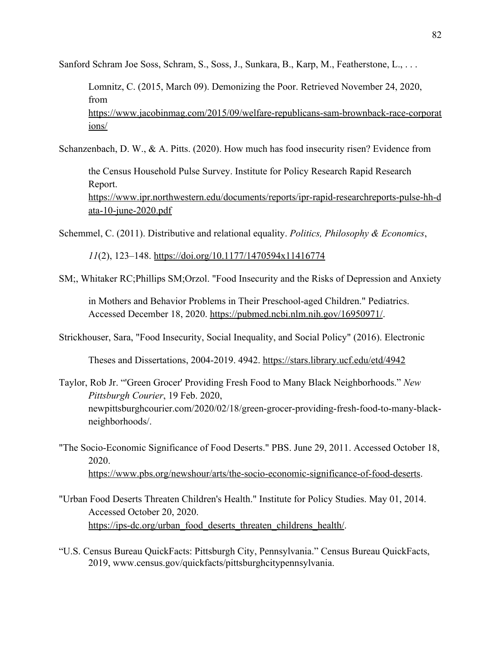Sanford Schram Joe Soss, Schram, S., Soss, J., Sunkara, B., Karp, M., Featherstone, L., . . .

Lomnitz, C. (2015, March 09). Demonizing the Poor. Retrieved November 24, 2020, fro[m](https://www.jacobinmag.com/2015/09/welfare-republicans-sam-brownback-race-corporations/) [https://www.jacobinmag.com/2015/09/welfare-republicans-sam-brownback-race-corporat](https://www.jacobinmag.com/2015/09/welfare-republicans-sam-brownback-race-corporations/) [ions/](https://www.jacobinmag.com/2015/09/welfare-republicans-sam-brownback-race-corporations/)

Schanzenbach, D. W., & A. Pitts. (2020). How much has food insecurity risen? Evidence from

the Census Household Pulse Survey. Institute for Policy Research Rapid Research Report. [https://www.ipr.northwestern.edu/documents/reports/ipr-rapid-researchreports-pulse-hh-d](https://www.ipr.northwestern.edu/documents/reports/ipr-rapid-researchreports-pulse-hh-data-10-june-2020.pdf) [ata-10-june-2020.pdf](https://www.ipr.northwestern.edu/documents/reports/ipr-rapid-researchreports-pulse-hh-data-10-june-2020.pdf)

Schemmel, C. (2011). Distributive and relational equality. *Politics, Philosophy & Economics*,

*11*(2), 123–148. <https://doi.org/10.1177/1470594x11416774>

SM;, Whitaker RC;Phillips SM;Orzol. "Food Insecurity and the Risks of Depression and Anxiety

in Mothers and Behavior Problems in Their Preschool-aged Children." Pediatrics. Accessed December 18, 2020. [https://pubmed.ncbi.nlm.nih.gov/16950971/.](https://pubmed.ncbi.nlm.nih.gov/16950971/)

Strickhouser, Sara, "Food Insecurity, Social Inequality, and Social Policy" (2016). Electronic

Theses and Dissertations, 2004-2019. 4942.<https://stars.library.ucf.edu/etd/4942>

Taylor, Rob Jr. "'Green Grocer' Providing Fresh Food to Many Black Neighborhoods." *New Pittsburgh Courier*, 19 Feb. 2020, newpittsburghcourier.com/2020/02/18/green-grocer-providing-fresh-food-to-many-blackneighborhoods/.

"The Socio-Economic Significance of Food Deserts." PBS. June 29, 2011. Accessed October 18, 2020. [https://www.pbs.org/newshour/arts/the-socio-economic-significance-of-food-deserts.](https://www.pbs.org/newshour/arts/the-socio-economic-significance-of-food-deserts)

- "Urban Food Deserts Threaten Children's Health." Institute for Policy Studies. May 01, 2014. Accessed October 20, 2020. [https://ips-dc.org/urban\\_food\\_deserts\\_threaten\\_childrens\\_health/.](https://ips-dc.org/urban_food_deserts_threaten_childrens_health/)
- "U.S. Census Bureau QuickFacts: Pittsburgh City, Pennsylvania." Census Bureau QuickFacts, 2019, www.census.gov/quickfacts/pittsburghcitypennsylvania.